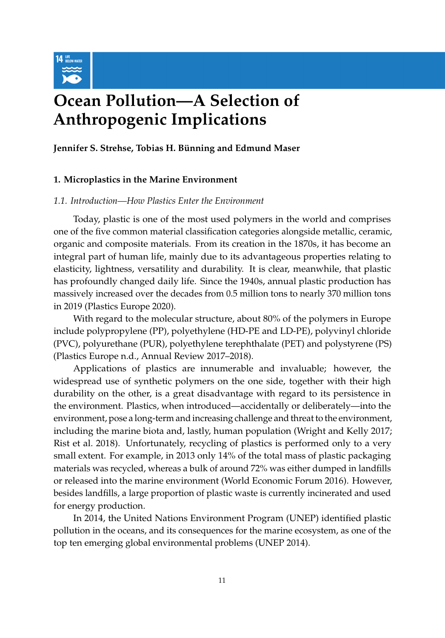

# **Ocean Pollution—A Selection of Anthropogenic Implications**

**Jennifer S. Strehse, Tobias H. Bünning and Edmund Maser**

# **1. Microplastics in the Marine Environment**

# *1.1. Introduction—How Plastics Enter the Environment*

Today, plastic is one of the most used polymers in the world and comprises one of the five common material classification categories alongside metallic, ceramic, organic and composite materials. From its creation in the 1870s, it has become an integral part of human life, mainly due to its advantageous properties relating to elasticity, lightness, versatility and durability. It is clear, meanwhile, that plastic has profoundly changed daily life. Since the 1940s, annual plastic production has massively increased over the decades from 0.5 million tons to nearly 370 million tons in 2019 [\(Plastics Europe](#page-41-0) [2020\)](#page-41-0).

With regard to the molecular structure, about 80% of the polymers in Europe include polypropylene (PP), polyethylene (HD-PE and LD-PE), polyvinyl chloride (PVC), polyurethane (PUR), polyethylene terephthalate (PET) and polystyrene (PS) [\(Plastics Europe](#page-41-1) [n.d.,](#page-41-1) Annual Review 2017–2018).

Applications of plastics are innumerable and invaluable; however, the widespread use of synthetic polymers on the one side, together with their high durability on the other, is a great disadvantage with regard to its persistence in the environment. Plastics, when introduced—accidentally or deliberately—into the environment, pose a long-term and increasing challenge and threat to the environment, including the marine biota and, lastly, human population [\(Wright and Kelly](#page-46-0) [2017;](#page-46-0) [Rist et al.](#page-42-0) [2018\)](#page-42-0). Unfortunately, recycling of plastics is performed only to a very small extent. For example, in 2013 only 14% of the total mass of plastic packaging materials was recycled, whereas a bulk of around 72% was either dumped in landfills or released into the marine environment [\(World Economic Forum](#page-46-1) [2016\)](#page-46-1). However, besides landfills, a large proportion of plastic waste is currently incinerated and used for energy production.

In 2014, the United Nations Environment Program (UNEP) identified plastic pollution in the oceans, and its consequences for the marine ecosystem, as one of the top ten emerging global environmental problems [\(UNEP](#page-44-0) [2014\)](#page-44-0).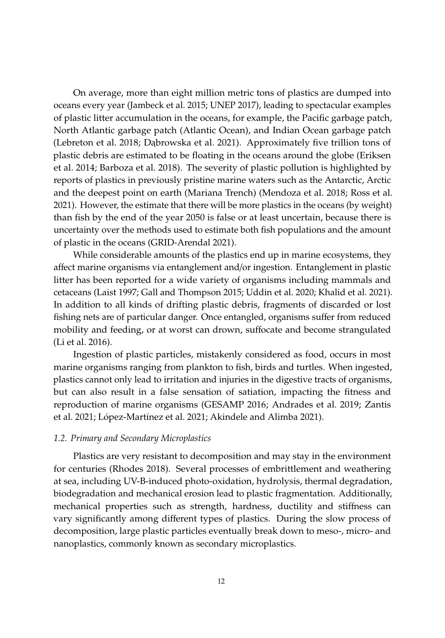On average, more than eight million metric tons of plastics are dumped into oceans every year [\(Jambeck et al.](#page-36-0) [2015;](#page-36-0) [UNEP](#page-44-1) [2017\)](#page-44-1), leading to spectacular examples of plastic litter accumulation in the oceans, for example, the Pacific garbage patch, North Atlantic garbage patch (Atlantic Ocean), and Indian Ocean garbage patch [\(Lebreton et al.](#page-38-0) [2018;](#page-38-0) Dabrowska et al. [2021\)](#page-31-0). Approximately five trillion tons of plastic debris are estimated to be floating in the oceans around the globe [\(Eriksen](#page-33-0) [et al.](#page-33-0) [2014;](#page-33-0) [Barboza et al.](#page-29-0) [2018\)](#page-29-0). The severity of plastic pollution is highlighted by reports of plastics in previously pristine marine waters such as the Antarctic, Arctic and the deepest point on earth (Mariana Trench) [\(Mendoza et al.](#page-39-0) [2018;](#page-39-0) [Ross et al.](#page-42-1) [2021\)](#page-42-1). However, the estimate that there will be more plastics in the oceans (by weight) than fish by the end of the year 2050 is false or at least uncertain, because there is uncertainty over the methods used to estimate both fish populations and the amount of plastic in the oceans [\(GRID-Arendal](#page-34-0) [2021\)](#page-34-0).

While considerable amounts of the plastics end up in marine ecosystems, they affect marine organisms via entanglement and/or ingestion. Entanglement in plastic litter has been reported for a wide variety of organisms including mammals and cetaceans [\(Laist](#page-37-0) [1997;](#page-37-0) [Gall and Thompson](#page-34-1) [2015;](#page-34-1) [Uddin et al.](#page-44-2) [2020;](#page-44-2) [Khalid et al.](#page-37-1) [2021\)](#page-37-1). In addition to all kinds of drifting plastic debris, fragments of discarded or lost fishing nets are of particular danger. Once entangled, organisms suffer from reduced mobility and feeding, or at worst can drown, suffocate and become strangulated [\(Li et al.](#page-38-1) [2016\)](#page-38-1).

Ingestion of plastic particles, mistakenly considered as food, occurs in most marine organisms ranging from plankton to fish, birds and turtles. When ingested, plastics cannot only lead to irritation and injuries in the digestive tracts of organisms, but can also result in a false sensation of satiation, impacting the fitness and reproduction of marine organisms [\(GESAMP](#page-34-2) [2016;](#page-34-2) [Andrades et al.](#page-28-0) [2019;](#page-28-0) [Zantis](#page-46-2) [et al.](#page-46-2) [2021;](#page-46-2) Ló[pez-Mart](#page-38-2)ínez et al. [2021;](#page-38-2) [Akindele and Alimba](#page-28-1) [2021\)](#page-28-1).

# *1.2. Primary and Secondary Microplastics*

Plastics are very resistant to decomposition and may stay in the environment for centuries [\(Rhodes](#page-41-2) [2018\)](#page-41-2). Several processes of embrittlement and weathering at sea, including UV-B-induced photo-oxidation, hydrolysis, thermal degradation, biodegradation and mechanical erosion lead to plastic fragmentation. Additionally, mechanical properties such as strength, hardness, ductility and stiffness can vary significantly among different types of plastics. During the slow process of decomposition, large plastic particles eventually break down to meso-, micro- and nanoplastics, commonly known as secondary microplastics.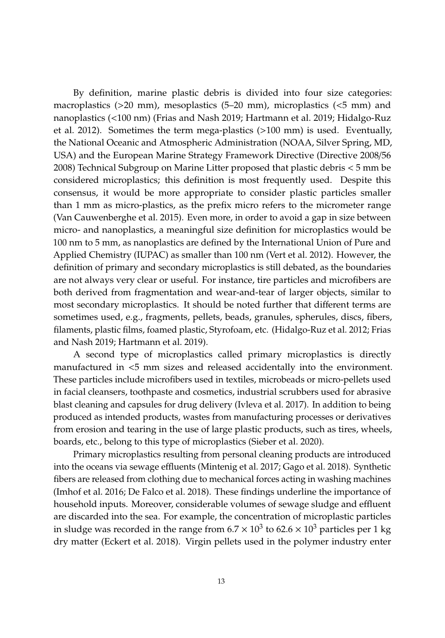By definition, marine plastic debris is divided into four size categories: macroplastics (>20 mm), mesoplastics (5–20 mm), microplastics (<5 mm) and nanoplastics (<100 nm) [\(Frias and Nash](#page-33-1) [2019;](#page-33-1) [Hartmann et al.](#page-35-0) [2019;](#page-35-0) [Hidalgo-Ruz](#page-35-1) [et al.](#page-35-1) [2012\)](#page-35-1). Sometimes the term mega-plastics (>100 mm) is used. Eventually, the National Oceanic and Atmospheric Administration (NOAA, Silver Spring, MD, USA) and the European Marine Strategy Framework Directive [\(Directive 2008](#page-32-0)/56 [2008\)](#page-32-0) Technical Subgroup on Marine Litter proposed that plastic debris < 5 mm be considered microplastics; this definition is most frequently used. Despite this consensus, it would be more appropriate to consider plastic particles smaller than 1 mm as micro-plastics, as the prefix micro refers to the micrometer range [\(Van Cauwenberghe et al.](#page-45-0) [2015\)](#page-45-0). Even more, in order to avoid a gap in size between micro- and nanoplastics, a meaningful size definition for microplastics would be 100 nm to 5 mm, as nanoplastics are defined by the International Union of Pure and Applied Chemistry (IUPAC) as smaller than 100 nm [\(Vert et al.](#page-45-1) [2012\)](#page-45-1). However, the definition of primary and secondary microplastics is still debated, as the boundaries are not always very clear or useful. For instance, tire particles and microfibers are both derived from fragmentation and wear-and-tear of larger objects, similar to most secondary microplastics. It should be noted further that different terms are sometimes used, e.g., fragments, pellets, beads, granules, spherules, discs, fibers, filaments, plastic films, foamed plastic, Styrofoam, etc. [\(Hidalgo-Ruz et al.](#page-35-1) [2012;](#page-35-1) [Frias](#page-33-1) [and Nash](#page-33-1) [2019;](#page-33-1) [Hartmann et al.](#page-35-0) [2019\)](#page-35-0).

A second type of microplastics called primary microplastics is directly manufactured in <5 mm sizes and released accidentally into the environment. These particles include microfibers used in textiles, microbeads or micro-pellets used in facial cleansers, toothpaste and cosmetics, industrial scrubbers used for abrasive blast cleaning and capsules for drug delivery [\(Ivleva et al.](#page-36-1) [2017\)](#page-36-1). In addition to being produced as intended products, wastes from manufacturing processes or derivatives from erosion and tearing in the use of large plastic products, such as tires, wheels, boards, etc., belong to this type of microplastics [\(Sieber et al.](#page-43-0) [2020\)](#page-43-0).

Primary microplastics resulting from personal cleaning products are introduced into the oceans via sewage effluents [\(Mintenig et al.](#page-39-1) [2017;](#page-39-1) [Gago et al.](#page-33-2) [2018\)](#page-33-2). Synthetic fibers are released from clothing due to mechanical forces acting in washing machines [\(Imhof et al.](#page-36-2) [2016;](#page-36-2) [De Falco et al.](#page-31-1) [2018\)](#page-31-1). These findings underline the importance of household inputs. Moreover, considerable volumes of sewage sludge and effluent are discarded into the sea. For example, the concentration of microplastic particles in sludge was recorded in the range from 6.7  $\times$  10 $^3$  to 62.6  $\times$  10 $^3$  particles per 1 kg dry matter [\(Eckert et al.](#page-32-1) [2018\)](#page-32-1). Virgin pellets used in the polymer industry enter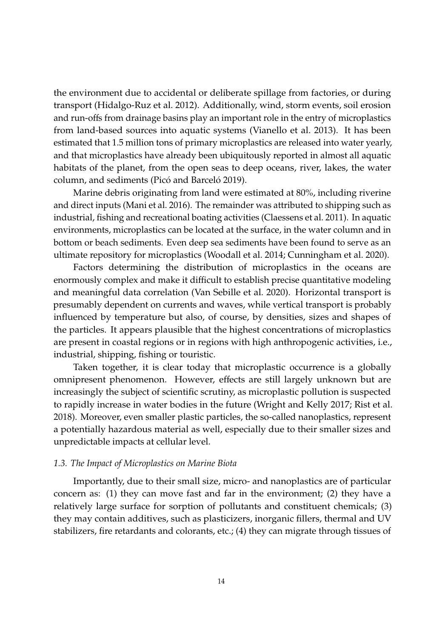the environment due to accidental or deliberate spillage from factories, or during transport [\(Hidalgo-Ruz et al.](#page-35-1) [2012\)](#page-35-1). Additionally, wind, storm events, soil erosion and run-offs from drainage basins play an important role in the entry of microplastics from land-based sources into aquatic systems [\(Vianello et al.](#page-45-2) [2013\)](#page-45-2). It has been estimated that 1.5 million tons of primary microplastics are released into water yearly, and that microplastics have already been ubiquitously reported in almost all aquatic habitats of the planet, from the open seas to deep oceans, river, lakes, the water column, and sediments (Picó [and Barcel](#page-41-3)ó [2019\)](#page-41-3).

Marine debris originating from land were estimated at 80%, including riverine and direct inputs [\(Mani et al.](#page-39-2) [2016\)](#page-39-2). The remainder was attributed to shipping such as industrial, fishing and recreational boating activities [\(Claessens et al.](#page-31-2) [2011\)](#page-31-2). In aquatic environments, microplastics can be located at the surface, in the water column and in bottom or beach sediments. Even deep sea sediments have been found to serve as an ultimate repository for microplastics [\(Woodall et al.](#page-46-3) [2014;](#page-46-3) [Cunningham et al.](#page-31-3) [2020\)](#page-31-3).

Factors determining the distribution of microplastics in the oceans are enormously complex and make it difficult to establish precise quantitative modeling and meaningful data correlation [\(Van Sebille et al.](#page-45-3) [2020\)](#page-45-3). Horizontal transport is presumably dependent on currents and waves, while vertical transport is probably influenced by temperature but also, of course, by densities, sizes and shapes of the particles. It appears plausible that the highest concentrations of microplastics are present in coastal regions or in regions with high anthropogenic activities, i.e., industrial, shipping, fishing or touristic.

Taken together, it is clear today that microplastic occurrence is a globally omnipresent phenomenon. However, effects are still largely unknown but are increasingly the subject of scientific scrutiny, as microplastic pollution is suspected to rapidly increase in water bodies in the future [\(Wright and Kelly](#page-46-0) [2017;](#page-46-0) [Rist et al.](#page-42-0) [2018\)](#page-42-0). Moreover, even smaller plastic particles, the so-called nanoplastics, represent a potentially hazardous material as well, especially due to their smaller sizes and unpredictable impacts at cellular level.

# *1.3. The Impact of Microplastics on Marine Biota*

Importantly, due to their small size, micro- and nanoplastics are of particular concern as: (1) they can move fast and far in the environment; (2) they have a relatively large surface for sorption of pollutants and constituent chemicals; (3) they may contain additives, such as plasticizers, inorganic fillers, thermal and UV stabilizers, fire retardants and colorants, etc.; (4) they can migrate through tissues of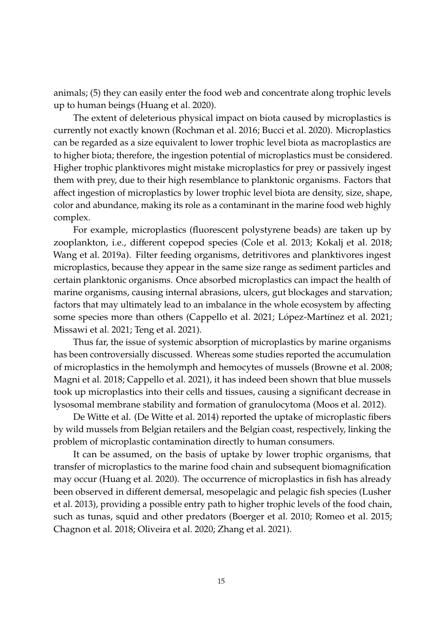animals; (5) they can easily enter the food web and concentrate along trophic levels up to human beings [\(Huang et al.](#page-36-3) [2020\)](#page-36-3).

The extent of deleterious physical impact on biota caused by microplastics is currently not exactly known [\(Rochman et al.](#page-42-2) [2016;](#page-42-2) [Bucci et al.](#page-30-0) [2020\)](#page-30-0). Microplastics can be regarded as a size equivalent to lower trophic level biota as macroplastics are to higher biota; therefore, the ingestion potential of microplastics must be considered. Higher trophic planktivores might mistake microplastics for prey or passively ingest them with prey, due to their high resemblance to planktonic organisms. Factors that affect ingestion of microplastics by lower trophic level biota are density, size, shape, color and abundance, making its role as a contaminant in the marine food web highly complex.

For example, microplastics (fluorescent polystyrene beads) are taken up by zooplankton, i.e., different copepod species [\(Cole et al.](#page-31-4) [2013;](#page-31-4) [Kokalj et al.](#page-37-2) [2018;](#page-37-2) [Wang et al.](#page-45-4) [2019a\)](#page-45-4). Filter feeding organisms, detritivores and planktivores ingest microplastics, because they appear in the same size range as sediment particles and certain planktonic organisms. Once absorbed microplastics can impact the health of marine organisms, causing internal abrasions, ulcers, gut blockages and starvation; factors that may ultimately lead to an imbalance in the whole ecosystem by affecting some species more than others [\(Cappello et al.](#page-31-5) [2021;](#page-31-5) Ló[pez-Mart](#page-38-2)ínez et al. [2021;](#page-38-2) [Missawi et al.](#page-40-0) [2021;](#page-40-0) [Teng et al.](#page-44-3) [2021\)](#page-44-3).

Thus far, the issue of systemic absorption of microplastics by marine organisms has been controversially discussed. Whereas some studies reported the accumulation of microplastics in the hemolymph and hemocytes of mussels [\(Browne et al.](#page-30-1) [2008;](#page-30-1) [Magni et al.](#page-39-3) [2018;](#page-39-3) [Cappello et al.](#page-31-5) [2021\)](#page-31-5), it has indeed been shown that blue mussels took up microplastics into their cells and tissues, causing a significant decrease in lysosomal membrane stability and formation of granulocytoma [\(Moos et al.](#page-40-1) [2012\)](#page-40-1).

De Witte et al. [\(De Witte et al.](#page-32-2) [2014\)](#page-32-2) reported the uptake of microplastic fibers by wild mussels from Belgian retailers and the Belgian coast, respectively, linking the problem of microplastic contamination directly to human consumers.

It can be assumed, on the basis of uptake by lower trophic organisms, that transfer of microplastics to the marine food chain and subsequent biomagnification may occur [\(Huang et al.](#page-36-3) [2020\)](#page-36-3). The occurrence of microplastics in fish has already been observed in different demersal, mesopelagic and pelagic fish species [\(Lusher](#page-38-3) [et al.](#page-38-3) [2013\)](#page-38-3), providing a possible entry path to higher trophic levels of the food chain, such as tunas, squid and other predators [\(Boerger et al.](#page-30-2) [2010;](#page-30-2) [Romeo et al.](#page-42-3) [2015;](#page-42-3) [Chagnon et al.](#page-31-6) [2018;](#page-31-6) [Oliveira et al.](#page-41-4) [2020;](#page-41-4) [Zhang et al.](#page-47-0) [2021\)](#page-47-0).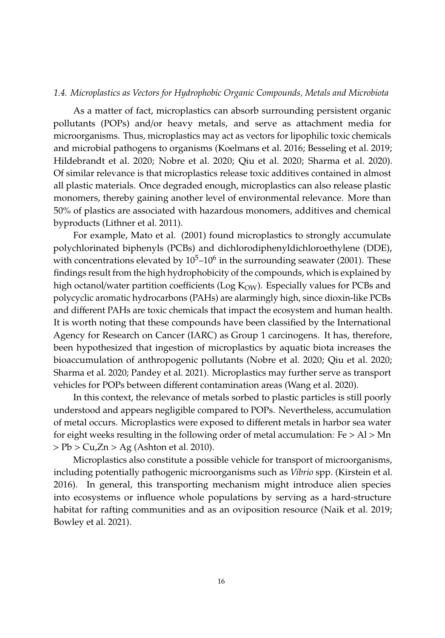## *1.4. Microplastics as Vectors for Hydrophobic Organic Compounds, Metals and Microbiota*

As a matter of fact, microplastics can absorb surrounding persistent organic pollutants (POPs) and/or heavy metals, and serve as attachment media for microorganisms. Thus, microplastics may act as vectors for lipophilic toxic chemicals and microbial pathogens to organisms [\(Koelmans et al.](#page-37-3) [2016;](#page-37-3) [Besseling et al.](#page-29-1) [2019;](#page-29-1) [Hildebrandt et al.](#page-35-2) [2020;](#page-35-2) [Nobre et al.](#page-40-2) [2020;](#page-40-2) [Qiu et al.](#page-41-5) [2020;](#page-41-5) [Sharma et al.](#page-43-1) [2020\)](#page-43-1). Of similar relevance is that microplastics release toxic additives contained in almost all plastic materials. Once degraded enough, microplastics can also release plastic monomers, thereby gaining another level of environmental relevance. More than 50% of plastics are associated with hazardous monomers, additives and chemical byproducts [\(Lithner et al.](#page-38-4) [2011\)](#page-38-4).

For example, [Mato et al.](#page-39-4) [\(2001\)](#page-39-4) found microplastics to strongly accumulate polychlorinated biphenyls (PCBs) and dichlorodiphenyldichloroethylene (DDE), with concentrations elevated by  $10^5$ – $10^6$  in the surrounding seawater (2001). These findings result from the high hydrophobicity of the compounds, which is explained by high octanol/water partition coefficients (Log  $K_{OW}$ ). Especially values for PCBs and polycyclic aromatic hydrocarbons (PAHs) are alarmingly high, since dioxin-like PCBs and different PAHs are toxic chemicals that impact the ecosystem and human health. It is worth noting that these compounds have been classified by the International Agency for Research on Cancer (IARC) as Group 1 carcinogens. It has, therefore, been hypothesized that ingestion of microplastics by aquatic biota increases the bioaccumulation of anthropogenic pollutants [\(Nobre et al.](#page-40-2) [2020;](#page-40-2) [Qiu et al.](#page-41-5) [2020;](#page-41-5) [Sharma et al.](#page-43-1) [2020;](#page-43-1) [Pandey et al.](#page-41-6) [2021\)](#page-41-6). Microplastics may further serve as transport vehicles for POPs between different contamination areas [\(Wang et al.](#page-46-4) [2020\)](#page-46-4).

In this context, the relevance of metals sorbed to plastic particles is still poorly understood and appears negligible compared to POPs. Nevertheless, accumulation of metal occurs. Microplastics were exposed to different metals in harbor sea water for eight weeks resulting in the following order of metal accumulation:  $Fe > Al > Mn$  $> Pb > Cu,Zn > Ag$  [\(Ashton et al.](#page-29-2) [2010\)](#page-29-2).

Microplastics also constitute a possible vehicle for transport of microorganisms, including potentially pathogenic microorganisms such as *Vibrio* spp. [\(Kirstein et al.](#page-37-4) [2016\)](#page-37-4). In general, this transporting mechanism might introduce alien species into ecosystems or influence whole populations by serving as a hard-structure habitat for rafting communities and as an oviposition resource [\(Naik et al.](#page-40-3) [2019;](#page-40-3) [Bowley et al.](#page-30-3) [2021\)](#page-30-3).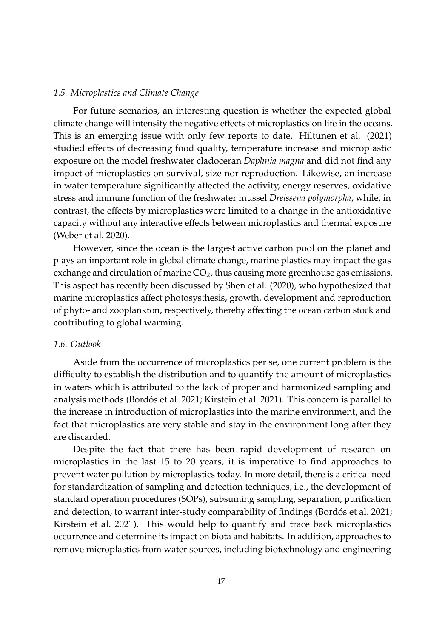# *1.5. Microplastics and Climate Change*

For future scenarios, an interesting question is whether the expected global climate change will intensify the negative effects of microplastics on life in the oceans. This is an emerging issue with only few reports to date. [Hiltunen et al.](#page-35-3) [\(2021\)](#page-35-3) studied effects of decreasing food quality, temperature increase and microplastic exposure on the model freshwater cladoceran *Daphnia magna* and did not find any impact of microplastics on survival, size nor reproduction. Likewise, an increase in water temperature significantly affected the activity, energy reserves, oxidative stress and immune function of the freshwater mussel *Dreissena polymorpha*, while, in contrast, the effects by microplastics were limited to a change in the antioxidative capacity without any interactive effects between microplastics and thermal exposure [\(Weber et al.](#page-46-5) [2020\)](#page-46-5).

However, since the ocean is the largest active carbon pool on the planet and plays an important role in global climate change, marine plastics may impact the gas exchange and circulation of marine  $CO<sub>2</sub>$ , thus causing more greenhouse gas emissions. This aspect has recently been discussed by [Shen et al.](#page-43-2) [\(2020\)](#page-43-2), who hypothesized that marine microplastics affect photosysthesis, growth, development and reproduction of phyto- and zooplankton, respectively, thereby affecting the ocean carbon stock and contributing to global warming.

# *1.6. Outlook*

Aside from the occurrence of microplastics per se, one current problem is the difficulty to establish the distribution and to quantify the amount of microplastics in waters which is attributed to the lack of proper and harmonized sampling and analysis methods (Bordó[s et al.](#page-30-4) [2021;](#page-30-4) [Kirstein et al.](#page-37-5) [2021\)](#page-37-5). This concern is parallel to the increase in introduction of microplastics into the marine environment, and the fact that microplastics are very stable and stay in the environment long after they are discarded.

Despite the fact that there has been rapid development of research on microplastics in the last 15 to 20 years, it is imperative to find approaches to prevent water pollution by microplastics today. In more detail, there is a critical need for standardization of sampling and detection techniques, i.e., the development of standard operation procedures (SOPs), subsuming sampling, separation, purification and detection, to warrant inter-study comparability of findings (Bordó[s et al.](#page-30-4) [2021;](#page-30-4) [Kirstein et al.](#page-37-5) [2021\)](#page-37-5). This would help to quantify and trace back microplastics occurrence and determine its impact on biota and habitats. In addition, approaches to remove microplastics from water sources, including biotechnology and engineering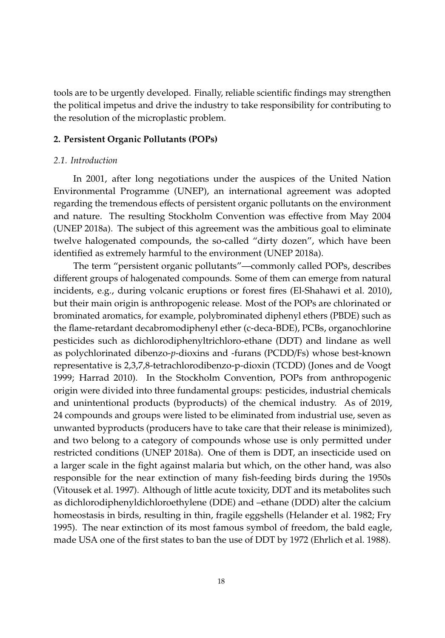tools are to be urgently developed. Finally, reliable scientific findings may strengthen the political impetus and drive the industry to take responsibility for contributing to the resolution of the microplastic problem.

#### **2. Persistent Organic Pollutants (POPs)**

# *2.1. Introduction*

In 2001, after long negotiations under the auspices of the United Nation Environmental Programme (UNEP), an international agreement was adopted regarding the tremendous effects of persistent organic pollutants on the environment and nature. The resulting Stockholm Convention was effective from May 2004 [\(UNEP](#page-44-4) [2018a\)](#page-44-4). The subject of this agreement was the ambitious goal to eliminate twelve halogenated compounds, the so-called "dirty dozen", which have been identified as extremely harmful to the environment [\(UNEP](#page-44-4) [2018a\)](#page-44-4).

The term "persistent organic pollutants"—commonly called POPs, describes different groups of halogenated compounds. Some of them can emerge from natural incidents, e.g., during volcanic eruptions or forest fires [\(El-Shahawi et al.](#page-33-3) [2010\)](#page-33-3), but their main origin is anthropogenic release. Most of the POPs are chlorinated or brominated aromatics, for example, polybrominated diphenyl ethers (PBDE) such as the flame-retardant decabromodiphenyl ether (c-deca-BDE), PCBs, organochlorine pesticides such as dichlorodiphenyltrichloro-ethane (DDT) and lindane as well as polychlorinated dibenzo-*p*-dioxins and -furans (PCDD/Fs) whose best-known representative is 2,3,7,8-tetrachlorodibenzo-p-dioxin (TCDD) [\(Jones and de Voogt](#page-36-4) [1999;](#page-36-4) [Harrad](#page-35-4) [2010\)](#page-35-4). In the Stockholm Convention, POPs from anthropogenic origin were divided into three fundamental groups: pesticides, industrial chemicals and unintentional products (byproducts) of the chemical industry. As of 2019, 24 compounds and groups were listed to be eliminated from industrial use, seven as unwanted byproducts (producers have to take care that their release is minimized), and two belong to a category of compounds whose use is only permitted under restricted conditions [\(UNEP](#page-44-4) [2018a\)](#page-44-4). One of them is DDT, an insecticide used on a larger scale in the fight against malaria but which, on the other hand, was also responsible for the near extinction of many fish-feeding birds during the 1950s [\(Vitousek et al.](#page-45-5) [1997\)](#page-45-5). Although of little acute toxicity, DDT and its metabolites such as dichlorodiphenyldichloroethylene (DDE) and –ethane (DDD) alter the calcium homeostasis in birds, resulting in thin, fragile eggshells [\(Helander et al.](#page-35-5) [1982;](#page-35-5) [Fry](#page-33-4) [1995\)](#page-33-4). The near extinction of its most famous symbol of freedom, the bald eagle, made USA one of the first states to ban the use of DDT by 1972 [\(Ehrlich et al.](#page-33-5) [1988\)](#page-33-5).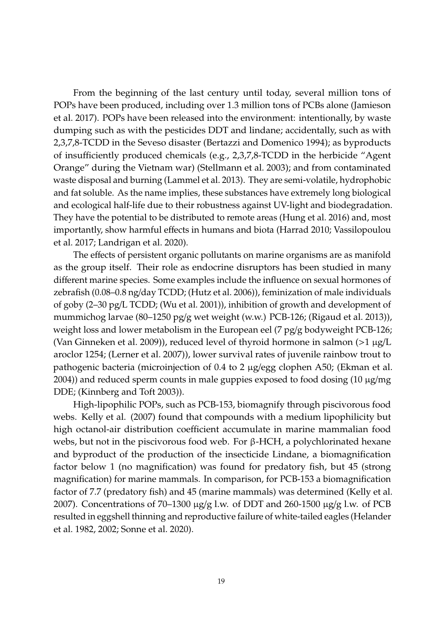From the beginning of the last century until today, several million tons of POPs have been produced, including over 1.3 million tons of PCBs alone [\(Jamieson](#page-36-5) [et al.](#page-36-5) [2017\)](#page-36-5). POPs have been released into the environment: intentionally, by waste dumping such as with the pesticides DDT and lindane; accidentally, such as with 2,3,7,8-TCDD in the Seveso disaster [\(Bertazzi and Domenico](#page-29-3) [1994\)](#page-29-3); as byproducts of insufficiently produced chemicals (e.g., 2,3,7,8-TCDD in the herbicide "Agent Orange" during the Vietnam war) [\(Stellmann et al.](#page-43-3) [2003\)](#page-43-3); and from contaminated waste disposal and burning [\(Lammel et al.](#page-37-6) [2013\)](#page-37-6). They are semi-volatile, hydrophobic and fat soluble. As the name implies, these substances have extremely long biological and ecological half-life due to their robustness against UV-light and biodegradation. They have the potential to be distributed to remote areas [\(Hung et al.](#page-36-6) [2016\)](#page-36-6) and, most importantly, show harmful effects in humans and biota [\(Harrad](#page-35-4) [2010;](#page-35-4) [Vassilopoulou](#page-45-6) [et al.](#page-45-6) [2017;](#page-45-6) [Landrigan et al.](#page-38-5) [2020\)](#page-38-5).

The effects of persistent organic pollutants on marine organisms are as manifold as the group itself. Their role as endocrine disruptors has been studied in many different marine species. Some examples include the influence on sexual hormones of zebrafish (0.08–0.8 ng/day TCDD; [\(Hutz et al.](#page-36-7) [2006\)](#page-36-7)), feminization of male individuals of goby (2–30 pg/L TCDD; [\(Wu et al.](#page-46-6) [2001\)](#page-46-6)), inhibition of growth and development of mummichog larvae (80–1250 pg/g wet weight (w.w.) PCB-126; [\(Rigaud et al.](#page-42-4) [2013\)](#page-42-4)), weight loss and lower metabolism in the European eel (7 pg/g bodyweight PCB-126; [\(Van Ginneken et al.](#page-45-7) [2009\)](#page-45-7)), reduced level of thyroid hormone in salmon  $(>1 \mu g/L)$ aroclor 1254; [\(Lerner et al.](#page-38-6) [2007\)](#page-38-6)), lower survival rates of juvenile rainbow trout to pathogenic bacteria (microinjection of 0.4 to 2  $\mu$ g/egg clophen A50; [\(Ekman et al.](#page-33-6) [2004\)](#page-33-6)) and reduced sperm counts in male guppies exposed to food dosing (10 µg/mg DDE; [\(Kinnberg and Toft](#page-37-7) [2003\)](#page-37-7)).

High-lipophilic POPs, such as PCB-153, biomagnify through piscivorous food webs. [Kelly et al.](#page-37-8) [\(2007\)](#page-37-8) found that compounds with a medium lipophilicity but high octanol-air distribution coefficient accumulate in marine mammalian food webs, but not in the piscivorous food web. For  $\beta$ -HCH, a polychlorinated hexane and byproduct of the production of the insecticide Lindane, a biomagnification factor below 1 (no magnification) was found for predatory fish, but 45 (strong magnification) for marine mammals. In comparison, for PCB-153 a biomagnification factor of 7.7 (predatory fish) and 45 (marine mammals) was determined [\(Kelly et al.](#page-37-8) [2007\)](#page-37-8). Concentrations of 70–1300 µg/g l.w. of DDT and 260-1500 µg/g l.w. of PCB resulted in eggshell thinning and reproductive failure of white-tailed eagles [\(Helander](#page-35-5) [et al.](#page-35-5) [1982,](#page-35-5) [2002;](#page-35-6) [Sonne et al.](#page-43-4) [2020\)](#page-43-4).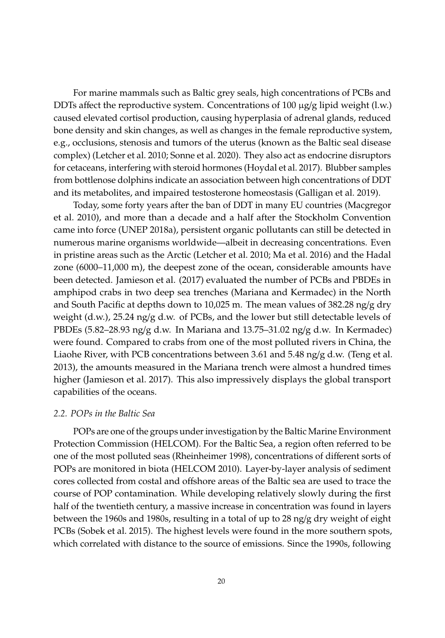For marine mammals such as Baltic grey seals, high concentrations of PCBs and DDTs affect the reproductive system. Concentrations of 100  $\mu$ g/g lipid weight (l.w.) caused elevated cortisol production, causing hyperplasia of adrenal glands, reduced bone density and skin changes, as well as changes in the female reproductive system, e.g., occlusions, stenosis and tumors of the uterus (known as the Baltic seal disease complex) [\(Letcher et al.](#page-38-7) [2010;](#page-38-7) [Sonne et al.](#page-43-4) [2020\)](#page-43-4). They also act as endocrine disruptors for cetaceans, interfering with steroid hormones [\(Hoydal et al.](#page-36-8) [2017\)](#page-36-8). Blubber samples from bottlenose dolphins indicate an association between high concentrations of DDT and its metabolites, and impaired testosterone homeostasis [\(Galligan et al.](#page-34-3) [2019\)](#page-34-3).

Today, some forty years after the ban of DDT in many EU countries [\(Macgregor](#page-39-5) [et al.](#page-39-5) [2010\)](#page-39-5), and more than a decade and a half after the Stockholm Convention came into force [\(UNEP](#page-44-4) [2018a\)](#page-44-4), persistent organic pollutants can still be detected in numerous marine organisms worldwide—albeit in decreasing concentrations. Even in pristine areas such as the Arctic [\(Letcher et al.](#page-38-7) [2010;](#page-38-7) [Ma et al.](#page-39-6) [2016\)](#page-39-6) and the Hadal zone (6000–11,000 m), the deepest zone of the ocean, considerable amounts have been detected. [Jamieson et al.](#page-36-5) [\(2017\)](#page-36-5) evaluated the number of PCBs and PBDEs in amphipod crabs in two deep sea trenches (Mariana and Kermadec) in the North and South Pacific at depths down to 10,025 m. The mean values of 382.28 ng/g dry weight (d.w.), 25.24 ng/g d.w. of PCBs, and the lower but still detectable levels of PBDEs (5.82–28.93 ng/g d.w. In Mariana and 13.75–31.02 ng/g d.w. In Kermadec) were found. Compared to crabs from one of the most polluted rivers in China, the Liaohe River, with PCB concentrations between 3.61 and 5.48 ng/g d.w. [\(Teng et al.](#page-44-5) [2013\)](#page-44-5), the amounts measured in the Mariana trench were almost a hundred times higher [\(Jamieson et al.](#page-36-5) [2017\)](#page-36-5). This also impressively displays the global transport capabilities of the oceans.

# *2.2. POPs in the Baltic Sea*

POPs are one of the groups under investigation by the Baltic Marine Environment Protection Commission (HELCOM). For the Baltic Sea, a region often referred to be one of the most polluted seas [\(Rheinheimer](#page-41-7) [1998\)](#page-41-7), concentrations of different sorts of POPs are monitored in biota [\(HELCOM](#page-35-7) [2010\)](#page-35-7). Layer-by-layer analysis of sediment cores collected from costal and offshore areas of the Baltic sea are used to trace the course of POP contamination. While developing relatively slowly during the first half of the twentieth century, a massive increase in concentration was found in layers between the 1960s and 1980s, resulting in a total of up to 28 ng/g dry weight of eight PCBs [\(Sobek et al.](#page-43-5) [2015\)](#page-43-5). The highest levels were found in the more southern spots, which correlated with distance to the source of emissions. Since the 1990s, following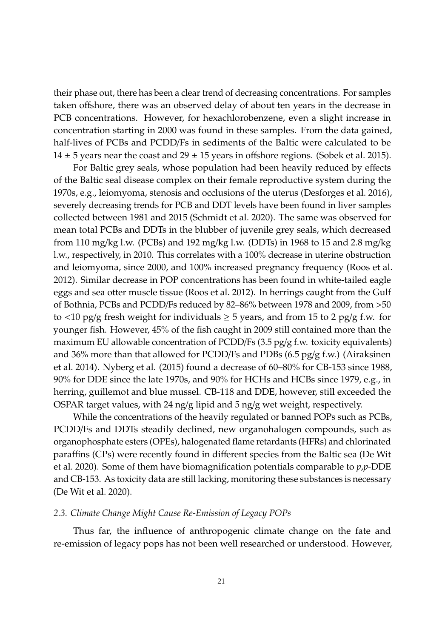their phase out, there has been a clear trend of decreasing concentrations. For samples taken offshore, there was an observed delay of about ten years in the decrease in PCB concentrations. However, for hexachlorobenzene, even a slight increase in concentration starting in 2000 was found in these samples. From the data gained, half-lives of PCBs and PCDD/Fs in sediments of the Baltic were calculated to be  $14 \pm 5$  years near the coast and  $29 \pm 15$  years in offshore regions. [\(Sobek et al.](#page-43-5) [2015\)](#page-43-5).

For Baltic grey seals, whose population had been heavily reduced by effects of the Baltic seal disease complex on their female reproductive system during the 1970s, e.g., leiomyoma, stenosis and occlusions of the uterus [\(Desforges et al.](#page-32-3) [2016\)](#page-32-3), severely decreasing trends for PCB and DDT levels have been found in liver samples collected between 1981 and 2015 [\(Schmidt et al.](#page-43-6) [2020\)](#page-43-6). The same was observed for mean total PCBs and DDTs in the blubber of juvenile grey seals, which decreased from 110 mg/kg l.w. (PCBs) and 192 mg/kg l.w. (DDTs) in 1968 to 15 and 2.8 mg/kg l.w., respectively, in 2010. This correlates with a 100% decrease in uterine obstruction and leiomyoma, since 2000, and 100% increased pregnancy frequency [\(Roos et al.](#page-42-5) [2012\)](#page-42-5). Similar decrease in POP concentrations has been found in white-tailed eagle eggs and sea otter muscle tissue [\(Roos et al.](#page-42-5) [2012\)](#page-42-5). In herrings caught from the Gulf of Bothnia, PCBs and PCDD/Fs reduced by 82–86% between 1978 and 2009, from >50 to <10 pg/g fresh weight for individuals  $\geq$  5 years, and from 15 to 2 pg/g f.w. for younger fish. However, 45% of the fish caught in 2009 still contained more than the maximum EU allowable concentration of PCDD/Fs  $(3.5 \text{ pg/g f.w. toxicity equivalents})$ and 36% more than that allowed for PCDD/Fs and PDBs  $(6.5 \text{ pg/g f.w.})$  [\(Airaksinen](#page-28-2) [et al.](#page-28-2) [2014\)](#page-28-2). [Nyberg et al.](#page-40-4) [\(2015\)](#page-40-4) found a decrease of 60–80% for CB-153 since 1988, 90% for DDE since the late 1970s, and 90% for HCHs and HCBs since 1979, e.g., in herring, guillemot and blue mussel. CB-118 and DDE, however, still exceeded the OSPAR target values, with 24 ng/g lipid and 5 ng/g wet weight, respectively.

While the concentrations of the heavily regulated or banned POPs such as PCBs, PCDD/Fs and DDTs steadily declined, new organohalogen compounds, such as organophosphate esters (OPEs), halogenated flame retardants (HFRs) and chlorinated paraffins (CPs) were recently found in different species from the Baltic sea [\(De Wit](#page-32-4) [et al.](#page-32-4) [2020\)](#page-32-4). Some of them have biomagnification potentials comparable to *p*,*p-*DDE and CB-153. As toxicity data are still lacking, monitoring these substances is necessary [\(De Wit et al.](#page-32-4) [2020\)](#page-32-4).

# *2.3. Climate Change Might Cause Re-Emission of Legacy POPs*

Thus far, the influence of anthropogenic climate change on the fate and re-emission of legacy pops has not been well researched or understood. However,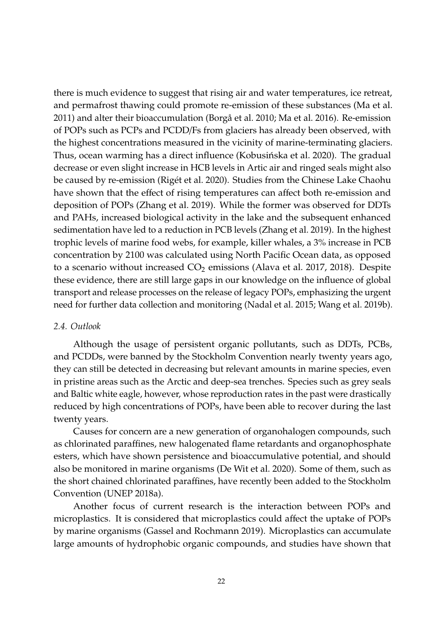there is much evidence to suggest that rising air and water temperatures, ice retreat, and permafrost thawing could promote re-emission of these substances [\(Ma et al.](#page-39-7) [2011\)](#page-39-7) and alter their bioaccumulation [\(Borgå et al.](#page-30-5) [2010;](#page-30-5) [Ma et al.](#page-39-6) [2016\)](#page-39-6). Re-emission of POPs such as PCPs and PCDD/Fs from glaciers has already been observed, with the highest concentrations measured in the vicinity of marine-terminating glaciers. Thus, ocean warming has a direct influence (Kobusińska et al. [2020\)](#page-37-9). The gradual decrease or even slight increase in HCB levels in Artic air and ringed seals might also be caused by re-emission (Rigé[t et al.](#page-42-6) [2020\)](#page-42-6). Studies from the Chinese Lake Chaohu have shown that the effect of rising temperatures can affect both re-emission and deposition of POPs [\(Zhang et al.](#page-46-7) [2019\)](#page-46-7). While the former was observed for DDTs and PAHs, increased biological activity in the lake and the subsequent enhanced sedimentation have led to a reduction in PCB levels [\(Zhang et al.](#page-46-7) [2019\)](#page-46-7). In the highest trophic levels of marine food webs, for example, killer whales, a 3% increase in PCB concentration by 2100 was calculated using North Pacific Ocean data, as opposed to a scenario without increased  $CO<sub>2</sub>$  emissions [\(Alava et al.](#page-28-3) [2017,](#page-28-3) [2018\)](#page-28-4). Despite these evidence, there are still large gaps in our knowledge on the influence of global transport and release processes on the release of legacy POPs, emphasizing the urgent need for further data collection and monitoring [\(Nadal et al.](#page-40-5) [2015;](#page-40-5) [Wang et al.](#page-45-8) [2019b\)](#page-45-8).

# *2.4. Outlook*

Although the usage of persistent organic pollutants, such as DDTs, PCBs, and PCDDs, were banned by the Stockholm Convention nearly twenty years ago, they can still be detected in decreasing but relevant amounts in marine species, even in pristine areas such as the Arctic and deep-sea trenches. Species such as grey seals and Baltic white eagle, however, whose reproduction rates in the past were drastically reduced by high concentrations of POPs, have been able to recover during the last twenty years.

Causes for concern are a new generation of organohalogen compounds, such as chlorinated paraffines, new halogenated flame retardants and organophosphate esters, which have shown persistence and bioaccumulative potential, and should also be monitored in marine organisms [\(De Wit et al.](#page-32-4) [2020\)](#page-32-4). Some of them, such as the short chained chlorinated paraffines, have recently been added to the Stockholm Convention [\(UNEP](#page-44-4) [2018a\)](#page-44-4).

Another focus of current research is the interaction between POPs and microplastics. It is considered that microplastics could affect the uptake of POPs by marine organisms [\(Gassel and Rochmann](#page-34-4) [2019\)](#page-34-4). Microplastics can accumulate large amounts of hydrophobic organic compounds, and studies have shown that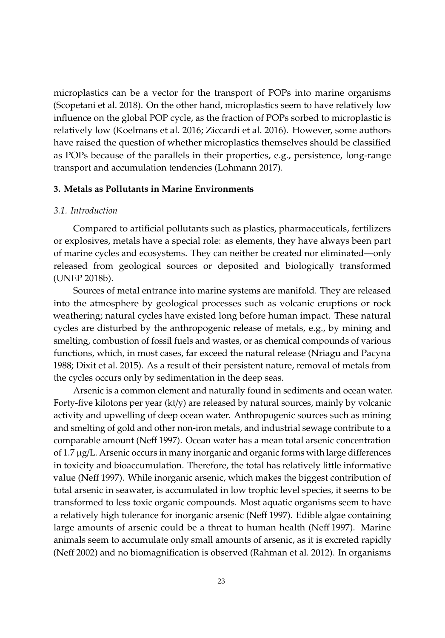microplastics can be a vector for the transport of POPs into marine organisms [\(Scopetani et al.](#page-43-7) [2018\)](#page-43-7). On the other hand, microplastics seem to have relatively low influence on the global POP cycle, as the fraction of POPs sorbed to microplastic is relatively low [\(Koelmans et al.](#page-37-3) [2016;](#page-37-3) [Ziccardi et al.](#page-47-1) [2016\)](#page-47-1). However, some authors have raised the question of whether microplastics themselves should be classified as POPs because of the parallels in their properties, e.g., persistence, long-range transport and accumulation tendencies [\(Lohmann](#page-38-8) [2017\)](#page-38-8).

# **3. Metals as Pollutants in Marine Environments**

# *3.1. Introduction*

Compared to artificial pollutants such as plastics, pharmaceuticals, fertilizers or explosives, metals have a special role: as elements, they have always been part of marine cycles and ecosystems. They can neither be created nor eliminated—only released from geological sources or deposited and biologically transformed [\(UNEP](#page-44-6) [2018b\)](#page-44-6).

Sources of metal entrance into marine systems are manifold. They are released into the atmosphere by geological processes such as volcanic eruptions or rock weathering; natural cycles have existed long before human impact. These natural cycles are disturbed by the anthropogenic release of metals, e.g., by mining and smelting, combustion of fossil fuels and wastes, or as chemical compounds of various functions, which, in most cases, far exceed the natural release [\(Nriagu and Pacyna](#page-40-6) [1988;](#page-40-6) [Dixit et al.](#page-32-5) [2015\)](#page-32-5). As a result of their persistent nature, removal of metals from the cycles occurs only by sedimentation in the deep seas.

Arsenic is a common element and naturally found in sediments and ocean water. Forty-five kilotons per year (kt/y) are released by natural sources, mainly by volcanic activity and upwelling of deep ocean water. Anthropogenic sources such as mining and smelting of gold and other non-iron metals, and industrial sewage contribute to a comparable amount [\(Ne](#page-40-7)ff [1997\)](#page-40-7). Ocean water has a mean total arsenic concentration of 1.7 µg/L. Arsenic occurs in many inorganic and organic forms with large differences in toxicity and bioaccumulation. Therefore, the total has relatively little informative value [\(Ne](#page-40-7)ff [1997\)](#page-40-7). While inorganic arsenic, which makes the biggest contribution of total arsenic in seawater, is accumulated in low trophic level species, it seems to be transformed to less toxic organic compounds. Most aquatic organisms seem to have a relatively high tolerance for inorganic arsenic [\(Ne](#page-40-7)ff [1997\)](#page-40-7). Edible algae containing large amounts of arsenic could be a threat to human health [\(Ne](#page-40-7)ff [1997\)](#page-40-7). Marine animals seem to accumulate only small amounts of arsenic, as it is excreted rapidly [\(Ne](#page-40-8)ff [2002\)](#page-40-8) and no biomagnification is observed [\(Rahman et al.](#page-41-8) [2012\)](#page-41-8). In organisms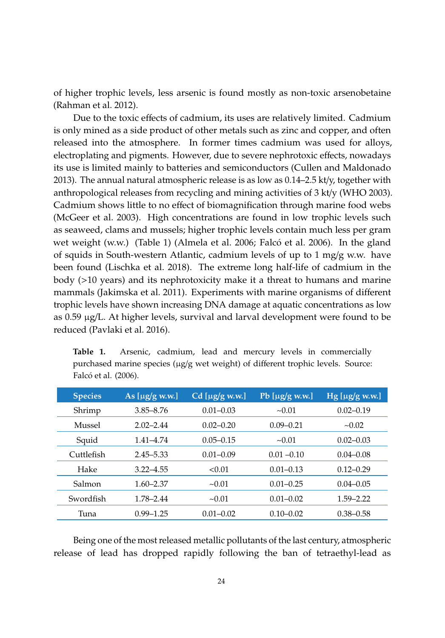of higher trophic levels, less arsenic is found mostly as non-toxic arsenobetaine [\(Rahman et al.](#page-41-8) [2012\)](#page-41-8).

Due to the toxic effects of cadmium, its uses are relatively limited. Cadmium is only mined as a side product of other metals such as zinc and copper, and often released into the atmosphere. In former times cadmium was used for alloys, electroplating and pigments. However, due to severe nephrotoxic effects, nowadays its use is limited mainly to batteries and semiconductors [\(Cullen and Maldonado](#page-31-7) [2013\)](#page-31-7). The annual natural atmospheric release is as low as 0.14–2.5 kt/y, together with anthropological releases from recycling and mining activities of 3 kt/y [\(WHO](#page-46-8) [2003\)](#page-46-8). Cadmium shows little to no effect of biomagnification through marine food webs [\(McGeer et al.](#page-39-8) [2003\)](#page-39-8). High concentrations are found in low trophic levels such as seaweed, clams and mussels; higher trophic levels contain much less per gram wet weight (w.w.) (Table [1\)](#page-13-0) [\(Almela et al.](#page-28-5) [2006;](#page-28-5) Falcó [et al.](#page-33-7) [2006\)](#page-33-7). In the gland of squids in South-western Atlantic, cadmium levels of up to  $1 \text{ mg/g}$  w.w. have been found [\(Lischka et al.](#page-38-9) [2018\)](#page-38-9). The extreme long half-life of cadmium in the body (>10 years) and its nephrotoxicity make it a threat to humans and marine mammals [\(Jakimska et al.](#page-36-9) [2011\)](#page-36-9). Experiments with marine organisms of different trophic levels have shown increasing DNA damage at aquatic concentrations as low as 0.59 µg/L. At higher levels, survival and larval development were found to be reduced [\(Pavlaki et al.](#page-41-9) [2016\)](#page-41-9).

| <b>Species</b> | As $[\mu$ g/g w.w.] | Cd [ $\mu$ g/g w.w.] | Pb [ $\mu$ g/g w.w.] | Hg [ $\mu$ g/g w.w.] |
|----------------|---------------------|----------------------|----------------------|----------------------|
| Shrimp         | $3.85 - 8.76$       | $0.01 - 0.03$        | ~10.01               | $0.02 - 0.19$        |
| Mussel         | $2.02 - 2.44$       | $0.02 - 0.20$        | $0.09 - 0.21$        | ~10.02               |
| Squid          | $1.41 - 4.74$       | $0.05 - 0.15$        | ~10.01               | $0.02 - 0.03$        |
| $C$ uttlefish  | $2.45 - 5.33$       | $0.01 - 0.09$        | $0.01 - 0.10$        | $0.04 - 0.08$        |
| Hake           | $3.22 - 4.55$       | < 0.01               | $0.01 - 0.13$        | $0.12 - 0.29$        |
| Salmon         | $1.60 - 2.37$       | ~10.01               | $0.01 - 0.25$        | $0.04 - 0.05$        |
| Swordfish      | 1.78-2.44           | ~10.01               | $0.01 - 0.02$        | $1.59 - 2.22$        |
| Tuna           | $0.99 - 1.25$       | $0.01 - 0.02$        | $0.10 - 0.02$        | $0.38 - 0.58$        |

<span id="page-13-0"></span>**Table 1.** Arsenic, cadmium, lead and mercury levels in commercially purchased marine species (µg/g wet weight) of different trophic levels. Source: Falcó [et al.](#page-33-7) [\(2006\)](#page-33-7).

Being one of the most released metallic pollutants of the last century, atmospheric release of lead has dropped rapidly following the ban of tetraethyl-lead as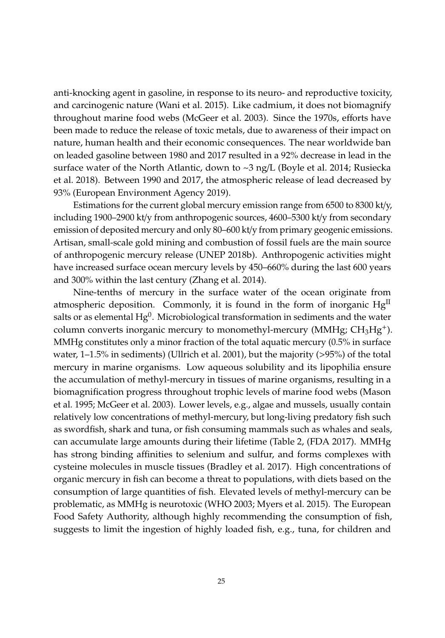anti-knocking agent in gasoline, in response to its neuro- and reproductive toxicity, and carcinogenic nature [\(Wani et al.](#page-46-9) [2015\)](#page-46-9). Like cadmium, it does not biomagnify throughout marine food webs [\(McGeer et al.](#page-39-8) [2003\)](#page-39-8). Since the 1970s, efforts have been made to reduce the release of toxic metals, due to awareness of their impact on nature, human health and their economic consequences. The near worldwide ban on leaded gasoline between 1980 and 2017 resulted in a 92% decrease in lead in the surface water of the North Atlantic, down to  $\sim$ 3 ng/L [\(Boyle et al.](#page-30-6) [2014;](#page-30-6) [Rusiecka](#page-42-7) [et al.](#page-42-7) [2018\)](#page-42-7). Between 1990 and 2017, the atmospheric release of lead decreased by 93% [\(European Environment Agency](#page-33-8) [2019\)](#page-33-8).

Estimations for the current global mercury emission range from 6500 to 8300 kt/y, including 1900–2900 kt/y from anthropogenic sources, 4600–5300 kt/y from secondary emission of deposited mercury and only 80–600 kt/y from primary geogenic emissions. Artisan, small-scale gold mining and combustion of fossil fuels are the main source of anthropogenic mercury release [\(UNEP](#page-44-6) [2018b\)](#page-44-6). Anthropogenic activities might have increased surface ocean mercury levels by 450–660% during the last 600 years and 300% within the last century [\(Zhang et al.](#page-46-10) [2014\)](#page-46-10).

Nine-tenths of mercury in the surface water of the ocean originate from atmospheric deposition. Commonly, it is found in the form of inorganic  $Hg<sup>H</sup>$ salts or as elemental  $\mathrm{Hg^0}$ . Microbiological transformation in sediments and the water column converts inorganic mercury to monomethyl-mercury (MMHg;  $CH_3Hg^+$ ). MMHg constitutes only a minor fraction of the total aquatic mercury (0.5% in surface water, 1–1.5% in sediments) [\(Ullrich et al.](#page-44-7) [2001\)](#page-44-7), but the majority (>95%) of the total mercury in marine organisms. Low aqueous solubility and its lipophilia ensure the accumulation of methyl-mercury in tissues of marine organisms, resulting in a biomagnification progress throughout trophic levels of marine food webs [\(Mason](#page-39-9) [et al.](#page-39-9) [1995;](#page-39-9) [McGeer et al.](#page-39-8) [2003\)](#page-39-8). Lower levels, e.g., algae and mussels, usually contain relatively low concentrations of methyl-mercury, but long-living predatory fish such as swordfish, shark and tuna, or fish consuming mammals such as whales and seals, can accumulate large amounts during their lifetime (Table [2,](#page-15-0) [\(FDA](#page-33-9) [2017\)](#page-33-9). MMHg has strong binding affinities to selenium and sulfur, and forms complexes with cysteine molecules in muscle tissues [\(Bradley et al.](#page-30-7) [2017\)](#page-30-7). High concentrations of organic mercury in fish can become a threat to populations, with diets based on the consumption of large quantities of fish. Elevated levels of methyl-mercury can be problematic, as MMHg is neurotoxic [\(WHO](#page-46-8) [2003;](#page-46-8) [Myers et al.](#page-40-9) [2015\)](#page-40-9). The European Food Safety Authority, although highly recommending the consumption of fish, suggests to limit the ingestion of highly loaded fish, e.g., tuna, for children and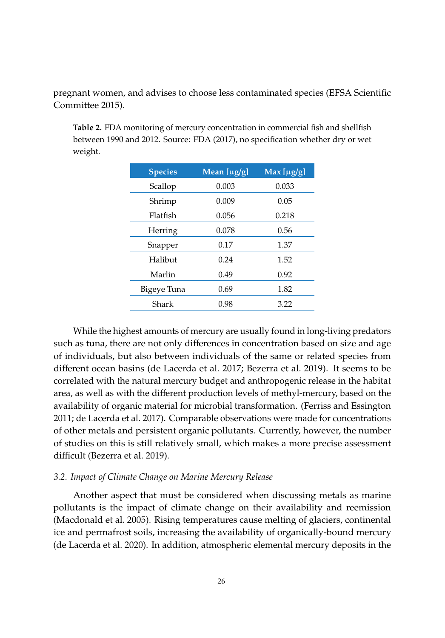pregnant women, and advises to choose less contaminated species [\(EFSA Scientific](#page-32-6) [Committee](#page-32-6) [2015\)](#page-32-6).

<span id="page-15-0"></span>**Table 2.** FDA monitoring of mercury concentration in commercial fish and shellfish between 1990 and 2012. Source: [FDA](#page-33-9) [\(2017\)](#page-33-9), no specification whether dry or wet weight.

| <b>Species</b> | Mean [ $\mu$ g/g] | Max [ $\mu$ g/g] |
|----------------|-------------------|------------------|
| Scallop        | 0.003             | 0.033            |
| Shrimp         | 0.009             | 0.05             |
| Flatfish       | 0.056             | 0.218            |
| Herring        | 0.078             | 0.56             |
| Snapper        | 0.17              | 1.37             |
| Halibut        | 0.24              | 1.52             |
| Marlin         | 0.49              | 0.92             |
| Bigeye Tuna    | 0.69              | 1.82             |
| Shark          | 0.98              | 3.22             |
|                |                   |                  |

While the highest amounts of mercury are usually found in long-living predators such as tuna, there are not only differences in concentration based on size and age of individuals, but also between individuals of the same or related species from different ocean basins [\(de Lacerda et al.](#page-31-8) [2017;](#page-31-8) [Bezerra et al.](#page-30-8) [2019\)](#page-30-8). It seems to be correlated with the natural mercury budget and anthropogenic release in the habitat area, as well as with the different production levels of methyl-mercury, based on the availability of organic material for microbial transformation. [\(Ferriss and Essington](#page-33-10) [2011;](#page-33-10) [de Lacerda et al.](#page-31-8) [2017\)](#page-31-8). Comparable observations were made for concentrations of other metals and persistent organic pollutants. Currently, however, the number of studies on this is still relatively small, which makes a more precise assessment difficult [\(Bezerra et al.](#page-30-8) [2019\)](#page-30-8).

# *3.2. Impact of Climate Change on Marine Mercury Release*

Another aspect that must be considered when discussing metals as marine pollutants is the impact of climate change on their availability and reemission [\(Macdonald et al.](#page-39-10) [2005\)](#page-39-10). Rising temperatures cause melting of glaciers, continental ice and permafrost soils, increasing the availability of organically-bound mercury [\(de Lacerda et al.](#page-32-7) [2020\)](#page-32-7). In addition, atmospheric elemental mercury deposits in the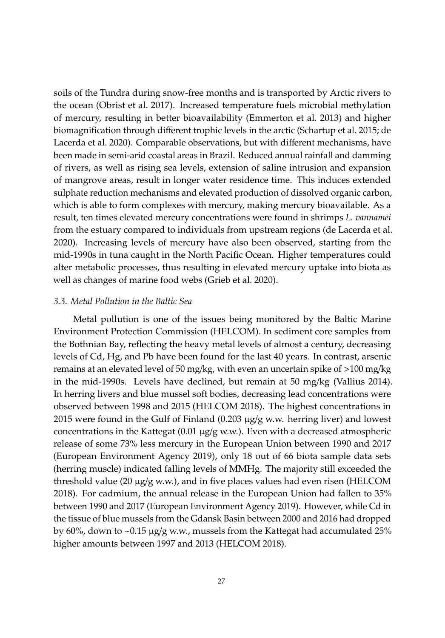soils of the Tundra during snow-free months and is transported by Arctic rivers to the ocean [\(Obrist et al.](#page-41-10) [2017\)](#page-41-10). Increased temperature fuels microbial methylation of mercury, resulting in better bioavailability [\(Emmerton et al.](#page-33-11) [2013\)](#page-33-11) and higher biomagnification through different trophic levels in the arctic [\(Schartup et al.](#page-43-8) [2015;](#page-43-8) [de](#page-32-7) [Lacerda et al.](#page-32-7) [2020\)](#page-32-7). Comparable observations, but with different mechanisms, have been made in semi-arid coastal areas in Brazil. Reduced annual rainfall and damming of rivers, as well as rising sea levels, extension of saline intrusion and expansion of mangrove areas, result in longer water residence time. This induces extended sulphate reduction mechanisms and elevated production of dissolved organic carbon, which is able to form complexes with mercury, making mercury bioavailable. As a result, ten times elevated mercury concentrations were found in shrimps *L. vannamei* from the estuary compared to individuals from upstream regions [\(de Lacerda et al.](#page-32-7) [2020\)](#page-32-7). Increasing levels of mercury have also been observed, starting from the mid-1990s in tuna caught in the North Pacific Ocean. Higher temperatures could alter metabolic processes, thus resulting in elevated mercury uptake into biota as well as changes of marine food webs [\(Grieb et al.](#page-34-5) [2020\)](#page-34-5).

#### *3.3. Metal Pollution in the Baltic Sea*

Metal pollution is one of the issues being monitored by the Baltic Marine Environment Protection Commission (HELCOM). In sediment core samples from the Bothnian Bay, reflecting the heavy metal levels of almost a century, decreasing levels of Cd, Hg, and Pb have been found for the last 40 years. In contrast, arsenic remains at an elevated level of 50 mg/kg, with even an uncertain spike of  $>100$  mg/kg in the mid-1990s. Levels have declined, but remain at 50 mg/kg [\(Vallius](#page-44-8) [2014\)](#page-44-8). In herring livers and blue mussel soft bodies, decreasing lead concentrations were observed between 1998 and 2015 [\(HELCOM](#page-35-8) [2018\)](#page-35-8). The highest concentrations in 2015 were found in the Gulf of Finland (0.203 µg/g w.w. herring liver) and lowest concentrations in the Kattegat (0.01 µg/g w.w.). Even with a decreased atmospheric release of some 73% less mercury in the European Union between 1990 and 2017 [\(European Environment Agency](#page-33-8) [2019\)](#page-33-8), only 18 out of 66 biota sample data sets (herring muscle) indicated falling levels of MMHg. The majority still exceeded the threshold value (20  $\mu$ g/g w.w.), and in five places values had even risen [\(HELCOM](#page-35-8) [2018\)](#page-35-8). For cadmium, the annual release in the European Union had fallen to 35% between 1990 and 2017 [\(European Environment Agency](#page-33-8) [2019\)](#page-33-8). However, while Cd in the tissue of blue mussels from the Gdansk Basin between 2000 and 2016 had dropped by 60%, down to ~0.15 µg/g w.w., mussels from the Kattegat had accumulated 25% higher amounts between 1997 and 2013 [\(HELCOM](#page-35-8) [2018\)](#page-35-8).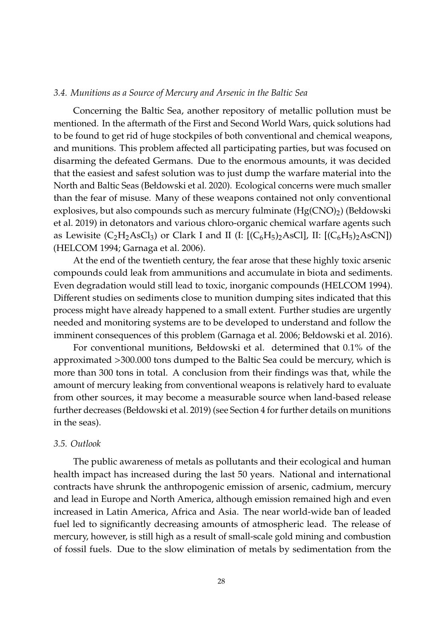#### *3.4. Munitions as a Source of Mercury and Arsenic in the Baltic Sea*

Concerning the Baltic Sea, another repository of metallic pollution must be mentioned. In the aftermath of the First and Second World Wars, quick solutions had to be found to get rid of huge stockpiles of both conventional and chemical weapons, and munitions. This problem affected all participating parties, but was focused on disarming the defeated Germans. Due to the enormous amounts, it was decided that the easiest and safest solution was to just dump the warfare material into the North and Baltic Seas [\(Bełdowski et al.](#page-29-4) [2020\)](#page-29-4). Ecological concerns were much smaller than the fear of misuse. Many of these weapons contained not only conventional explosives, but also compounds such as mercury fulminate  $(Hg(CNO)_2)$  [\(Bełdowski](#page-29-5) [et al.](#page-29-5) [2019\)](#page-29-5) in detonators and various chloro-organic chemical warfare agents such as Lewisite  $(C_2H_2AsCl_3)$  or Clark I and II (I:  $[(C_6H_5)_2AsCl]$ , II:  $[(C_6H_5)_2AsCl]$ [\(HELCOM](#page-35-9) [1994;](#page-35-9) [Garnaga et al.](#page-34-6) [2006\)](#page-34-6).

At the end of the twentieth century, the fear arose that these highly toxic arsenic compounds could leak from ammunitions and accumulate in biota and sediments. Even degradation would still lead to toxic, inorganic compounds [\(HELCOM](#page-35-9) [1994\)](#page-35-9). Different studies on sediments close to munition dumping sites indicated that this process might have already happened to a small extent. Further studies are urgently needed and monitoring systems are to be developed to understand and follow the imminent consequences of this problem [\(Garnaga et al.](#page-34-6) [2006;](#page-34-6) [Bełdowski et al.](#page-29-6) [2016\)](#page-29-6).

For conventional munitions, Bełdowski et al. determined that 0.1% of the approximated >300.000 tons dumped to the Baltic Sea could be mercury, which is more than 300 tons in total. A conclusion from their findings was that, while the amount of mercury leaking from conventional weapons is relatively hard to evaluate from other sources, it may become a measurable source when land-based release further decreases [\(Bełdowski et al.](#page-29-5) [2019\)](#page-29-5) (see Section [4](#page-18-0) for further details on munitions in the seas).

#### *3.5. Outlook*

The public awareness of metals as pollutants and their ecological and human health impact has increased during the last 50 years. National and international contracts have shrunk the anthropogenic emission of arsenic, cadmium, mercury and lead in Europe and North America, although emission remained high and even increased in Latin America, Africa and Asia. The near world-wide ban of leaded fuel led to significantly decreasing amounts of atmospheric lead. The release of mercury, however, is still high as a result of small-scale gold mining and combustion of fossil fuels. Due to the slow elimination of metals by sedimentation from the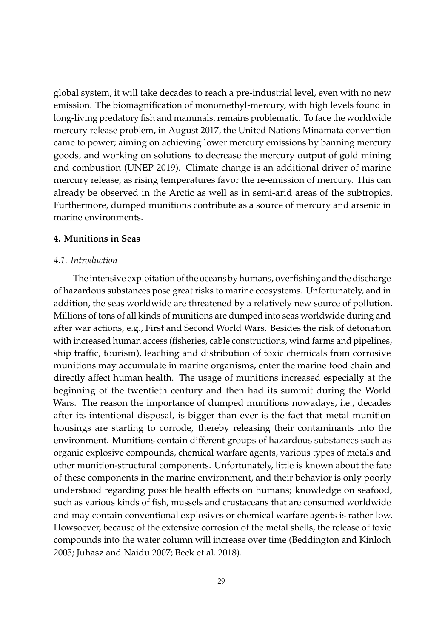global system, it will take decades to reach a pre-industrial level, even with no new emission. The biomagnification of monomethyl-mercury, with high levels found in long-living predatory fish and mammals, remains problematic. To face the worldwide mercury release problem, in August 2017, the United Nations Minamata convention came to power; aiming on achieving lower mercury emissions by banning mercury goods, and working on solutions to decrease the mercury output of gold mining and combustion [\(UNEP](#page-44-9) [2019\)](#page-44-9). Climate change is an additional driver of marine mercury release, as rising temperatures favor the re-emission of mercury. This can already be observed in the Arctic as well as in semi-arid areas of the subtropics. Furthermore, dumped munitions contribute as a source of mercury and arsenic in marine environments.

# <span id="page-18-0"></span>**4. Munitions in Seas**

#### *4.1. Introduction*

The intensive exploitation of the oceans by humans, overfishing and the discharge of hazardous substances pose great risks to marine ecosystems. Unfortunately, and in addition, the seas worldwide are threatened by a relatively new source of pollution. Millions of tons of all kinds of munitions are dumped into seas worldwide during and after war actions, e.g., First and Second World Wars. Besides the risk of detonation with increased human access (fisheries, cable constructions, wind farms and pipelines, ship traffic, tourism), leaching and distribution of toxic chemicals from corrosive munitions may accumulate in marine organisms, enter the marine food chain and directly affect human health. The usage of munitions increased especially at the beginning of the twentieth century and then had its summit during the World Wars. The reason the importance of dumped munitions nowadays, i.e., decades after its intentional disposal, is bigger than ever is the fact that metal munition housings are starting to corrode, thereby releasing their contaminants into the environment. Munitions contain different groups of hazardous substances such as organic explosive compounds, chemical warfare agents, various types of metals and other munition-structural components. Unfortunately, little is known about the fate of these components in the marine environment, and their behavior is only poorly understood regarding possible health effects on humans; knowledge on seafood, such as various kinds of fish, mussels and crustaceans that are consumed worldwide and may contain conventional explosives or chemical warfare agents is rather low. Howsoever, because of the extensive corrosion of the metal shells, the release of toxic compounds into the water column will increase over time [\(Beddington and Kinloch](#page-29-7) [2005;](#page-29-7) [Juhasz and Naidu](#page-36-10) [2007;](#page-36-10) [Beck et al.](#page-29-8) [2018\)](#page-29-8).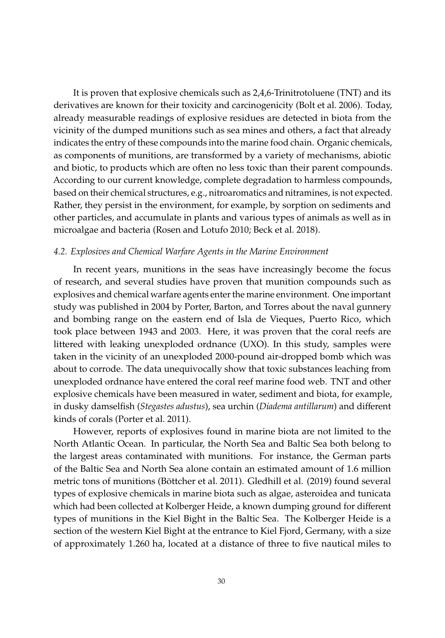It is proven that explosive chemicals such as 2,4,6-Trinitrotoluene (TNT) and its derivatives are known for their toxicity and carcinogenicity [\(Bolt et al.](#page-30-9) [2006\)](#page-30-9). Today, already measurable readings of explosive residues are detected in biota from the vicinity of the dumped munitions such as sea mines and others, a fact that already indicates the entry of these compounds into the marine food chain. Organic chemicals, as components of munitions, are transformed by a variety of mechanisms, abiotic and biotic, to products which are often no less toxic than their parent compounds. According to our current knowledge, complete degradation to harmless compounds, based on their chemical structures, e.g., nitroaromatics and nitramines, is not expected. Rather, they persist in the environment, for example, by sorption on sediments and other particles, and accumulate in plants and various types of animals as well as in microalgae and bacteria [\(Rosen and Lotufo](#page-42-8) [2010;](#page-42-8) [Beck et al.](#page-29-8) [2018\)](#page-29-8).

# *4.2. Explosives and Chemical Warfare Agents in the Marine Environment*

In recent years, munitions in the seas have increasingly become the focus of research, and several studies have proven that munition compounds such as explosives and chemical warfare agents enter the marine environment. One important study was published in 2004 by Porter, Barton, and Torres about the naval gunnery and bombing range on the eastern end of Isla de Vieques, Puerto Rico, which took place between 1943 and 2003. Here, it was proven that the coral reefs are littered with leaking unexploded ordnance (UXO). In this study, samples were taken in the vicinity of an unexploded 2000-pound air-dropped bomb which was about to corrode. The data unequivocally show that toxic substances leaching from unexploded ordnance have entered the coral reef marine food web. TNT and other explosive chemicals have been measured in water, sediment and biota, for example, in dusky damselfish (*Stegastes adustus*), sea urchin (*Diadema antillarum*) and different kinds of corals [\(Porter et al.](#page-41-11) [2011\)](#page-41-11).

However, reports of explosives found in marine biota are not limited to the North Atlantic Ocean. In particular, the North Sea and Baltic Sea both belong to the largest areas contaminated with munitions. For instance, the German parts of the Baltic Sea and North Sea alone contain an estimated amount of 1.6 million metric tons of munitions [\(Böttcher et al.](#page-30-10) [2011\)](#page-30-10). [Gledhill et al.](#page-34-7) [\(2019\)](#page-34-7) found several types of explosive chemicals in marine biota such as algae, asteroidea and tunicata which had been collected at Kolberger Heide, a known dumping ground for different types of munitions in the Kiel Bight in the Baltic Sea. The Kolberger Heide is a section of the western Kiel Bight at the entrance to Kiel Fjord, Germany, with a size of approximately 1.260 ha, located at a distance of three to five nautical miles to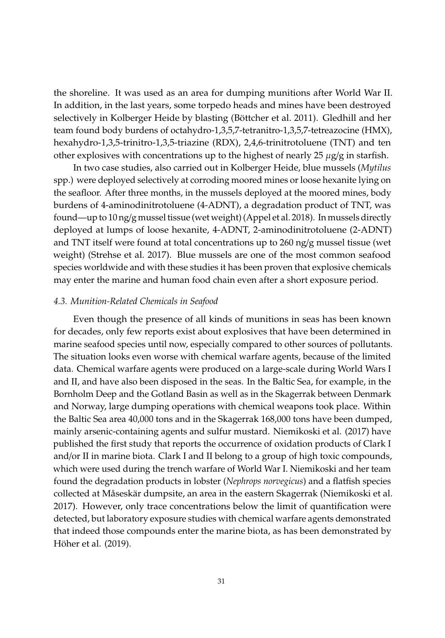the shoreline. It was used as an area for dumping munitions after World War II. In addition, in the last years, some torpedo heads and mines have been destroyed selectively in Kolberger Heide by blasting [\(Böttcher et al.](#page-30-10) [2011\)](#page-30-10). Gledhill and her team found body burdens of octahydro-1,3,5,7-tetranitro-1,3,5,7-tetreazocine (HMX), hexahydro-1,3,5-trinitro-1,3,5-triazine (RDX), 2,4,6-trinitrotoluene (TNT) and ten other explosives with concentrations up to the highest of nearly 25  $\mu$ g/g in starfish.

In two case studies, also carried out in Kolberger Heide, blue mussels (*Mytilus* spp.) were deployed selectively at corroding moored mines or loose hexanite lying on the seafloor. After three months, in the mussels deployed at the moored mines, body burdens of 4-aminodinitrotoluene (4-ADNT), a degradation product of TNT, was found—up to 10 ng/g mussel tissue (wet weight) [\(Appel et al.](#page-28-6) [2018\)](#page-28-6). In mussels directly deployed at lumps of loose hexanite, 4-ADNT, 2-aminodinitrotoluene (2-ADNT) and TNT itself were found at total concentrations up to 260 ng/g mussel tissue (wet weight) [\(Strehse et al.](#page-43-9) [2017\)](#page-43-9). Blue mussels are one of the most common seafood species worldwide and with these studies it has been proven that explosive chemicals may enter the marine and human food chain even after a short exposure period.

#### *4.3. Munition-Related Chemicals in Seafood*

Even though the presence of all kinds of munitions in seas has been known for decades, only few reports exist about explosives that have been determined in marine seafood species until now, especially compared to other sources of pollutants. The situation looks even worse with chemical warfare agents, because of the limited data. Chemical warfare agents were produced on a large-scale during World Wars I and II, and have also been disposed in the seas. In the Baltic Sea, for example, in the Bornholm Deep and the Gotland Basin as well as in the Skagerrak between Denmark and Norway, large dumping operations with chemical weapons took place. Within the Baltic Sea area 40,000 tons and in the Skagerrak 168,000 tons have been dumped, mainly arsenic-containing agents and sulfur mustard. [Niemikoski et al.](#page-40-10) [\(2017\)](#page-40-10) have published the first study that reports the occurrence of oxidation products of Clark I and/or II in marine biota. Clark I and II belong to a group of high toxic compounds, which were used during the trench warfare of World War I. Niemikoski and her team found the degradation products in lobster (*Nephrops norvegicus*) and a flatfish species collected at Måseskär dumpsite, an area in the eastern Skagerrak [\(Niemikoski et al.](#page-40-10) [2017\)](#page-40-10). However, only trace concentrations below the limit of quantification were detected, but laboratory exposure studies with chemical warfare agents demonstrated that indeed those compounds enter the marine biota, as has been demonstrated by [Höher et al.](#page-35-10) [\(2019\)](#page-35-10).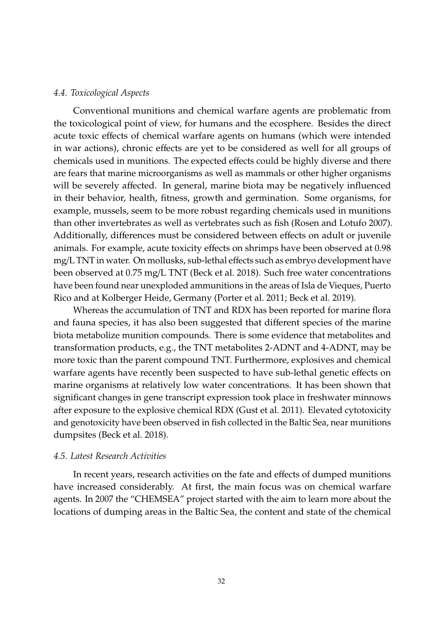# *4.4. Toxicological Aspects*

Conventional munitions and chemical warfare agents are problematic from the toxicological point of view, for humans and the ecosphere. Besides the direct acute toxic effects of chemical warfare agents on humans (which were intended in war actions), chronic effects are yet to be considered as well for all groups of chemicals used in munitions. The expected effects could be highly diverse and there are fears that marine microorganisms as well as mammals or other higher organisms will be severely affected. In general, marine biota may be negatively influenced in their behavior, health, fitness, growth and germination. Some organisms, for example, mussels, seem to be more robust regarding chemicals used in munitions than other invertebrates as well as vertebrates such as fish [\(Rosen and Lotufo](#page-42-9) [2007\)](#page-42-9). Additionally, differences must be considered between effects on adult or juvenile animals. For example, acute toxicity effects on shrimps have been observed at 0.98 mg/L TNT in water. On mollusks, sub-lethal effects such as embryo development have been observed at 0.75 mg/L TNT [\(Beck et al.](#page-29-8) [2018\)](#page-29-8). Such free water concentrations have been found near unexploded ammunitions in the areas of Isla de Vieques, Puerto Rico and at Kolberger Heide, Germany [\(Porter et al.](#page-41-11) [2011;](#page-41-11) [Beck et al.](#page-29-9) [2019\)](#page-29-9).

Whereas the accumulation of TNT and RDX has been reported for marine flora and fauna species, it has also been suggested that different species of the marine biota metabolize munition compounds. There is some evidence that metabolites and transformation products, e.g., the TNT metabolites 2-ADNT and 4-ADNT, may be more toxic than the parent compound TNT. Furthermore, explosives and chemical warfare agents have recently been suspected to have sub-lethal genetic effects on marine organisms at relatively low water concentrations. It has been shown that significant changes in gene transcript expression took place in freshwater minnows after exposure to the explosive chemical RDX [\(Gust et al.](#page-34-8) [2011\)](#page-34-8). Elevated cytotoxicity and genotoxicity have been observed in fish collected in the Baltic Sea, near munitions dumpsites [\(Beck et al.](#page-29-8) [2018\)](#page-29-8).

# *4.5. Latest Research Activities*

In recent years, research activities on the fate and effects of dumped munitions have increased considerably. At first, the main focus was on chemical warfare agents. In 2007 the "CHEMSEA" project started with the aim to learn more about the locations of dumping areas in the Baltic Sea, the content and state of the chemical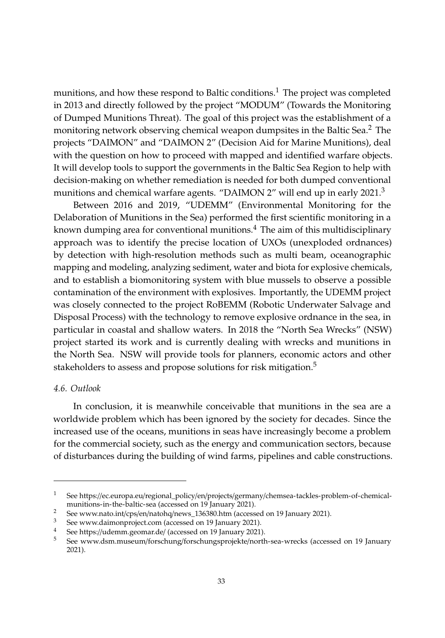munitions, and how these respond to Baltic conditions.<sup>1</sup> The project was completed in 2013 and directly followed by the project "MODUM" (Towards the Monitoring of Dumped Munitions Threat). The goal of this project was the establishment of a monitoring network observing chemical weapon dumpsites in the Baltic Sea.<sup>2</sup> The projects "DAIMON" and "DAIMON 2" (Decision Aid for Marine Munitions), deal with the question on how to proceed with mapped and identified warfare objects. It will develop tools to support the governments in the Baltic Sea Region to help with decision-making on whether remediation is needed for both dumped conventional munitions and chemical warfare agents. "DAIMON 2" will end up in early 2021.<sup>3</sup>

Between 2016 and 2019, "UDEMM" (Environmental Monitoring for the Delaboration of Munitions in the Sea) performed the first scientific monitoring in a known dumping area for conventional munitions.<sup>4</sup> The aim of this multidisciplinary approach was to identify the precise location of UXOs (unexploded ordnances) by detection with high-resolution methods such as multi beam, oceanographic mapping and modeling, analyzing sediment, water and biota for explosive chemicals, and to establish a biomonitoring system with blue mussels to observe a possible contamination of the environment with explosives. Importantly, the UDEMM project was closely connected to the project RoBEMM (Robotic Underwater Salvage and Disposal Process) with the technology to remove explosive ordnance in the sea, in particular in coastal and shallow waters. In 2018 the "North Sea Wrecks" (NSW) project started its work and is currently dealing with wrecks and munitions in the North Sea. NSW will provide tools for planners, economic actors and other stakeholders to assess and propose solutions for risk mitigation.<sup>5</sup>

# *4.6. Outlook*

In conclusion, it is meanwhile conceivable that munitions in the sea are a worldwide problem which has been ignored by the society for decades. Since the increased use of the oceans, munitions in seas have increasingly become a problem for the commercial society, such as the energy and communication sectors, because of disturbances during the building of wind farms, pipelines and cable constructions.

<sup>1</sup> See https://ec.europa.eu/regional\_policy/en/projects/germany/[chemsea-tackles-problem-of-chemical](https://ec.europa.eu/regional_policy/en/projects/germany/chemsea-tackles-problem-of-chemical-munitions-in-the-baltic-sea)[munitions-in-the-baltic-sea](https://ec.europa.eu/regional_policy/en/projects/germany/chemsea-tackles-problem-of-chemical-munitions-in-the-baltic-sea) (accessed on 19 January 2021).

<sup>&</sup>lt;sup>2</sup> See www.nato.int/cps/en/natohq/[news\\_136380.htm](www.nato.int/cps/en/natohq/news_136380.htm) (accessed on 19 January 2021).<br><sup>3</sup> See yrithic dimensional com (accessed on 10 January 2021).

<sup>&</sup>lt;sup>3</sup> See <www.daimonproject.com> (accessed on 19 January 2021).

<sup>&</sup>lt;sup>4</sup> See https://[udemm.geomar.de](https://udemm.geomar.de/)/ (accessed on 19 January 2021).<br>5 See variation museum/forcebung/forcebungspresialte/port-

<sup>5</sup> See [www.dsm.museum](www.dsm.museum/forschung/forschungsprojekte/north-sea-wrecks)/forschung/forschungsprojekte/north-sea-wrecks (accessed on 19 January 2021).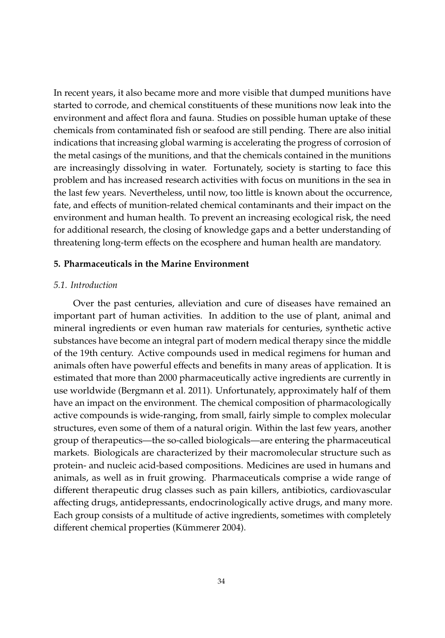In recent years, it also became more and more visible that dumped munitions have started to corrode, and chemical constituents of these munitions now leak into the environment and affect flora and fauna. Studies on possible human uptake of these chemicals from contaminated fish or seafood are still pending. There are also initial indications that increasing global warming is accelerating the progress of corrosion of the metal casings of the munitions, and that the chemicals contained in the munitions are increasingly dissolving in water. Fortunately, society is starting to face this problem and has increased research activities with focus on munitions in the sea in the last few years. Nevertheless, until now, too little is known about the occurrence, fate, and effects of munition-related chemical contaminants and their impact on the environment and human health. To prevent an increasing ecological risk, the need for additional research, the closing of knowledge gaps and a better understanding of threatening long-term effects on the ecosphere and human health are mandatory.

# **5. Pharmaceuticals in the Marine Environment**

#### *5.1. Introduction*

Over the past centuries, alleviation and cure of diseases have remained an important part of human activities. In addition to the use of plant, animal and mineral ingredients or even human raw materials for centuries, synthetic active substances have become an integral part of modern medical therapy since the middle of the 19th century. Active compounds used in medical regimens for human and animals often have powerful effects and benefits in many areas of application. It is estimated that more than 2000 pharmaceutically active ingredients are currently in use worldwide [\(Bergmann et al.](#page-29-10) [2011\)](#page-29-10). Unfortunately, approximately half of them have an impact on the environment. The chemical composition of pharmacologically active compounds is wide-ranging, from small, fairly simple to complex molecular structures, even some of them of a natural origin. Within the last few years, another group of therapeutics—the so-called biologicals—are entering the pharmaceutical markets. Biologicals are characterized by their macromolecular structure such as protein- and nucleic acid-based compositions. Medicines are used in humans and animals, as well as in fruit growing. Pharmaceuticals comprise a wide range of different therapeutic drug classes such as pain killers, antibiotics, cardiovascular affecting drugs, antidepressants, endocrinologically active drugs, and many more. Each group consists of a multitude of active ingredients, sometimes with completely different chemical properties [\(Kümmerer](#page-37-10) [2004\)](#page-37-10).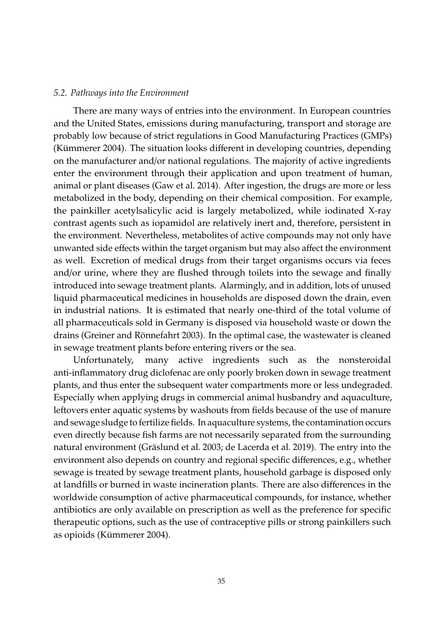#### *5.2. Pathways into the Environment*

There are many ways of entries into the environment. In European countries and the United States, emissions during manufacturing, transport and storage are probably low because of strict regulations in Good Manufacturing Practices (GMPs) [\(Kümmerer](#page-37-10) [2004\)](#page-37-10). The situation looks different in developing countries, depending on the manufacturer and/or national regulations. The majority of active ingredients enter the environment through their application and upon treatment of human, animal or plant diseases [\(Gaw et al.](#page-34-9) [2014\)](#page-34-9). After ingestion, the drugs are more or less metabolized in the body, depending on their chemical composition. For example, the painkiller acetylsalicylic acid is largely metabolized, while iodinated X-ray contrast agents such as iopamidol are relatively inert and, therefore, persistent in the environment. Nevertheless, metabolites of active compounds may not only have unwanted side effects within the target organism but may also affect the environment as well. Excretion of medical drugs from their target organisms occurs via feces and/or urine, where they are flushed through toilets into the sewage and finally introduced into sewage treatment plants. Alarmingly, and in addition, lots of unused liquid pharmaceutical medicines in households are disposed down the drain, even in industrial nations. It is estimated that nearly one-third of the total volume of all pharmaceuticals sold in Germany is disposed via household waste or down the drains [\(Greiner and Rönnefahrt](#page-34-10) [2003\)](#page-34-10). In the optimal case, the wastewater is cleaned in sewage treatment plants before entering rivers or the sea.

Unfortunately, many active ingredients such as the nonsteroidal anti-inflammatory drug diclofenac are only poorly broken down in sewage treatment plants, and thus enter the subsequent water compartments more or less undegraded. Especially when applying drugs in commercial animal husbandry and aquaculture, leftovers enter aquatic systems by washouts from fields because of the use of manure and sewage sludge to fertilize fields. In aquaculture systems, the contamination occurs even directly because fish farms are not necessarily separated from the surrounding natural environment [\(Gräslund et al.](#page-34-11) [2003;](#page-34-11) [de Lacerda et al.](#page-32-8) [2019\)](#page-32-8). The entry into the environment also depends on country and regional specific differences, e.g., whether sewage is treated by sewage treatment plants, household garbage is disposed only at landfills or burned in waste incineration plants. There are also differences in the worldwide consumption of active pharmaceutical compounds, for instance, whether antibiotics are only available on prescription as well as the preference for specific therapeutic options, such as the use of contraceptive pills or strong painkillers such as opioids [\(Kümmerer](#page-37-10) [2004\)](#page-37-10).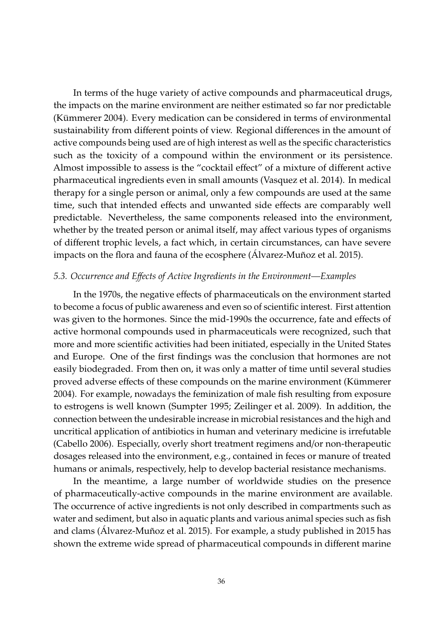In terms of the huge variety of active compounds and pharmaceutical drugs, the impacts on the marine environment are neither estimated so far nor predictable [\(Kümmerer](#page-37-10) [2004\)](#page-37-10). Every medication can be considered in terms of environmental sustainability from different points of view. Regional differences in the amount of active compounds being used are of high interest as well as the specific characteristics such as the toxicity of a compound within the environment or its persistence. Almost impossible to assess is the "cocktail effect" of a mixture of different active pharmaceutical ingredients even in small amounts [\(Vasquez et al.](#page-45-9) [2014\)](#page-45-9). In medical therapy for a single person or animal, only a few compounds are used at the same time, such that intended effects and unwanted side effects are comparably well predictable. Nevertheless, the same components released into the environment, whether by the treated person or animal itself, may affect various types of organisms of different trophic levels, a fact which, in certain circumstances, can have severe impacts on the flora and fauna of the ecosphere (Á[lvarez-Muñoz et al.](#page-28-7) [2015\)](#page-28-7).

# *5.3. Occurrence and E*ff*ects of Active Ingredients in the Environment—Examples*

In the 1970s, the negative effects of pharmaceuticals on the environment started to become a focus of public awareness and even so of scientific interest. First attention was given to the hormones. Since the mid-1990s the occurrence, fate and effects of active hormonal compounds used in pharmaceuticals were recognized, such that more and more scientific activities had been initiated, especially in the United States and Europe. One of the first findings was the conclusion that hormones are not easily biodegraded. From then on, it was only a matter of time until several studies proved adverse effects of these compounds on the marine environment [\(Kümmerer](#page-37-10) [2004\)](#page-37-10). For example, nowadays the feminization of male fish resulting from exposure to estrogens is well known [\(Sumpter](#page-43-10) [1995;](#page-43-10) [Zeilinger et al.](#page-46-11) [2009\)](#page-46-11). In addition, the connection between the undesirable increase in microbial resistances and the high and uncritical application of antibiotics in human and veterinary medicine is irrefutable [\(Cabello](#page-31-9) [2006\)](#page-31-9). Especially, overly short treatment regimens and/or non-therapeutic dosages released into the environment, e.g., contained in feces or manure of treated humans or animals, respectively, help to develop bacterial resistance mechanisms.

In the meantime, a large number of worldwide studies on the presence of pharmaceutically-active compounds in the marine environment are available. The occurrence of active ingredients is not only described in compartments such as water and sediment, but also in aquatic plants and various animal species such as fish and clams (Á[lvarez-Muñoz et al.](#page-28-7) [2015\)](#page-28-7). For example, a study published in 2015 has shown the extreme wide spread of pharmaceutical compounds in different marine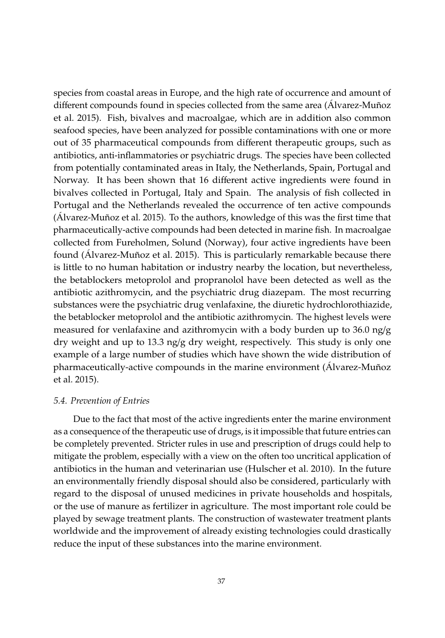species from coastal areas in Europe, and the high rate of occurrence and amount of different compounds found in species collected from the same area (Á[lvarez-Muñoz](#page-28-7) [et al.](#page-28-7) [2015\)](#page-28-7). Fish, bivalves and macroalgae, which are in addition also common seafood species, have been analyzed for possible contaminations with one or more out of 35 pharmaceutical compounds from different therapeutic groups, such as antibiotics, anti-inflammatories or psychiatric drugs. The species have been collected from potentially contaminated areas in Italy, the Netherlands, Spain, Portugal and Norway. It has been shown that 16 different active ingredients were found in bivalves collected in Portugal, Italy and Spain. The analysis of fish collected in Portugal and the Netherlands revealed the occurrence of ten active compounds (Á[lvarez-Muñoz et al.](#page-28-7) [2015\)](#page-28-7). To the authors, knowledge of this was the first time that pharmaceutically-active compounds had been detected in marine fish. In macroalgae collected from Fureholmen, Solund (Norway), four active ingredients have been found (Á[lvarez-Muñoz et al.](#page-28-7) [2015\)](#page-28-7). This is particularly remarkable because there is little to no human habitation or industry nearby the location, but nevertheless, the betablockers metoprolol and propranolol have been detected as well as the antibiotic azithromycin, and the psychiatric drug diazepam. The most recurring substances were the psychiatric drug venlafaxine, the diuretic hydrochlorothiazide, the betablocker metoprolol and the antibiotic azithromycin. The highest levels were measured for venlafaxine and azithromycin with a body burden up to  $36.0 \text{ ng/g}$ dry weight and up to 13.3 ng/g dry weight, respectively. This study is only one example of a large number of studies which have shown the wide distribution of pharmaceutically-active compounds in the marine environment (Á[lvarez-Muñoz](#page-28-7) [et al.](#page-28-7) [2015\)](#page-28-7).

#### *5.4. Prevention of Entries*

Due to the fact that most of the active ingredients enter the marine environment as a consequence of the therapeutic use of drugs, is it impossible that future entries can be completely prevented. Stricter rules in use and prescription of drugs could help to mitigate the problem, especially with a view on the often too uncritical application of antibiotics in the human and veterinarian use [\(Hulscher et al.](#page-36-11) [2010\)](#page-36-11). In the future an environmentally friendly disposal should also be considered, particularly with regard to the disposal of unused medicines in private households and hospitals, or the use of manure as fertilizer in agriculture. The most important role could be played by sewage treatment plants. The construction of wastewater treatment plants worldwide and the improvement of already existing technologies could drastically reduce the input of these substances into the marine environment.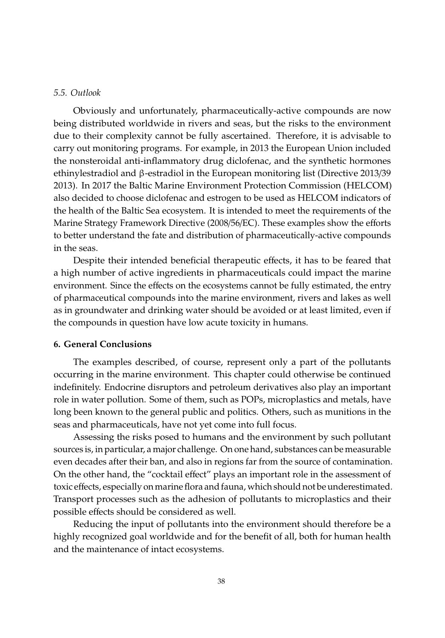#### *5.5. Outlook*

Obviously and unfortunately, pharmaceutically-active compounds are now being distributed worldwide in rivers and seas, but the risks to the environment due to their complexity cannot be fully ascertained. Therefore, it is advisable to carry out monitoring programs. For example, in 2013 the European Union included the nonsteroidal anti-inflammatory drug diclofenac, and the synthetic hormones ethinylestradiol and β-estradiol in the European monitoring list [\(Directive 2013](#page-32-9)/39 [2013\)](#page-32-9). In 2017 the Baltic Marine Environment Protection Commission (HELCOM) also decided to choose diclofenac and estrogen to be used as HELCOM indicators of the health of the Baltic Sea ecosystem. It is intended to meet the requirements of the Marine Strategy Framework Directive (2008/56/EC). These examples show the efforts to better understand the fate and distribution of pharmaceutically-active compounds in the seas.

Despite their intended beneficial therapeutic effects, it has to be feared that a high number of active ingredients in pharmaceuticals could impact the marine environment. Since the effects on the ecosystems cannot be fully estimated, the entry of pharmaceutical compounds into the marine environment, rivers and lakes as well as in groundwater and drinking water should be avoided or at least limited, even if the compounds in question have low acute toxicity in humans.

#### **6. General Conclusions**

The examples described, of course, represent only a part of the pollutants occurring in the marine environment. This chapter could otherwise be continued indefinitely. Endocrine disruptors and petroleum derivatives also play an important role in water pollution. Some of them, such as POPs, microplastics and metals, have long been known to the general public and politics. Others, such as munitions in the seas and pharmaceuticals, have not yet come into full focus.

Assessing the risks posed to humans and the environment by such pollutant sources is, in particular, a major challenge. On one hand, substances can be measurable even decades after their ban, and also in regions far from the source of contamination. On the other hand, the "cocktail effect" plays an important role in the assessment of toxic effects, especially on marine flora and fauna, which should not be underestimated. Transport processes such as the adhesion of pollutants to microplastics and their possible effects should be considered as well.

Reducing the input of pollutants into the environment should therefore be a highly recognized goal worldwide and for the benefit of all, both for human health and the maintenance of intact ecosystems.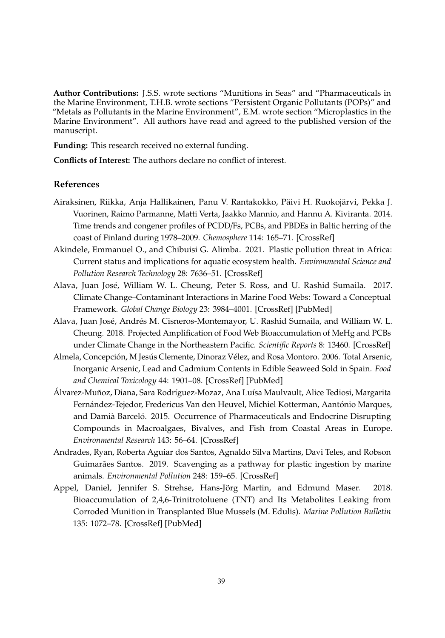**Author Contributions:** J.S.S. wrote sections "Munitions in Seas" and "Pharmaceuticals in the Marine Environment, T.H.B. wrote sections "Persistent Organic Pollutants (POPs)" and "Metals as Pollutants in the Marine Environment", E.M. wrote section "Microplastics in the Marine Environment". All authors have read and agreed to the published version of the manuscript.

**Funding:** This research received no external funding.

**Conflicts of Interest:** The authors declare no conflict of interest.

# **References**

- <span id="page-28-2"></span>Airaksinen, Riikka, Anja Hallikainen, Panu V. Rantakokko, Päivi H. Ruokojärvi, Pekka J. Vuorinen, Raimo Parmanne, Matti Verta, Jaakko Mannio, and Hannu A. Kiviranta. 2014. Time trends and congener profiles of PCDD/Fs, PCBs, and PBDEs in Baltic herring of the coast of Finland during 1978–2009. *Chemosphere* 114: 165–71. [\[CrossRef\]](http://doi.org/10.1016/j.chemosphere.2014.03.097)
- <span id="page-28-1"></span>Akindele, Emmanuel O., and Chibuisi G. Alimba. 2021. Plastic pollution threat in Africa: Current status and implications for aquatic ecosystem health. *Environmental Science and Pollution Research Technology* 28: 7636–51. [\[CrossRef\]](http://doi.org/10.1007/s11356-020-11736-6)
- <span id="page-28-3"></span>Alava, Juan José, William W. L. Cheung, Peter S. Ross, and U. Rashid Sumaila. 2017. Climate Change–Contaminant Interactions in Marine Food Webs: Toward a Conceptual Framework. *Global Change Biology* 23: 3984–4001. [\[CrossRef\]](http://doi.org/10.1111/gcb.13667) [\[PubMed\]](http://www.ncbi.nlm.nih.gov/pubmed/28212462)
- <span id="page-28-4"></span>Alava, Juan José, Andrés M. Cisneros-Montemayor, U. Rashid Sumaila, and William W. L. Cheung. 2018. Projected Amplification of Food Web Bioaccumulation of MeHg and PCBs under Climate Change in the Northeastern Pacific. *Scientific Reports* 8: 13460. [\[CrossRef\]](http://doi.org/10.1038/s41598-018-31824-5)
- <span id="page-28-5"></span>Almela, Concepción, M Jesús Clemente, Dinoraz Vélez, and Rosa Montoro. 2006. Total Arsenic, Inorganic Arsenic, Lead and Cadmium Contents in Edible Seaweed Sold in Spain. *Food and Chemical Toxicology* 44: 1901–08. [\[CrossRef\]](http://doi.org/10.1016/j.fct.2006.06.011) [\[PubMed\]](http://www.ncbi.nlm.nih.gov/pubmed/16901603)
- <span id="page-28-7"></span>Álvarez-Muñoz, Diana, Sara Rodríguez-Mozaz, Ana Luísa Maulvault, Alice Tediosi, Margarita Fernández-Tejedor, Fredericus Van den Heuvel, Michiel Kotterman, Aantónio Marques, and Damià Barceló. 2015. Occurrence of Pharmaceuticals and Endocrine Disrupting Compounds in Macroalgaes, Bivalves, and Fish from Coastal Areas in Europe. *Environmental Research* 143: 56–64. [\[CrossRef\]](http://doi.org/10.1016/j.envres.2015.09.018)
- <span id="page-28-0"></span>Andrades, Ryan, Roberta Aguiar dos Santos, Agnaldo Silva Martins, Davi Teles, and Robson Guimarães Santos. 2019. Scavenging as a pathway for plastic ingestion by marine animals. *Environmental Pollution* 248: 159–65. [\[CrossRef\]](http://doi.org/10.1016/j.envpol.2019.02.010)
- <span id="page-28-6"></span>Appel, Daniel, Jennifer S. Strehse, Hans-Jörg Martin, and Edmund Maser. 2018. Bioaccumulation of 2,4,6-Trinitrotoluene (TNT) and Its Metabolites Leaking from Corroded Munition in Transplanted Blue Mussels (M. Edulis). *Marine Pollution Bulletin* 135: 1072–78. [\[CrossRef\]](http://doi.org/10.1016/j.marpolbul.2018.08.028) [\[PubMed\]](http://www.ncbi.nlm.nih.gov/pubmed/30301003)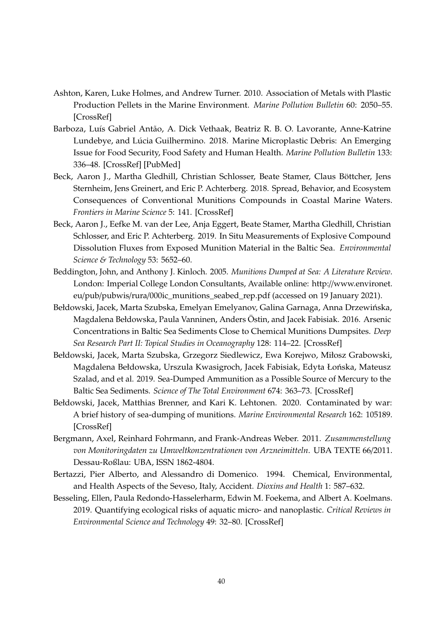- <span id="page-29-2"></span>Ashton, Karen, Luke Holmes, and Andrew Turner. 2010. Association of Metals with Plastic Production Pellets in the Marine Environment. *Marine Pollution Bulletin* 60: 2050–55. [\[CrossRef\]](http://doi.org/10.1016/j.marpolbul.2010.07.014)
- <span id="page-29-0"></span>Barboza, Luís Gabriel Antão, A. Dick Vethaak, Beatriz R. B. O. Lavorante, Anne-Katrine Lundebye, and Lúcia Guilhermino. 2018. Marine Microplastic Debris: An Emerging Issue for Food Security, Food Safety and Human Health. *Marine Pollution Bulletin* 133: 336–48. [\[CrossRef\]](http://doi.org/10.1016/j.marpolbul.2018.05.047) [\[PubMed\]](http://www.ncbi.nlm.nih.gov/pubmed/30041323)
- <span id="page-29-8"></span>Beck, Aaron J., Martha Gledhill, Christian Schlosser, Beate Stamer, Claus Böttcher, Jens Sternheim, Jens Greinert, and Eric P. Achterberg. 2018. Spread, Behavior, and Ecosystem Consequences of Conventional Munitions Compounds in Coastal Marine Waters. *Frontiers in Marine Science* 5: 141. [\[CrossRef\]](http://doi.org/10.3389/fmars.2018.00141)
- <span id="page-29-9"></span>Beck, Aaron J., Eefke M. van der Lee, Anja Eggert, Beate Stamer, Martha Gledhill, Christian Schlosser, and Eric P. Achterberg. 2019. In Situ Measurements of Explosive Compound Dissolution Fluxes from Exposed Munition Material in the Baltic Sea. *Environmental Science & Technology* 53: 5652–60.
- <span id="page-29-7"></span>Beddington, John, and Anthony J. Kinloch. 2005. *Munitions Dumped at Sea: A Literature Review*. London: Imperial College London Consultants, Available online: http://[www.environet.](http://www.environet.eu/pub/pubwis/rura/000ic_munitions_seabed_rep.pdf) eu/pub/pubwis/rura/[000ic\\_munitions\\_seabed\\_rep.pdf](http://www.environet.eu/pub/pubwis/rura/000ic_munitions_seabed_rep.pdf) (accessed on 19 January 2021).
- <span id="page-29-6"></span>Bełdowski, Jacek, Marta Szubska, Emelyan Emelyanov, Galina Garnaga, Anna Drzewińska, Magdalena Bełdowska, Paula Vanninen, Anders Östin, and Jacek Fabisiak. 2016. Arsenic Concentrations in Baltic Sea Sediments Close to Chemical Munitions Dumpsites. *Deep Sea Research Part II: Topical Studies in Oceanography* 128: 114–22. [\[CrossRef\]](http://doi.org/10.1016/j.dsr2.2015.03.001)
- <span id="page-29-5"></span>Bełdowski, Jacek, Marta Szubska, Grzegorz Siedlewicz, Ewa Korejwo, Miłosz Grabowski, Magdalena Bełdowska, Urszula Kwasigroch, Jacek Fabisiak, Edyta Łońska, Mateusz Szalad, and et al. 2019. Sea-Dumped Ammunition as a Possible Source of Mercury to the Baltic Sea Sediments. *Science of The Total Environment* 674: 363–73. [\[CrossRef\]](http://doi.org/10.1016/j.scitotenv.2019.04.058)
- <span id="page-29-4"></span>Bełdowski, Jacek, Matthias Brenner, and Kari K. Lehtonen. 2020. Contaminated by war: A brief history of sea-dumping of munitions. *Marine Environmental Research* 162: 105189. [\[CrossRef\]](http://doi.org/10.1016/j.marenvres.2020.105189)
- <span id="page-29-10"></span>Bergmann, Axel, Reinhard Fohrmann, and Frank-Andreas Weber. 2011. *Zusammenstellung von Monitoringdaten zu Umweltkonzentrationen von Arzneimitteln*. UBA TEXTE 66/2011. Dessau-Roßlau: UBA, ISSN 1862-4804.
- <span id="page-29-3"></span>Bertazzi, Pier Alberto, and Alessandro di Domenico. 1994. Chemical, Environmental, and Health Aspects of the Seveso, Italy, Accident. *Dioxins and Health* 1: 587–632.
- <span id="page-29-1"></span>Besseling, Ellen, Paula Redondo-Hasselerharm, Edwin M. Foekema, and Albert A. Koelmans. 2019. Quantifying ecological risks of aquatic micro- and nanoplastic. *Critical Reviews in Environmental Science and Technology* 49: 32–80. [\[CrossRef\]](http://doi.org/10.1080/10643389.2018.1531688)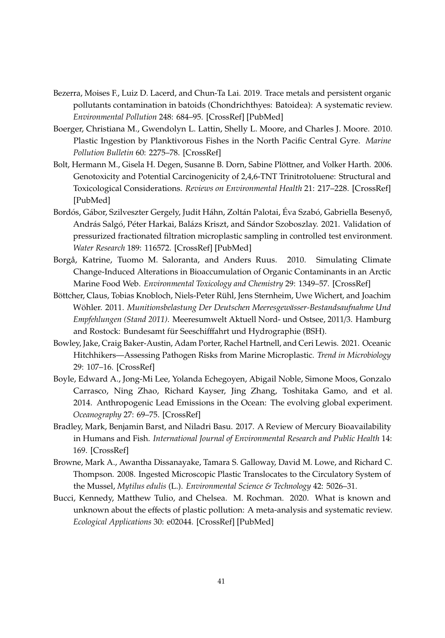- <span id="page-30-8"></span>Bezerra, Moises F., Luiz D. Lacerd, and Chun-Ta Lai. 2019. Trace metals and persistent organic pollutants contamination in batoids (Chondrichthyes: Batoidea): A systematic review. *Environmental Pollution* 248: 684–95. [\[CrossRef\]](http://doi.org/10.1016/j.envpol.2019.02.070) [\[PubMed\]](http://www.ncbi.nlm.nih.gov/pubmed/30849586)
- <span id="page-30-2"></span>Boerger, Christiana M., Gwendolyn L. Lattin, Shelly L. Moore, and Charles J. Moore. 2010. Plastic Ingestion by Planktivorous Fishes in the North Pacific Central Gyre. *Marine Pollution Bulletin* 60: 2275–78. [\[CrossRef\]](http://doi.org/10.1016/j.marpolbul.2010.08.007)
- <span id="page-30-9"></span>Bolt, Hermann M., Gisela H. Degen, Susanne B. Dorn, Sabine Plöttner, and Volker Harth. 2006. Genotoxicity and Potential Carcinogenicity of 2,4,6-TNT Trinitrotoluene: Structural and Toxicological Considerations. *Reviews on Environmental Health* 21: 217–228. [\[CrossRef\]](http://doi.org/10.1515/REVEH.2006.21.4.217) [\[PubMed\]](http://www.ncbi.nlm.nih.gov/pubmed/17243348)
- <span id="page-30-4"></span>Bordós, Gábor, Szilveszter Gergely, Judit Háhn, Zoltán Palotai, Éva Szabó, Gabriella Besenyő, András Salgó, Péter Harkai, Balázs Kriszt, and Sándor Szoboszlay. 2021. Validation of pressurized fractionated filtration microplastic sampling in controlled test environment. *Water Research* 189: 116572. [\[CrossRef\]](http://doi.org/10.1016/j.watres.2020.116572) [\[PubMed\]](http://www.ncbi.nlm.nih.gov/pubmed/33157414)
- <span id="page-30-5"></span>Borgå, Katrine, Tuomo M. Saloranta, and Anders Ruus. 2010. Simulating Climate Change-Induced Alterations in Bioaccumulation of Organic Contaminants in an Arctic Marine Food Web. *Environmental Toxicology and Chemistry* 29: 1349–57. [\[CrossRef\]](http://doi.org/10.1002/etc.159)
- <span id="page-30-10"></span>Böttcher, Claus, Tobias Knobloch, Niels-Peter Rühl, Jens Sternheim, Uwe Wichert, and Joachim Wöhler. 2011. *Munitionsbelastung Der Deutschen Meeresgewässer-Bestandsaufnahme Und Empfehlungen (Stand 2011)*. Meeresumwelt Aktuell Nord- und Ostsee, 2011/3. Hamburg and Rostock: Bundesamt für Seeschifffahrt und Hydrographie (BSH).
- <span id="page-30-3"></span>Bowley, Jake, Craig Baker-Austin, Adam Porter, Rachel Hartnell, and Ceri Lewis. 2021. Oceanic Hitchhikers—Assessing Pathogen Risks from Marine Microplastic. *Trend in Microbiology* 29: 107–16. [\[CrossRef\]](http://doi.org/10.1016/j.tim.2020.06.011)
- <span id="page-30-6"></span>Boyle, Edward A., Jong-Mi Lee, Yolanda Echegoyen, Abigail Noble, Simone Moos, Gonzalo Carrasco, Ning Zhao, Richard Kayser, Jing Zhang, Toshitaka Gamo, and et al. 2014. Anthropogenic Lead Emissions in the Ocean: The evolving global experiment. *Oceanography* 27: 69–75. [\[CrossRef\]](http://doi.org/10.5670/oceanog.2014.10)
- <span id="page-30-7"></span>Bradley, Mark, Benjamin Barst, and Niladri Basu. 2017. A Review of Mercury Bioavailability in Humans and Fish. *International Journal of Environmental Research and Public Health* 14: 169. [\[CrossRef\]](http://doi.org/10.3390/ijerph14020169)
- <span id="page-30-1"></span>Browne, Mark A., Awantha Dissanayake, Tamara S. Galloway, David M. Lowe, and Richard C. Thompson. 2008. Ingested Microscopic Plastic Translocates to the Circulatory System of the Mussel, *Mytilus edulis* (L.). *Environmental Science & Technology* 42: 5026–31.
- <span id="page-30-0"></span>Bucci, Kennedy, Matthew Tulio, and Chelsea. M. Rochman. 2020. What is known and unknown about the effects of plastic pollution: A meta-analysis and systematic review. *Ecological Applications* 30: e02044. [\[CrossRef\]](http://doi.org/10.1002/eap.2044) [\[PubMed\]](http://www.ncbi.nlm.nih.gov/pubmed/31758826)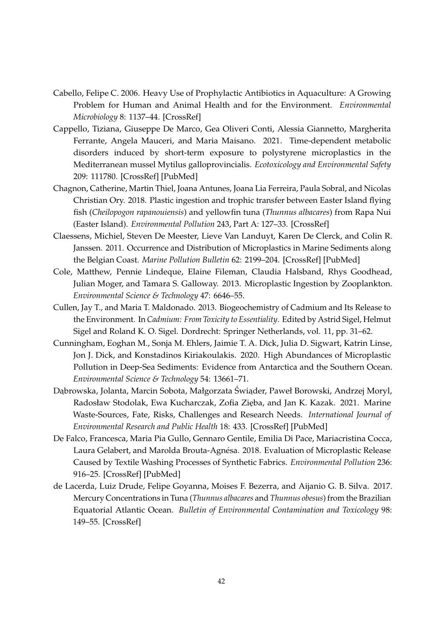- <span id="page-31-9"></span>Cabello, Felipe C. 2006. Heavy Use of Prophylactic Antibiotics in Aquaculture: A Growing Problem for Human and Animal Health and for the Environment. *Environmental Microbiology* 8: 1137–44. [\[CrossRef\]](http://doi.org/10.1111/j.1462-2920.2006.01054.x)
- <span id="page-31-5"></span>Cappello, Tiziana, Giuseppe De Marco, Gea Oliveri Conti, Alessia Giannetto, Margherita Ferrante, Angela Mauceri, and Maria Maisano. 2021. Time-dependent metabolic disorders induced by short-term exposure to polystyrene microplastics in the Mediterranean mussel Mytilus galloprovincialis. *Ecotoxicology and Environmental Safety* 209: 111780. [\[CrossRef\]](http://doi.org/10.1016/j.ecoenv.2020.111780) [\[PubMed\]](http://www.ncbi.nlm.nih.gov/pubmed/33352432)
- <span id="page-31-6"></span>Chagnon, Catherine, Martin Thiel, Joana Antunes, Joana Lia Ferreira, Paula Sobral, and Nicolas Christian Ory. 2018. Plastic ingestion and trophic transfer between Easter Island flying fish (*Cheilopogon rapanouiensis*) and yellowfin tuna (*Thunnus albacares*) from Rapa Nui (Easter Island). *Environmental Pollution* 243, Part A: 127–33. [\[CrossRef\]](http://doi.org/10.1016/j.envpol.2018.08.042)
- <span id="page-31-2"></span>Claessens, Michiel, Steven De Meester, Lieve Van Landuyt, Karen De Clerck, and Colin R. Janssen. 2011. Occurrence and Distribution of Microplastics in Marine Sediments along the Belgian Coast. *Marine Pollution Bulletin* 62: 2199–204. [\[CrossRef\]](http://doi.org/10.1016/j.marpolbul.2011.06.030) [\[PubMed\]](http://www.ncbi.nlm.nih.gov/pubmed/21802098)
- <span id="page-31-4"></span>Cole, Matthew, Pennie Lindeque, Elaine Fileman, Claudia Halsband, Rhys Goodhead, Julian Moger, and Tamara S. Galloway. 2013. Microplastic Ingestion by Zooplankton. *Environmental Science & Technology* 47: 6646–55.
- <span id="page-31-7"></span>Cullen, Jay T., and Maria T. Maldonado. 2013. Biogeochemistry of Cadmium and Its Release to the Environment. In *Cadmium: From Toxicity to Essentiality*. Edited by Astrid Sigel, Helmut Sigel and Roland K. O. Sigel. Dordrecht: Springer Netherlands, vol. 11, pp. 31–62.
- <span id="page-31-3"></span>Cunningham, Eoghan M., Sonja M. Ehlers, Jaimie T. A. Dick, Julia D. Sigwart, Katrin Linse, Jon J. Dick, and Konstadinos Kiriakoulakis. 2020. High Abundances of Microplastic Pollution in Deep-Sea Sediments: Evidence from Antarctica and the Southern Ocean. *Environmental Science & Technology* 54: 13661–71.
- <span id="page-31-0"></span>Dąbrowska, Jolanta, Marcin Sobota, Małgorzata Świąder, Paweł Borowski, Andrzej Moryl, Radosław Stodolak, Ewa Kucharczak, Zofia Zięba, and Jan K. Kazak. 2021. Marine Waste-Sources, Fate, Risks, Challenges and Research Needs. *International Journal of Environmental Research and Public Health* 18: 433. [\[CrossRef\]](http://doi.org/10.3390/ijerph18020433) [\[PubMed\]](http://www.ncbi.nlm.nih.gov/pubmed/33430467)
- <span id="page-31-1"></span>De Falco, Francesca, Maria Pia Gullo, Gennaro Gentile, Emilia Di Pace, Mariacristina Cocca, Laura Gelabert, and Marolda Brouta-Agnésa. 2018. Evaluation of Microplastic Release Caused by Textile Washing Processes of Synthetic Fabrics. *Environmental Pollution* 236: 916–25. [\[CrossRef\]](http://doi.org/10.1016/j.envpol.2017.10.057) [\[PubMed\]](http://www.ncbi.nlm.nih.gov/pubmed/29107418)
- <span id="page-31-8"></span>de Lacerda, Luiz Drude, Felipe Goyanna, Moises F. Bezerra, and Aijanio G. B. Silva. 2017. Mercury Concentrations in Tuna (*Thunnus albacares* and *Thunnus obesus*) from the Brazilian Equatorial Atlantic Ocean. *Bulletin of Environmental Contamination and Toxicology* 98: 149–55. [\[CrossRef\]](http://doi.org/10.1007/s00128-016-2007-0)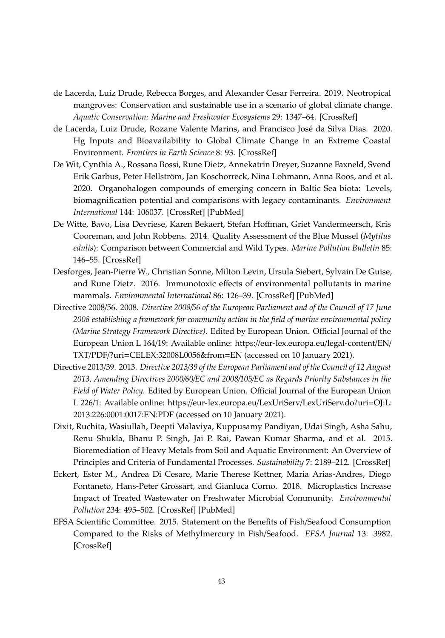- <span id="page-32-8"></span>de Lacerda, Luiz Drude, Rebecca Borges, and Alexander Cesar Ferreira. 2019. Neotropical mangroves: Conservation and sustainable use in a scenario of global climate change. *Aquatic Conservation: Marine and Freshwater Ecosystems* 29: 1347–64. [\[CrossRef\]](http://doi.org/10.1002/aqc.3119)
- <span id="page-32-7"></span>de Lacerda, Luiz Drude, Rozane Valente Marins, and Francisco José da Silva Dias. 2020. Hg Inputs and Bioavailability to Global Climate Change in an Extreme Coastal Environment. *Frontiers in Earth Science* 8: 93. [\[CrossRef\]](http://doi.org/10.3389/feart.2020.00093)
- <span id="page-32-4"></span>De Wit, Cynthia A., Rossana Bossi, Rune Dietz, Annekatrin Dreyer, Suzanne Faxneld, Svend Erik Garbus, Peter Hellström, Jan Koschorreck, Nina Lohmann, Anna Roos, and et al. 2020. Organohalogen compounds of emerging concern in Baltic Sea biota: Levels, biomagnification potential and comparisons with legacy contaminants. *Environment International* 144: 106037. [\[CrossRef\]](http://doi.org/10.1016/j.envint.2020.106037) [\[PubMed\]](http://www.ncbi.nlm.nih.gov/pubmed/32835922)
- <span id="page-32-2"></span>De Witte, Bavo, Lisa Devriese, Karen Bekaert, Stefan Hoffman, Griet Vandermeersch, Kris Cooreman, and John Robbens. 2014. Quality Assessment of the Blue Mussel (*Mytilus edulis*): Comparison between Commercial and Wild Types. *Marine Pollution Bulletin* 85: 146–55. [\[CrossRef\]](http://doi.org/10.1016/j.marpolbul.2014.06.006)
- <span id="page-32-3"></span>Desforges, Jean-Pierre W., Christian Sonne, Milton Levin, Ursula Siebert, Sylvain De Guise, and Rune Dietz. 2016. Immunotoxic effects of environmental pollutants in marine mammals. *Environmental International* 86: 126–39. [\[CrossRef\]](http://doi.org/10.1016/j.envint.2015.10.007) [\[PubMed\]](http://www.ncbi.nlm.nih.gov/pubmed/26590481)
- <span id="page-32-0"></span>Directive 2008/56. 2008. *Directive 2008*/*56 of the European Parliament and of the Council of 17 June 2008 establishing a framework for community action in the field of marine environmental policy (Marine Strategy Framework Directive)*. Edited by European Union. Official Journal of the European Union L 164/19: Available online: https://[eur-lex.europa.eu](https://eur-lex.europa.eu/legal-content/EN/TXT/PDF/?uri=CELEX:32008L0056&from=EN)/legal-content/EN/ TXT/PDF/?uri=[CELEX:32008L0056&from](https://eur-lex.europa.eu/legal-content/EN/TXT/PDF/?uri=CELEX:32008L0056&from=EN)=EN (accessed on 10 January 2021).
- <span id="page-32-9"></span>Directive 2013/39. 2013. *Directive 2013*/*39 of the European Parliament and of the Council of 12 August 2013, Amending Directives 2000*/*60*/*EC and 2008*/*105*/*EC as Regards Priority Substances in the Field of Water Policy*. Edited by European Union. Official Journal of the European Union L 226/1: Available online: https://eur-lex.europa.eu/LexUriServ/[LexUriServ.do?uri](https://eur-lex.europa.eu/LexUriServ/LexUriServ.do?uri=OJ:L:2013:226:0001:0017:EN:PDF)=OJ:L: [2013:226:0001:0017:EN:PDF](https://eur-lex.europa.eu/LexUriServ/LexUriServ.do?uri=OJ:L:2013:226:0001:0017:EN:PDF) (accessed on 10 January 2021).
- <span id="page-32-5"></span>Dixit, Ruchita, Wasiullah, Deepti Malaviya, Kuppusamy Pandiyan, Udai Singh, Asha Sahu, Renu Shukla, Bhanu P. Singh, Jai P. Rai, Pawan Kumar Sharma, and et al. 2015. Bioremediation of Heavy Metals from Soil and Aquatic Environment: An Overview of Principles and Criteria of Fundamental Processes. *Sustainability* 7: 2189–212. [\[CrossRef\]](http://doi.org/10.3390/su7022189)
- <span id="page-32-1"></span>Eckert, Ester M., Andrea Di Cesare, Marie Therese Kettner, Maria Arias-Andres, Diego Fontaneto, Hans-Peter Grossart, and Gianluca Corno. 2018. Microplastics Increase Impact of Treated Wastewater on Freshwater Microbial Community. *Environmental Pollution* 234: 495–502. [\[CrossRef\]](http://doi.org/10.1016/j.envpol.2017.11.070) [\[PubMed\]](http://www.ncbi.nlm.nih.gov/pubmed/29216487)
- <span id="page-32-6"></span>EFSA Scientific Committee. 2015. Statement on the Benefits of Fish/Seafood Consumption Compared to the Risks of Methylmercury in Fish/Seafood. *EFSA Journal* 13: 3982. [\[CrossRef\]](http://doi.org/10.2903/j.efsa.2015.3982)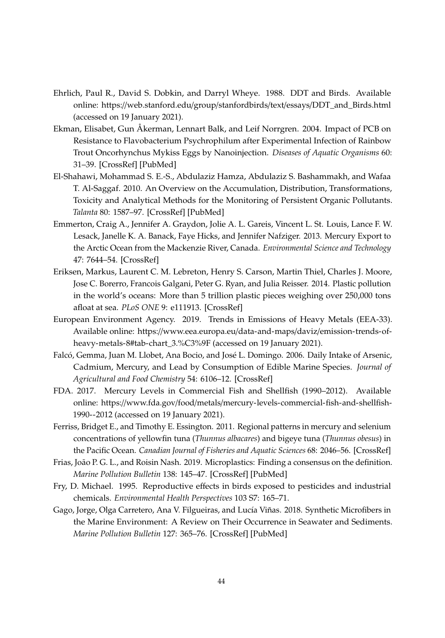- <span id="page-33-5"></span>Ehrlich, Paul R., David S. Dobkin, and Darryl Wheye. 1988. DDT and Birds. Available online: https://web.stanford.edu/group/stanfordbirds/text/essays/[DDT\\_and\\_Birds.html](https://web.stanford.edu/group/stanfordbirds/text/essays/DDT_and_Birds.html) (accessed on 19 January 2021).
- <span id="page-33-6"></span>Ekman, Elisabet, Gun Åkerman, Lennart Balk, and Leif Norrgren. 2004. Impact of PCB on Resistance to Flavobacterium Psychrophilum after Experimental Infection of Rainbow Trout Oncorhynchus Mykiss Eggs by Nanoinjection. *Diseases of Aquatic Organisms* 60: 31–39. [\[CrossRef\]](http://doi.org/10.3354/dao060031) [\[PubMed\]](http://www.ncbi.nlm.nih.gov/pubmed/15352522)
- <span id="page-33-3"></span>El-Shahawi, Mohammad S. E.-S., Abdulaziz Hamza, Abdulaziz S. Bashammakh, and Wafaa T. Al-Saggaf. 2010. An Overview on the Accumulation, Distribution, Transformations, Toxicity and Analytical Methods for the Monitoring of Persistent Organic Pollutants. *Talanta* 80: 1587–97. [\[CrossRef\]](http://doi.org/10.1016/j.talanta.2009.09.055) [\[PubMed\]](http://www.ncbi.nlm.nih.gov/pubmed/20152382)
- <span id="page-33-11"></span>Emmerton, Craig A., Jennifer A. Graydon, Jolie A. L. Gareis, Vincent L. St. Louis, Lance F. W. Lesack, Janelle K. A. Banack, Faye Hicks, and Jennifer Nafziger. 2013. Mercury Export to the Arctic Ocean from the Mackenzie River, Canada. *Environmental Science and Technology* 47: 7644–54. [\[CrossRef\]](http://doi.org/10.1021/es400715r)
- <span id="page-33-0"></span>Eriksen, Markus, Laurent C. M. Lebreton, Henry S. Carson, Martin Thiel, Charles J. Moore, Jose C. Borerro, Francois Galgani, Peter G. Ryan, and Julia Reisser. 2014. Plastic pollution in the world's oceans: More than 5 trillion plastic pieces weighing over 250,000 tons afloat at sea. *PLoS ONE* 9: e111913. [\[CrossRef\]](http://doi.org/10.1371/journal.pone.0111913)
- <span id="page-33-8"></span>European Environment Agency. 2019. Trends in Emissions of Heavy Metals (EEA-33). Available online: https://[www.eea.europa.eu](https://www.eea.europa.eu/data-and-maps/daviz/emission-trends-of-heavy-metals-8#tab-chart_3.%C3%9F)/data-and-maps/daviz/emission-trends-of[heavy-metals-8#tab-chart\\_3.%C3%9F](https://www.eea.europa.eu/data-and-maps/daviz/emission-trends-of-heavy-metals-8#tab-chart_3.%C3%9F) (accessed on 19 January 2021).
- <span id="page-33-7"></span>Falcó, Gemma, Juan M. Llobet, Ana Bocio, and José L. Domingo. 2006. Daily Intake of Arsenic, Cadmium, Mercury, and Lead by Consumption of Edible Marine Species. *Journal of Agricultural and Food Chemistry* 54: 6106–12. [\[CrossRef\]](http://doi.org/10.1021/jf0610110)
- <span id="page-33-9"></span>FDA. 2017. Mercury Levels in Commercial Fish and Shellfish (1990–2012). Available online: https://www.fda.gov/food/metals/[mercury-levels-commercial-fish-and-shellfish-](https://www.fda.gov/food/metals/mercury-levels-commercial-fish-and-shellfish-1990--2012)[1990--2012](https://www.fda.gov/food/metals/mercury-levels-commercial-fish-and-shellfish-1990--2012) (accessed on 19 January 2021).
- <span id="page-33-10"></span>Ferriss, Bridget E., and Timothy E. Essington. 2011. Regional patterns in mercury and selenium concentrations of yellowfin tuna (*Thunnus albacares*) and bigeye tuna (*Thunnus obesus*) in the Pacific Ocean. *Canadian Journal of Fisheries and Aquatic Sciences* 68: 2046–56. [\[CrossRef\]](http://doi.org/10.1139/f2011-120)
- <span id="page-33-1"></span>Frias, João P. G. L., and Roisin Nash. 2019. Microplastics: Finding a consensus on the definition. *Marine Pollution Bulletin* 138: 145–47. [\[CrossRef\]](http://doi.org/10.1016/j.marpolbul.2018.11.022) [\[PubMed\]](http://www.ncbi.nlm.nih.gov/pubmed/30660255)
- <span id="page-33-4"></span>Fry, D. Michael. 1995. Reproductive effects in birds exposed to pesticides and industrial chemicals. *Environmental Health Perspectives* 103 S7: 165–71.
- <span id="page-33-2"></span>Gago, Jorge, Olga Carretero, Ana V. Filgueiras, and Lucía Viñas. 2018. Synthetic Microfibers in the Marine Environment: A Review on Their Occurrence in Seawater and Sediments. *Marine Pollution Bulletin* 127: 365–76. [\[CrossRef\]](http://doi.org/10.1016/j.marpolbul.2017.11.070) [\[PubMed\]](http://www.ncbi.nlm.nih.gov/pubmed/29475673)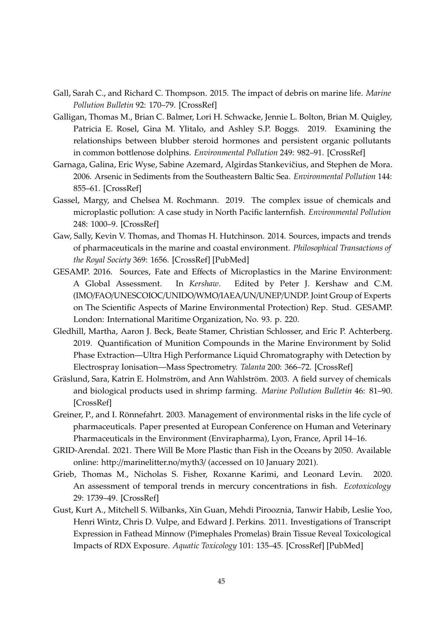- <span id="page-34-1"></span>Gall, Sarah C., and Richard C. Thompson. 2015. The impact of debris on marine life. *Marine Pollution Bulletin* 92: 170–79. [\[CrossRef\]](http://doi.org/10.1016/j.marpolbul.2014.12.041)
- <span id="page-34-3"></span>Galligan, Thomas M., Brian C. Balmer, Lori H. Schwacke, Jennie L. Bolton, Brian M. Quigley, Patricia E. Rosel, Gina M. Ylitalo, and Ashley S.P. Boggs. 2019. Examining the relationships between blubber steroid hormones and persistent organic pollutants in common bottlenose dolphins. *Environmental Pollution* 249: 982–91. [\[CrossRef\]](http://doi.org/10.1016/j.envpol.2019.03.083)
- <span id="page-34-6"></span>Garnaga, Galina, Eric Wyse, Sabine Azemard, Algirdas Stankevičius, and Stephen de Mora. 2006. Arsenic in Sediments from the Southeastern Baltic Sea. *Environmental Pollution* 144: 855–61. [\[CrossRef\]](http://doi.org/10.1016/j.envpol.2006.02.013)
- <span id="page-34-4"></span>Gassel, Margy, and Chelsea M. Rochmann. 2019. The complex issue of chemicals and microplastic pollution: A case study in North Pacific lanternfish. *Environmental Pollution* 248: 1000–9. [\[CrossRef\]](http://doi.org/10.1016/j.envpol.2019.03.002)
- <span id="page-34-9"></span>Gaw, Sally, Kevin V. Thomas, and Thomas H. Hutchinson. 2014. Sources, impacts and trends of pharmaceuticals in the marine and coastal environment. *Philosophical Transactions of the Royal Society* 369: 1656. [\[CrossRef\]](http://doi.org/10.1098/rstb.2013.0572) [\[PubMed\]](http://www.ncbi.nlm.nih.gov/pubmed/25405962)
- <span id="page-34-2"></span>GESAMP. 2016. Sources, Fate and Effects of Microplastics in the Marine Environment: A Global Assessment. In *Kershaw*. Edited by Peter J. Kershaw and C.M. (IMO/FAO/UNESCOIOC/UNIDO/WMO/IAEA/UN/UNEP/UNDP. Joint Group of Experts on The Scientific Aspects of Marine Environmental Protection) Rep. Stud. GESAMP. London: International Maritime Organization, No. 93. p. 220.
- <span id="page-34-7"></span>Gledhill, Martha, Aaron J. Beck, Beate Stamer, Christian Schlosser, and Eric P. Achterberg. 2019. Quantification of Munition Compounds in the Marine Environment by Solid Phase Extraction—Ultra High Performance Liquid Chromatography with Detection by Electrospray Ionisation—Mass Spectrometry. *Talanta* 200: 366–72. [\[CrossRef\]](http://doi.org/10.1016/j.talanta.2019.03.050)
- <span id="page-34-11"></span>Gräslund, Sara, Katrin E. Holmström, and Ann Wahlström. 2003. A field survey of chemicals and biological products used in shrimp farming. *Marine Pollution Bulletin* 46: 81–90. [\[CrossRef\]](http://doi.org/10.1016/S0025-326X(02)00320-X)
- <span id="page-34-10"></span>Greiner, P., and I. Rönnefahrt. 2003. Management of environmental risks in the life cycle of pharmaceuticals. Paper presented at European Conference on Human and Veterinary Pharmaceuticals in the Environment (Envirapharma), Lyon, France, April 14–16.
- <span id="page-34-0"></span>GRID-Arendal. 2021. There Will Be More Plastic than Fish in the Oceans by 2050. Available online: http://[marinelitter.no](http://marinelitter.no/myth3/)/myth3/ (accessed on 10 January 2021).
- <span id="page-34-5"></span>Grieb, Thomas M., Nicholas S. Fisher, Roxanne Karimi, and Leonard Levin. 2020. An assessment of temporal trends in mercury concentrations in fish. *Ecotoxicology* 29: 1739–49. [\[CrossRef\]](http://doi.org/10.1007/s10646-019-02112-3)
- <span id="page-34-8"></span>Gust, Kurt A., Mitchell S. Wilbanks, Xin Guan, Mehdi Pirooznia, Tanwir Habib, Leslie Yoo, Henri Wintz, Chris D. Vulpe, and Edward J. Perkins. 2011. Investigations of Transcript Expression in Fathead Minnow (Pimephales Promelas) Brain Tissue Reveal Toxicological Impacts of RDX Exposure. *Aquatic Toxicology* 101: 135–45. [\[CrossRef\]](http://doi.org/10.1016/j.aquatox.2010.09.011) [\[PubMed\]](http://www.ncbi.nlm.nih.gov/pubmed/20965580)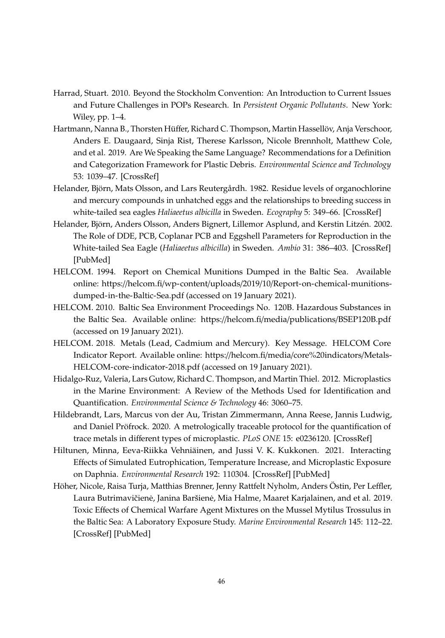- <span id="page-35-4"></span>Harrad, Stuart. 2010. Beyond the Stockholm Convention: An Introduction to Current Issues and Future Challenges in POPs Research. In *Persistent Organic Pollutants*. New York: Wiley, pp. 1–4.
- <span id="page-35-0"></span>Hartmann, Nanna B., Thorsten Hüffer, Richard C. Thompson, Martin Hassellöv, Anja Verschoor, Anders E. Daugaard, Sinja Rist, Therese Karlsson, Nicole Brennholt, Matthew Cole, and et al. 2019. Are We Speaking the Same Language? Recommendations for a Definition and Categorization Framework for Plastic Debris. *Environmental Science and Technology* 53: 1039–47. [\[CrossRef\]](http://doi.org/10.1021/acs.est.8b05297)
- <span id="page-35-5"></span>Helander, Björn, Mats Olsson, and Lars Reutergårdh. 1982. Residue levels of organochlorine and mercury compounds in unhatched eggs and the relationships to breeding success in white-tailed sea eagles *Haliaeetus albicilla* in Sweden. *Ecography* 5: 349–66. [\[CrossRef\]](http://doi.org/10.1111/j.1600-0587.1982.tb01049.x)
- <span id="page-35-6"></span>Helander, Björn, Anders Olsson, Anders Bignert, Lillemor Asplund, and Kerstin Litzén. 2002. The Role of DDE, PCB, Coplanar PCB and Eggshell Parameters for Reproduction in the White-tailed Sea Eagle (*Haliaeetus albicilla*) in Sweden. *Ambio* 31: 386–403. [\[CrossRef\]](http://doi.org/10.1579/0044-7447-31.5.386) [\[PubMed\]](http://www.ncbi.nlm.nih.gov/pubmed/12374047)
- <span id="page-35-9"></span>HELCOM. 1994. Report on Chemical Munitions Dumped in the Baltic Sea. Available online: https://helcom.fi/wp-content/uploads/2019/10/[Report-on-chemical-munitions](https://helcom.fi/wp-content/uploads/2019/10/Report-on-chemical-munitions-dumped-in-the-Baltic-Sea.pdf)[dumped-in-the-Baltic-Sea.pdf](https://helcom.fi/wp-content/uploads/2019/10/Report-on-chemical-munitions-dumped-in-the-Baltic-Sea.pdf) (accessed on 19 January 2021).
- <span id="page-35-7"></span>HELCOM. 2010. Baltic Sea Environment Proceedings No. 120B. Hazardous Substances in the Baltic Sea. Available online: https://helcom.fi/media/publications/[BSEP120B.pdf](https://helcom.fi/media/publications/BSEP120B.pdf) (accessed on 19 January 2021).
- <span id="page-35-8"></span>HELCOM. 2018. Metals (Lead, Cadmium and Mercury). Key Message. HELCOM Core Indicator Report. Available online: https://helcom.fi/media/[core%20indicators](https://helcom.fi/media/core%20indicators/Metals-HELCOM-core-indicator-2018.pdf)/Metals-[HELCOM-core-indicator-2018.pdf](https://helcom.fi/media/core%20indicators/Metals-HELCOM-core-indicator-2018.pdf) (accessed on 19 January 2021).
- <span id="page-35-1"></span>Hidalgo-Ruz, Valeria, Lars Gutow, Richard C. Thompson, and Martin Thiel. 2012. Microplastics in the Marine Environment: A Review of the Methods Used for Identification and Quantification. *Environmental Science & Technology* 46: 3060–75.
- <span id="page-35-2"></span>Hildebrandt, Lars, Marcus von der Au, Tristan Zimmermann, Anna Reese, Jannis Ludwig, and Daniel Pröfrock. 2020. A metrologically traceable protocol for the quantification of trace metals in different types of microplastic. *PLoS ONE* 15: e0236120. [\[CrossRef\]](http://doi.org/10.1371/journal.pone.0236120)
- <span id="page-35-3"></span>Hiltunen, Minna, Eeva-Riikka Vehniäinen, and Jussi V. K. Kukkonen. 2021. Interacting Effects of Simulated Eutrophication, Temperature Increase, and Microplastic Exposure on Daphnia. *Environmental Research* 192: 110304. [\[CrossRef\]](http://doi.org/10.1016/j.envres.2020.110304) [\[PubMed\]](http://www.ncbi.nlm.nih.gov/pubmed/33038362)
- <span id="page-35-10"></span>Höher, Nicole, Raisa Turja, Matthias Brenner, Jenny Rattfelt Nyholm, Anders Östin, Per Leffler, Laura Butrimavičienė, Janina Baršienė, Mia Halme, Maaret Karjalainen, and et al. 2019. Toxic Effects of Chemical Warfare Agent Mixtures on the Mussel Mytilus Trossulus in the Baltic Sea: A Laboratory Exposure Study. *Marine Environmental Research* 145: 112–22. [\[CrossRef\]](http://doi.org/10.1016/j.marenvres.2019.02.001) [\[PubMed\]](http://www.ncbi.nlm.nih.gov/pubmed/30850117)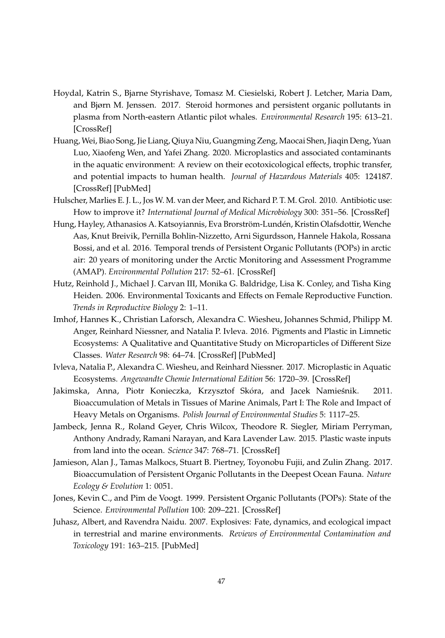- <span id="page-36-8"></span>Hoydal, Katrin S., Bjarne Styrishave, Tomasz M. Ciesielski, Robert J. Letcher, Maria Dam, and Bjørn M. Jenssen. 2017. Steroid hormones and persistent organic pollutants in plasma from North-eastern Atlantic pilot whales. *Environmental Research* 195: 613–21. [\[CrossRef\]](http://doi.org/10.1016/j.envres.2017.09.003)
- <span id="page-36-3"></span>Huang, Wei, Biao Song, Jie Liang, Qiuya Niu, Guangming Zeng, Maocai Shen, Jiaqin Deng, Yuan Luo, Xiaofeng Wen, and Yafei Zhang. 2020. Microplastics and associated contaminants in the aquatic environment: A review on their ecotoxicological effects, trophic transfer, and potential impacts to human health. *Journal of Hazardous Materials* 405: 124187. [\[CrossRef\]](http://doi.org/10.1016/j.jhazmat.2020.124187) [\[PubMed\]](http://www.ncbi.nlm.nih.gov/pubmed/33153780)
- <span id="page-36-11"></span>Hulscher, Marlies E. J. L., Jos W. M. van der Meer, and Richard P. T. M. Grol. 2010. Antibiotic use: How to improve it? *International Journal of Medical Microbiology* 300: 351–56. [\[CrossRef\]](http://doi.org/10.1016/j.ijmm.2010.04.003)
- <span id="page-36-6"></span>Hung, Hayley, Athanasios A. Katsoyiannis, Eva Brorström-Lundén, Kristin Olafsdottir, Wenche Aas, Knut Breivik, Pernilla Bohlin-Nizzetto, Arni Sigurdsson, Hannele Hakola, Rossana Bossi, and et al. 2016. Temporal trends of Persistent Organic Pollutants (POPs) in arctic air: 20 years of monitoring under the Arctic Monitoring and Assessment Programme (AMAP). *Environmental Pollution* 217: 52–61. [\[CrossRef\]](http://doi.org/10.1016/j.envpol.2016.01.079)
- <span id="page-36-7"></span>Hutz, Reinhold J., Michael J. Carvan III, Monika G. Baldridge, Lisa K. Conley, and Tisha King Heiden. 2006. Environmental Toxicants and Effects on Female Reproductive Function. *Trends in Reproductive Biology* 2: 1–11.
- <span id="page-36-2"></span>Imhof, Hannes K., Christian Laforsch, Alexandra C. Wiesheu, Johannes Schmid, Philipp M. Anger, Reinhard Niessner, and Natalia P. Ivleva. 2016. Pigments and Plastic in Limnetic Ecosystems: A Qualitative and Quantitative Study on Microparticles of Different Size Classes. *Water Research* 98: 64–74. [\[CrossRef\]](http://doi.org/10.1016/j.watres.2016.03.015) [\[PubMed\]](http://www.ncbi.nlm.nih.gov/pubmed/27082693)
- <span id="page-36-1"></span>Ivleva, Natalia P., Alexandra C. Wiesheu, and Reinhard Niessner. 2017. Microplastic in Aquatic Ecosystems. *Angewandte Chemie International Edition* 56: 1720–39. [\[CrossRef\]](http://doi.org/10.1002/anie.201606957)
- <span id="page-36-9"></span>Jakimska, Anna, Piotr Konieczka, Krzysztof Skóra, and Jacek Namieśnik. 2011. Bioaccumulation of Metals in Tissues of Marine Animals, Part I: The Role and Impact of Heavy Metals on Organisms. *Polish Journal of Environmental Studies* 5: 1117–25.
- <span id="page-36-0"></span>Jambeck, Jenna R., Roland Geyer, Chris Wilcox, Theodore R. Siegler, Miriam Perryman, Anthony Andrady, Ramani Narayan, and Kara Lavender Law. 2015. Plastic waste inputs from land into the ocean. *Science* 347: 768–71. [\[CrossRef\]](http://doi.org/10.1126/science.1260352)
- <span id="page-36-5"></span>Jamieson, Alan J., Tamas Malkocs, Stuart B. Piertney, Toyonobu Fujii, and Zulin Zhang. 2017. Bioaccumulation of Persistent Organic Pollutants in the Deepest Ocean Fauna. *Nature Ecology & Evolution* 1: 0051.
- <span id="page-36-4"></span>Jones, Kevin C., and Pim de Voogt. 1999. Persistent Organic Pollutants (POPs): State of the Science. *Environmental Pollution* 100: 209–221. [\[CrossRef\]](http://doi.org/10.1016/S0269-7491(99)00098-6)
- <span id="page-36-10"></span>Juhasz, Albert, and Ravendra Naidu. 2007. Explosives: Fate, dynamics, and ecological impact in terrestrial and marine environments. *Reviews of Environmental Contamination and Toxicology* 191: 163–215. [\[PubMed\]](http://www.ncbi.nlm.nih.gov/pubmed/17708075)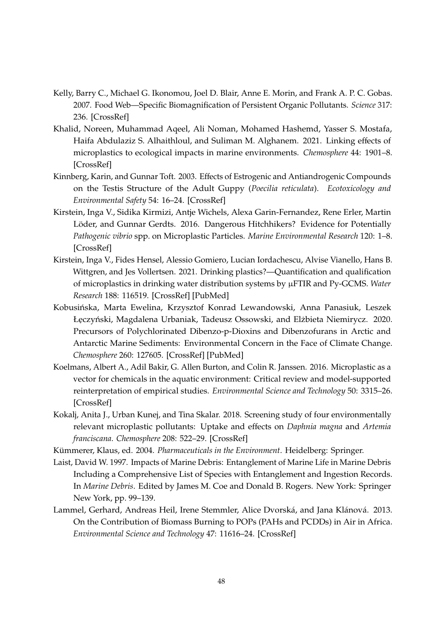- <span id="page-37-8"></span>Kelly, Barry C., Michael G. Ikonomou, Joel D. Blair, Anne E. Morin, and Frank A. P. C. Gobas. 2007. Food Web—Specific Biomagnification of Persistent Organic Pollutants. *Science* 317: 236. [\[CrossRef\]](http://doi.org/10.1126/science.1138275)
- <span id="page-37-1"></span>Khalid, Noreen, Muhammad Aqeel, Ali Noman, Mohamed Hashemd, Yasser S. Mostafa, Haifa Abdulaziz S. Alhaithloul, and Suliman M. Alghanem. 2021. Linking effects of microplastics to ecological impacts in marine environments. *Chemosphere* 44: 1901–8. [\[CrossRef\]](http://doi.org/10.1016/j.chemosphere.2020.128541)
- <span id="page-37-7"></span>Kinnberg, Karin, and Gunnar Toft. 2003. Effects of Estrogenic and Antiandrogenic Compounds on the Testis Structure of the Adult Guppy (*Poecilia reticulata*). *Ecotoxicology and Environmental Safety* 54: 16–24. [\[CrossRef\]](http://doi.org/10.1016/S0147-6513(02)00010-6)
- <span id="page-37-4"></span>Kirstein, Inga V., Sidika Kirmizi, Antje Wichels, Alexa Garin-Fernandez, Rene Erler, Martin Löder, and Gunnar Gerdts. 2016. Dangerous Hitchhikers? Evidence for Potentially *Pathogenic vibrio* spp. on Microplastic Particles. *Marine Environmental Research* 120: 1–8. [\[CrossRef\]](http://doi.org/10.1016/j.marenvres.2016.07.004)
- <span id="page-37-5"></span>Kirstein, Inga V., Fides Hensel, Alessio Gomiero, Lucian Iordachescu, Alvise Vianello, Hans B. Wittgren, and Jes Vollertsen. 2021. Drinking plastics?—Quantification and qualification of microplastics in drinking water distribution systems by µFTIR and Py-GCMS. *Water Research* 188: 116519. [\[CrossRef\]](http://doi.org/10.1016/j.watres.2020.116519) [\[PubMed\]](http://www.ncbi.nlm.nih.gov/pubmed/33091805)
- <span id="page-37-9"></span>Kobusińska, Marta Ewelina, Krzysztof Konrad Lewandowski, Anna Panasiuk, Leszek Łęczyński, Magdalena Urbaniak, Tadeusz Ossowski, and Elżbieta Niemirycz. 2020. Precursors of Polychlorinated Dibenzo-p-Dioxins and Dibenzofurans in Arctic and Antarctic Marine Sediments: Environmental Concern in the Face of Climate Change. *Chemosphere* 260: 127605. [\[CrossRef\]](http://doi.org/10.1016/j.chemosphere.2020.127605) [\[PubMed\]](http://www.ncbi.nlm.nih.gov/pubmed/32688319)
- <span id="page-37-3"></span>Koelmans, Albert A., Adil Bakir, G. Allen Burton, and Colin R. Janssen. 2016. Microplastic as a vector for chemicals in the aquatic environment: Critical review and model-supported reinterpretation of empirical studies. *Environmental Science and Technology* 50: 3315–26. [\[CrossRef\]](http://doi.org/10.1021/acs.est.5b06069)
- <span id="page-37-2"></span>Kokalj, Anita J., Urban Kunej, and Tina Skalar. 2018. Screening study of four environmentally relevant microplastic pollutants: Uptake and effects on *Daphnia magna* and *Artemia franciscana*. *Chemosphere* 208: 522–29. [\[CrossRef\]](http://doi.org/10.1016/j.chemosphere.2018.05.172)
- <span id="page-37-10"></span>Kümmerer, Klaus, ed. 2004. *Pharmaceuticals in the Environment*. Heidelberg: Springer.
- <span id="page-37-0"></span>Laist, David W. 1997. Impacts of Marine Debris: Entanglement of Marine Life in Marine Debris Including a Comprehensive List of Species with Entanglement and Ingestion Records. In *Marine Debris*. Edited by James M. Coe and Donald B. Rogers. New York: Springer New York, pp. 99–139.
- <span id="page-37-6"></span>Lammel, Gerhard, Andreas Heil, Irene Stemmler, Alice Dvorská, and Jana Klánová. 2013. On the Contribution of Biomass Burning to POPs (PAHs and PCDDs) in Air in Africa. *Environmental Science and Technology* 47: 11616–24. [\[CrossRef\]](http://doi.org/10.1021/es401499q)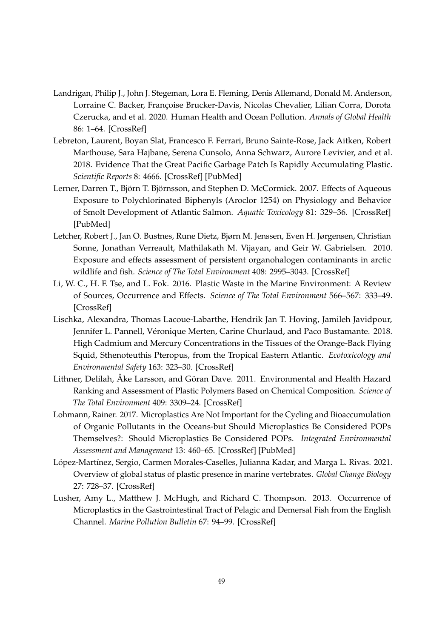- <span id="page-38-5"></span>Landrigan, Philip J., John J. Stegeman, Lora E. Fleming, Denis Allemand, Donald M. Anderson, Lorraine C. Backer, Françoise Brucker-Davis, Nicolas Chevalier, Lilian Corra, Dorota Czerucka, and et al. 2020. Human Health and Ocean Pollution. *Annals of Global Health* 86: 1–64. [\[CrossRef\]](http://doi.org/10.5334/aogh.2831)
- <span id="page-38-0"></span>Lebreton, Laurent, Boyan Slat, Francesco F. Ferrari, Bruno Sainte-Rose, Jack Aitken, Robert Marthouse, Sara Hajbane, Serena Cunsolo, Anna Schwarz, Aurore Levivier, and et al. 2018. Evidence That the Great Pacific Garbage Patch Is Rapidly Accumulating Plastic. *Scientific Reports* 8: 4666. [\[CrossRef\]](http://doi.org/10.1038/s41598-018-22939-w) [\[PubMed\]](http://www.ncbi.nlm.nih.gov/pubmed/29568057)
- <span id="page-38-6"></span>Lerner, Darren T., Björn T. Björnsson, and Stephen D. McCormick. 2007. Effects of Aqueous Exposure to Polychlorinated Biphenyls (Aroclor 1254) on Physiology and Behavior of Smolt Development of Atlantic Salmon. *Aquatic Toxicology* 81: 329–36. [\[CrossRef\]](http://doi.org/10.1016/j.aquatox.2006.12.018) [\[PubMed\]](http://www.ncbi.nlm.nih.gov/pubmed/17275933)
- <span id="page-38-7"></span>Letcher, Robert J., Jan O. Bustnes, Rune Dietz, Bjørn M. Jenssen, Even H. Jørgensen, Christian Sonne, Jonathan Verreault, Mathilakath M. Vijayan, and Geir W. Gabrielsen. 2010. Exposure and effects assessment of persistent organohalogen contaminants in arctic wildlife and fish. *Science of The Total Environment* 408: 2995–3043. [\[CrossRef\]](http://doi.org/10.1016/j.scitotenv.2009.10.038)
- <span id="page-38-1"></span>Li, W. C., H. F. Tse, and L. Fok. 2016. Plastic Waste in the Marine Environment: A Review of Sources, Occurrence and Effects. *Science of The Total Environment* 566–567: 333–49. [\[CrossRef\]](http://doi.org/10.1016/j.scitotenv.2016.05.084)
- <span id="page-38-9"></span>Lischka, Alexandra, Thomas Lacoue-Labarthe, Hendrik Jan T. Hoving, Jamileh Javidpour, Jennifer L. Pannell, Véronique Merten, Carine Churlaud, and Paco Bustamante. 2018. High Cadmium and Mercury Concentrations in the Tissues of the Orange-Back Flying Squid, Sthenoteuthis Pteropus, from the Tropical Eastern Atlantic. *Ecotoxicology and Environmental Safety* 163: 323–30. [\[CrossRef\]](http://doi.org/10.1016/j.ecoenv.2018.07.087)
- <span id="page-38-4"></span>Lithner, Delilah, Åke Larsson, and Göran Dave. 2011. Environmental and Health Hazard Ranking and Assessment of Plastic Polymers Based on Chemical Composition. *Science of The Total Environment* 409: 3309–24. [\[CrossRef\]](http://doi.org/10.1016/j.scitotenv.2011.04.038)
- <span id="page-38-8"></span>Lohmann, Rainer. 2017. Microplastics Are Not Important for the Cycling and Bioaccumulation of Organic Pollutants in the Oceans-but Should Microplastics Be Considered POPs Themselves?: Should Microplastics Be Considered POPs. *Integrated Environmental Assessment and Management* 13: 460–65. [\[CrossRef\]](http://doi.org/10.1002/ieam.1914) [\[PubMed\]](http://www.ncbi.nlm.nih.gov/pubmed/28440937)
- <span id="page-38-2"></span>López-Martínez, Sergio, Carmen Morales-Caselles, Julianna Kadar, and Marga L. Rivas. 2021. Overview of global status of plastic presence in marine vertebrates. *Global Change Biology* 27: 728–37. [\[CrossRef\]](http://doi.org/10.1111/gcb.15416)
- <span id="page-38-3"></span>Lusher, Amy L., Matthew J. McHugh, and Richard C. Thompson. 2013. Occurrence of Microplastics in the Gastrointestinal Tract of Pelagic and Demersal Fish from the English Channel. *Marine Pollution Bulletin* 67: 94–99. [\[CrossRef\]](http://doi.org/10.1016/j.marpolbul.2012.11.028)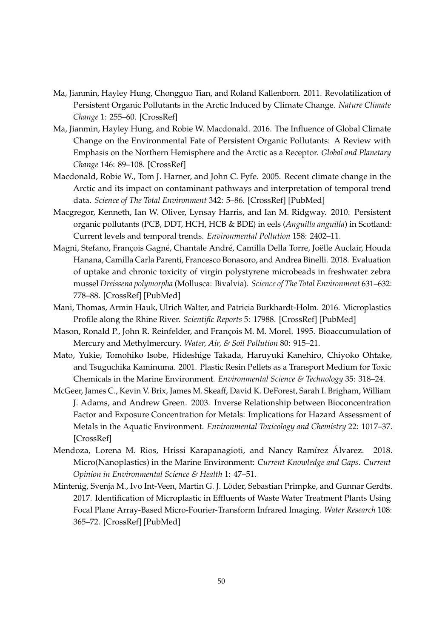- <span id="page-39-7"></span>Ma, Jianmin, Hayley Hung, Chongguo Tian, and Roland Kallenborn. 2011. Revolatilization of Persistent Organic Pollutants in the Arctic Induced by Climate Change. *Nature Climate Change* 1: 255–60. [\[CrossRef\]](http://doi.org/10.1038/nclimate1167)
- <span id="page-39-6"></span>Ma, Jianmin, Hayley Hung, and Robie W. Macdonald. 2016. The Influence of Global Climate Change on the Environmental Fate of Persistent Organic Pollutants: A Review with Emphasis on the Northern Hemisphere and the Arctic as a Receptor. *Global and Planetary Change* 146: 89–108. [\[CrossRef\]](http://doi.org/10.1016/j.gloplacha.2016.09.011)
- <span id="page-39-10"></span>Macdonald, Robie W., Tom J. Harner, and John C. Fyfe. 2005. Recent climate change in the Arctic and its impact on contaminant pathways and interpretation of temporal trend data. *Science of The Total Environment* 342: 5–86. [\[CrossRef\]](http://doi.org/10.1016/j.scitotenv.2004.12.059) [\[PubMed\]](http://www.ncbi.nlm.nih.gov/pubmed/15866268)
- <span id="page-39-5"></span>Macgregor, Kenneth, Ian W. Oliver, Lynsay Harris, and Ian M. Ridgway. 2010. Persistent organic pollutants (PCB, DDT, HCH, HCB & BDE) in eels (*Anguilla anguilla*) in Scotland: Current levels and temporal trends. *Environmental Pollution* 158: 2402–11.
- <span id="page-39-3"></span>Magni, Stefano, François Gagné, Chantale André, Camilla Della Torre, Joëlle Auclair, Houda Hanana, Camilla Carla Parenti, Francesco Bonasoro, and Andrea Binelli. 2018. Evaluation of uptake and chronic toxicity of virgin polystyrene microbeads in freshwater zebra mussel *Dreissena polymorpha* (Mollusca: Bivalvia). *Science of The Total Environment* 631–632: 778–88. [\[CrossRef\]](http://doi.org/10.1016/j.scitotenv.2018.03.075) [\[PubMed\]](http://www.ncbi.nlm.nih.gov/pubmed/29544181)
- <span id="page-39-2"></span>Mani, Thomas, Armin Hauk, Ulrich Walter, and Patricia Burkhardt-Holm. 2016. Microplastics Profile along the Rhine River. *Scientific Reports* 5: 17988. [\[CrossRef\]](http://doi.org/10.1038/srep17988) [\[PubMed\]](http://www.ncbi.nlm.nih.gov/pubmed/26644346)
- <span id="page-39-9"></span>Mason, Ronald P., John R. Reinfelder, and François M. M. Morel. 1995. Bioaccumulation of Mercury and Methylmercury. *Water, Air, & Soil Pollution* 80: 915–21.
- <span id="page-39-4"></span>Mato, Yukie, Tomohiko Isobe, Hideshige Takada, Haruyuki Kanehiro, Chiyoko Ohtake, and Tsuguchika Kaminuma. 2001. Plastic Resin Pellets as a Transport Medium for Toxic Chemicals in the Marine Environment. *Environmental Science & Technology* 35: 318–24.
- <span id="page-39-8"></span>McGeer, James C., Kevin V. Brix, James M. Skeaff, David K. DeForest, Sarah I. Brigham, William J. Adams, and Andrew Green. 2003. Inverse Relationship between Bioconcentration Factor and Exposure Concentration for Metals: Implications for Hazard Assessment of Metals in the Aquatic Environment. *Environmental Toxicology and Chemistry* 22: 1017–37. [\[CrossRef\]](http://doi.org/10.1002/etc.5620220509)
- <span id="page-39-0"></span>Mendoza, Lorena M. Rios, Hrissi Karapanagioti, and Nancy Ramírez Álvarez. 2018. Micro(Nanoplastics) in the Marine Environment: *Current Knowledge and Gaps*. *Current Opinion in Environmental Science & Health* 1: 47–51.
- <span id="page-39-1"></span>Mintenig, Svenja M., Ivo Int-Veen, Martin G. J. Löder, Sebastian Primpke, and Gunnar Gerdts. 2017. Identification of Microplastic in Effluents of Waste Water Treatment Plants Using Focal Plane Array-Based Micro-Fourier-Transform Infrared Imaging. *Water Research* 108: 365–72. [\[CrossRef\]](http://doi.org/10.1016/j.watres.2016.11.015) [\[PubMed\]](http://www.ncbi.nlm.nih.gov/pubmed/27838027)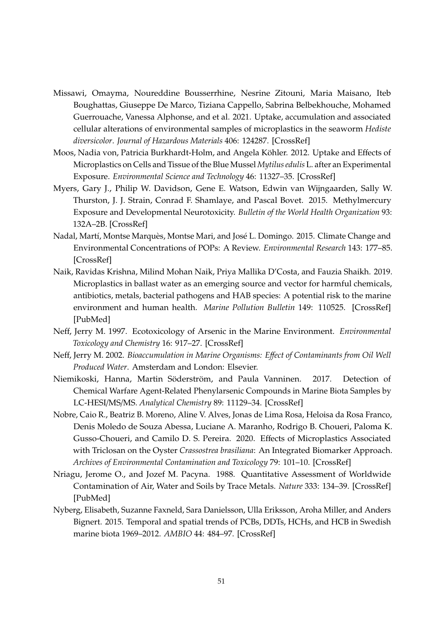- <span id="page-40-0"></span>Missawi, Omayma, Noureddine Bousserrhine, Nesrine Zitouni, Maria Maisano, Iteb Boughattas, Giuseppe De Marco, Tiziana Cappello, Sabrina Belbekhouche, Mohamed Guerrouache, Vanessa Alphonse, and et al. 2021. Uptake, accumulation and associated cellular alterations of environmental samples of microplastics in the seaworm *Hediste diversicolor*. *Journal of Hazardous Materials* 406: 124287. [\[CrossRef\]](http://doi.org/10.1016/j.jhazmat.2020.124287)
- <span id="page-40-1"></span>Moos, Nadia von, Patricia Burkhardt-Holm, and Angela Köhler. 2012. Uptake and Effects of Microplastics on Cells and Tissue of the Blue Mussel *Mytilus edulis* L. after an Experimental Exposure. *Environmental Science and Technology* 46: 11327–35. [\[CrossRef\]](http://doi.org/10.1021/es302332w)
- <span id="page-40-9"></span>Myers, Gary J., Philip W. Davidson, Gene E. Watson, Edwin van Wijngaarden, Sally W. Thurston, J. J. Strain, Conrad F. Shamlaye, and Pascal Bovet. 2015. Methylmercury Exposure and Developmental Neurotoxicity. *Bulletin of the World Health Organization* 93: 132A–2B. [\[CrossRef\]](http://doi.org/10.2471/BLT.14.141911)
- <span id="page-40-5"></span>Nadal, Martí, Montse Marquès, Montse Mari, and José L. Domingo. 2015. Climate Change and Environmental Concentrations of POPs: A Review. *Environmental Research* 143: 177–85. [\[CrossRef\]](http://doi.org/10.1016/j.envres.2015.10.012)
- <span id="page-40-3"></span>Naik, Ravidas Krishna, Milind Mohan Naik, Priya Mallika D'Costa, and Fauzia Shaikh. 2019. Microplastics in ballast water as an emerging source and vector for harmful chemicals, antibiotics, metals, bacterial pathogens and HAB species: A potential risk to the marine environment and human health. *Marine Pollution Bulletin* 149: 110525. [\[CrossRef\]](http://doi.org/10.1016/j.marpolbul.2019.110525) [\[PubMed\]](http://www.ncbi.nlm.nih.gov/pubmed/31470206)
- <span id="page-40-7"></span>Neff, Jerry M. 1997. Ecotoxicology of Arsenic in the Marine Environment. *Environmental Toxicology and Chemistry* 16: 917–27. [\[CrossRef\]](http://doi.org/10.1002/etc.5620160511)
- <span id="page-40-8"></span>Neff, Jerry M. 2002. *Bioaccumulation in Marine Organisms: E*ff*ect of Contaminants from Oil Well Produced Water*. Amsterdam and London: Elsevier.
- <span id="page-40-10"></span>Niemikoski, Hanna, Martin Söderström, and Paula Vanninen. 2017. Detection of Chemical Warfare Agent-Related Phenylarsenic Compounds in Marine Biota Samples by LC-HESI/MS/MS. *Analytical Chemistry* 89: 11129–34. [\[CrossRef\]](http://doi.org/10.1021/acs.analchem.7b03429)
- <span id="page-40-2"></span>Nobre, Caio R., Beatriz B. Moreno, Aline V. Alves, Jonas de Lima Rosa, Heloisa da Rosa Franco, Denis Moledo de Souza Abessa, Luciane A. Maranho, Rodrigo B. Choueri, Paloma K. Gusso-Choueri, and Camilo D. S. Pereira. 2020. Effects of Microplastics Associated with Triclosan on the Oyster *Crassostrea brasiliana*: An Integrated Biomarker Approach. *Archives of Environmental Contamination and Toxicology* 79: 101–10. [\[CrossRef\]](http://doi.org/10.1007/s00244-020-00729-8)
- <span id="page-40-6"></span>Nriagu, Jerome O., and Jozef M. Pacyna. 1988. Quantitative Assessment of Worldwide Contamination of Air, Water and Soils by Trace Metals. *Nature* 333: 134–39. [\[CrossRef\]](http://doi.org/10.1038/333134a0) [\[PubMed\]](http://www.ncbi.nlm.nih.gov/pubmed/3285219)
- <span id="page-40-4"></span>Nyberg, Elisabeth, Suzanne Faxneld, Sara Danielsson, Ulla Eriksson, Aroha Miller, and Anders Bignert. 2015. Temporal and spatial trends of PCBs, DDTs, HCHs, and HCB in Swedish marine biota 1969–2012. *AMBIO* 44: 484–97. [\[CrossRef\]](http://doi.org/10.1007/s13280-015-0673-5)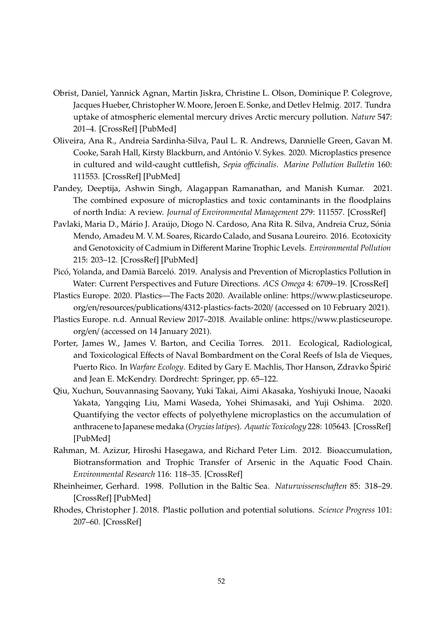- <span id="page-41-10"></span>Obrist, Daniel, Yannick Agnan, Martin Jiskra, Christine L. Olson, Dominique P. Colegrove, Jacques Hueber, Christopher W. Moore, Jeroen E. Sonke, and Detlev Helmig. 2017. Tundra uptake of atmospheric elemental mercury drives Arctic mercury pollution. *Nature* 547: 201–4. [\[CrossRef\]](http://doi.org/10.1038/nature22997) [\[PubMed\]](http://www.ncbi.nlm.nih.gov/pubmed/28703199)
- <span id="page-41-4"></span>Oliveira, Ana R., Andreia Sardinha-Silva, Paul L. R. Andrews, Dannielle Green, Gavan M. Cooke, Sarah Hall, Kirsty Blackburn, and António V. Sykes. 2020. Microplastics presence in cultured and wild-caught cuttlefish, *Sepia o*ffi*cinalis*. *Marine Pollution Bulletin* 160: 111553. [\[CrossRef\]](http://doi.org/10.1016/j.marpolbul.2020.111553) [\[PubMed\]](http://www.ncbi.nlm.nih.gov/pubmed/32810671)
- <span id="page-41-6"></span>Pandey, Deeptija, Ashwin Singh, Alagappan Ramanathan, and Manish Kumar. 2021. The combined exposure of microplastics and toxic contaminants in the floodplains of north India: A review. *Journal of Environmental Management* 279: 111557. [\[CrossRef\]](http://doi.org/10.1016/j.jenvman.2020.111557)
- <span id="page-41-9"></span>Pavlaki, Maria D., Mário J. Araújo, Diogo N. Cardoso, Ana Rita R. Silva, Andreia Cruz, Sónia Mendo, Amadeu M. V. M. Soares, Ricardo Calado, and Susana Loureiro. 2016. Ecotoxicity and Genotoxicity of Cadmium in Different Marine Trophic Levels. *Environmental Pollution* 215: 203–12. [\[CrossRef\]](http://doi.org/10.1016/j.envpol.2016.05.010) [\[PubMed\]](http://www.ncbi.nlm.nih.gov/pubmed/27203468)
- <span id="page-41-3"></span>Picó, Yolanda, and Damià Barceló. 2019. Analysis and Prevention of Microplastics Pollution in Water: Current Perspectives and Future Directions. *ACS Omega* 4: 6709–19. [\[CrossRef\]](http://doi.org/10.1021/acsomega.9b00222)
- <span id="page-41-0"></span>Plastics Europe. 2020. Plastics—The Facts 2020. Available online: https://[www.plasticseurope.](https://www.plasticseurope.org/en/resources/publications/4312-plastics-facts-2020/) org/en/resources/publications/[4312-plastics-facts-2020](https://www.plasticseurope.org/en/resources/publications/4312-plastics-facts-2020/)/ (accessed on 10 February 2021).
- <span id="page-41-1"></span>Plastics Europe. n.d. Annual Review 2017–2018. Available online: https://[www.plasticseurope.](https://www.plasticseurope.org/en/) [org](https://www.plasticseurope.org/en/)/en/ (accessed on 14 January 2021).
- <span id="page-41-11"></span>Porter, James W., James V. Barton, and Cecilia Torres. 2011. Ecological, Radiological, and Toxicological Effects of Naval Bombardment on the Coral Reefs of Isla de Vieques, Puerto Rico. In *Warfare Ecology*. Edited by Gary E. Machlis, Thor Hanson, Zdravko Špirić and Jean E. McKendry. Dordrecht: Springer, pp. 65–122.
- <span id="page-41-5"></span>Qiu, Xuchun, Souvannasing Saovany, Yuki Takai, Aimi Akasaka, Yoshiyuki Inoue, Naoaki Yakata, Yangqing Liu, Mami Waseda, Yohei Shimasaki, and Yuji Oshima. 2020. Quantifying the vector effects of polyethylene microplastics on the accumulation of anthracene to Japanese medaka (*Oryzias latipes*). *Aquatic Toxicology* 228: 105643. [\[CrossRef\]](http://doi.org/10.1016/j.aquatox.2020.105643) [\[PubMed\]](http://www.ncbi.nlm.nih.gov/pubmed/33017738)
- <span id="page-41-8"></span>Rahman, M. Azizur, Hiroshi Hasegawa, and Richard Peter Lim. 2012. Bioaccumulation, Biotransformation and Trophic Transfer of Arsenic in the Aquatic Food Chain. *Environmental Research* 116: 118–35. [\[CrossRef\]](http://doi.org/10.1016/j.envres.2012.03.014)
- <span id="page-41-7"></span>Rheinheimer, Gerhard. 1998. Pollution in the Baltic Sea. *Naturwissenschaften* 85: 318–29. [\[CrossRef\]](http://doi.org/10.1007/s001140050508) [\[PubMed\]](http://www.ncbi.nlm.nih.gov/pubmed/9722964)
- <span id="page-41-2"></span>Rhodes, Christopher J. 2018. Plastic pollution and potential solutions. *Science Progress* 101: 207–60. [\[CrossRef\]](http://doi.org/10.3184/003685018X15294876706211)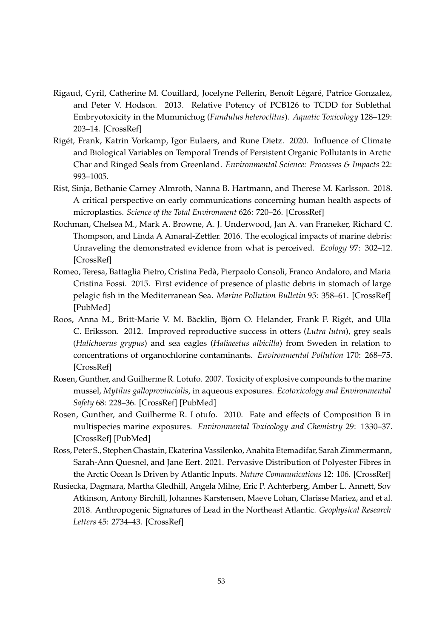- <span id="page-42-4"></span>Rigaud, Cyril, Catherine M. Couillard, Jocelyne Pellerin, Benoît Légaré, Patrice Gonzalez, and Peter V. Hodson. 2013. Relative Potency of PCB126 to TCDD for Sublethal Embryotoxicity in the Mummichog (*Fundulus heteroclitus*). *Aquatic Toxicology* 128–129: 203–14. [\[CrossRef\]](http://doi.org/10.1016/j.aquatox.2012.12.013)
- <span id="page-42-6"></span>Rigét, Frank, Katrin Vorkamp, Igor Eulaers, and Rune Dietz. 2020. Influence of Climate and Biological Variables on Temporal Trends of Persistent Organic Pollutants in Arctic Char and Ringed Seals from Greenland. *Environmental Science: Processes & Impacts* 22: 993–1005.
- <span id="page-42-0"></span>Rist, Sinja, Bethanie Carney Almroth, Nanna B. Hartmann, and Therese M. Karlsson. 2018. A critical perspective on early communications concerning human health aspects of microplastics. *Science of the Total Environment* 626: 720–26. [\[CrossRef\]](http://doi.org/10.1016/j.scitotenv.2018.01.092)
- <span id="page-42-2"></span>Rochman, Chelsea M., Mark A. Browne, A. J. Underwood, Jan A. van Franeker, Richard C. Thompson, and Linda A Amaral-Zettler. 2016. The ecological impacts of marine debris: Unraveling the demonstrated evidence from what is perceived. *Ecology* 97: 302–12. [\[CrossRef\]](http://doi.org/10.1890/14-2070.1)
- <span id="page-42-3"></span>Romeo, Teresa, Battaglia Pietro, Cristina Pedà, Pierpaolo Consoli, Franco Andaloro, and Maria Cristina Fossi. 2015. First evidence of presence of plastic debris in stomach of large pelagic fish in the Mediterranean Sea. *Marine Pollution Bulletin* 95: 358–61. [\[CrossRef\]](http://doi.org/10.1016/j.marpolbul.2015.04.048) [\[PubMed\]](http://www.ncbi.nlm.nih.gov/pubmed/25936574)
- <span id="page-42-5"></span>Roos, Anna M., Britt-Marie V. M. Bäcklin, Björn O. Helander, Frank F. Rigét, and Ulla C. Eriksson. 2012. Improved reproductive success in otters (*Lutra lutra*), grey seals (*Halichoerus grypus*) and sea eagles (*Haliaeetus albicilla*) from Sweden in relation to concentrations of organochlorine contaminants. *Environmental Pollution* 170: 268–75. [\[CrossRef\]](http://doi.org/10.1016/j.envpol.2012.07.017)
- <span id="page-42-9"></span>Rosen, Gunther, and Guilherme R. Lotufo. 2007. Toxicity of explosive compounds to the marine mussel, *Mytilus galloprovincialis*, in aqueous exposures. *Ecotoxicology and Environmental Safety* 68: 228–36. [\[CrossRef\]](http://doi.org/10.1016/j.ecoenv.2007.03.006) [\[PubMed\]](http://www.ncbi.nlm.nih.gov/pubmed/17475328)
- <span id="page-42-8"></span>Rosen, Gunther, and Guilherme R. Lotufo. 2010. Fate and effects of Composition B in multispecies marine exposures. *Environmental Toxicology and Chemistry* 29: 1330–37. [\[CrossRef\]](http://doi.org/10.1002/etc.153) [\[PubMed\]](http://www.ncbi.nlm.nih.gov/pubmed/20821576)
- <span id="page-42-1"></span>Ross, Peter S., Stephen Chastain, Ekaterina Vassilenko, Anahita Etemadifar, Sarah Zimmermann, Sarah-Ann Quesnel, and Jane Eert. 2021. Pervasive Distribution of Polyester Fibres in the Arctic Ocean Is Driven by Atlantic Inputs. *Nature Communications* 12: 106. [\[CrossRef\]](http://doi.org/10.1038/s41467-020-20347-1)
- <span id="page-42-7"></span>Rusiecka, Dagmara, Martha Gledhill, Angela Milne, Eric P. Achterberg, Amber L. Annett, Sov Atkinson, Antony Birchill, Johannes Karstensen, Maeve Lohan, Clarisse Mariez, and et al. 2018. Anthropogenic Signatures of Lead in the Northeast Atlantic. *Geophysical Research Letters* 45: 2734–43. [\[CrossRef\]](http://doi.org/10.1002/2017GL076825)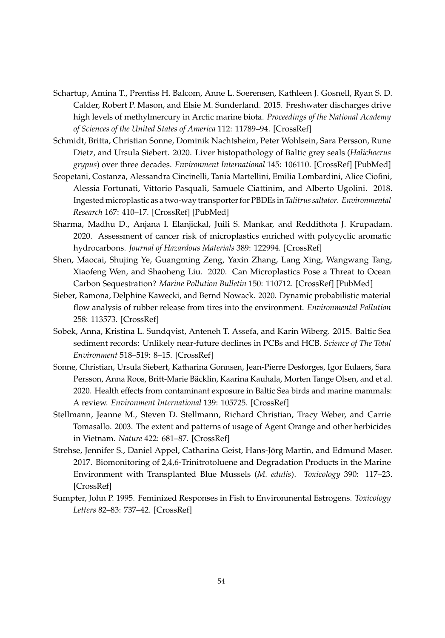- <span id="page-43-8"></span>Schartup, Amina T., Prentiss H. Balcom, Anne L. Soerensen, Kathleen J. Gosnell, Ryan S. D. Calder, Robert P. Mason, and Elsie M. Sunderland. 2015. Freshwater discharges drive high levels of methylmercury in Arctic marine biota. *Proceedings of the National Academy of Sciences of the United States of America* 112: 11789–94. [\[CrossRef\]](http://doi.org/10.1073/pnas.1505541112)
- <span id="page-43-6"></span>Schmidt, Britta, Christian Sonne, Dominik Nachtsheim, Peter Wohlsein, Sara Persson, Rune Dietz, and Ursula Siebert. 2020. Liver histopathology of Baltic grey seals (*Halichoerus grypus*) over three decades. *Environment International* 145: 106110. [\[CrossRef\]](http://doi.org/10.1016/j.envint.2020.106110) [\[PubMed\]](http://www.ncbi.nlm.nih.gov/pubmed/32937284)
- <span id="page-43-7"></span>Scopetani, Costanza, Alessandra Cincinelli, Tania Martellini, Emilia Lombardini, Alice Ciofini, Alessia Fortunati, Vittorio Pasquali, Samuele Ciattinim, and Alberto Ugolini. 2018. Ingested microplastic as a two-way transporter for PBDEs in *Talitrus saltator*. *Environmental Research* 167: 410–17. [\[CrossRef\]](http://doi.org/10.1016/j.envres.2018.07.030) [\[PubMed\]](http://www.ncbi.nlm.nih.gov/pubmed/30118960)
- <span id="page-43-1"></span>Sharma, Madhu D., Anjana I. Elanjickal, Juili S. Mankar, and Reddithota J. Krupadam. 2020. Assessment of cancer risk of microplastics enriched with polycyclic aromatic hydrocarbons. *Journal of Hazardous Materials* 389: 122994. [\[CrossRef\]](http://doi.org/10.1016/j.jhazmat.2020.122994)
- <span id="page-43-2"></span>Shen, Maocai, Shujing Ye, Guangming Zeng, Yaxin Zhang, Lang Xing, Wangwang Tang, Xiaofeng Wen, and Shaoheng Liu. 2020. Can Microplastics Pose a Threat to Ocean Carbon Sequestration? *Marine Pollution Bulletin* 150: 110712. [\[CrossRef\]](http://doi.org/10.1016/j.marpolbul.2019.110712) [\[PubMed\]](http://www.ncbi.nlm.nih.gov/pubmed/31718860)
- <span id="page-43-0"></span>Sieber, Ramona, Delphine Kawecki, and Bernd Nowack. 2020. Dynamic probabilistic material flow analysis of rubber release from tires into the environment. *Environmental Pollution* 258: 113573. [\[CrossRef\]](http://doi.org/10.1016/j.envpol.2019.113573)
- <span id="page-43-5"></span>Sobek, Anna, Kristina L. Sundqvist, Anteneh T. Assefa, and Karin Wiberg. 2015. Baltic Sea sediment records: Unlikely near-future declines in PCBs and HCB. *Science of The Total Environment* 518–519: 8–15. [\[CrossRef\]](http://doi.org/10.1016/j.scitotenv.2015.02.093)
- <span id="page-43-4"></span>Sonne, Christian, Ursula Siebert, Katharina Gonnsen, Jean-Pierre Desforges, Igor Eulaers, Sara Persson, Anna Roos, Britt-Marie Bäcklin, Kaarina Kauhala, Morten Tange Olsen, and et al. 2020. Health effects from contaminant exposure in Baltic Sea birds and marine mammals: A review. *Environment International* 139: 105725. [\[CrossRef\]](http://doi.org/10.1016/j.envint.2020.105725)
- <span id="page-43-3"></span>Stellmann, Jeanne M., Steven D. Stellmann, Richard Christian, Tracy Weber, and Carrie Tomasallo. 2003. The extent and patterns of usage of Agent Orange and other herbicides in Vietnam. *Nature* 422: 681–87. [\[CrossRef\]](http://doi.org/10.1038/nature01537)
- <span id="page-43-9"></span>Strehse, Jennifer S., Daniel Appel, Catharina Geist, Hans-Jörg Martin, and Edmund Maser. 2017. Biomonitoring of 2,4,6-Trinitrotoluene and Degradation Products in the Marine Environment with Transplanted Blue Mussels (*M. edulis*). *Toxicology* 390: 117–23. [\[CrossRef\]](http://doi.org/10.1016/j.tox.2017.09.004)
- <span id="page-43-10"></span>Sumpter, John P. 1995. Feminized Responses in Fish to Environmental Estrogens. *Toxicology Letters* 82–83: 737–42. [\[CrossRef\]](http://doi.org/10.1016/0378-4274(95)03517-6)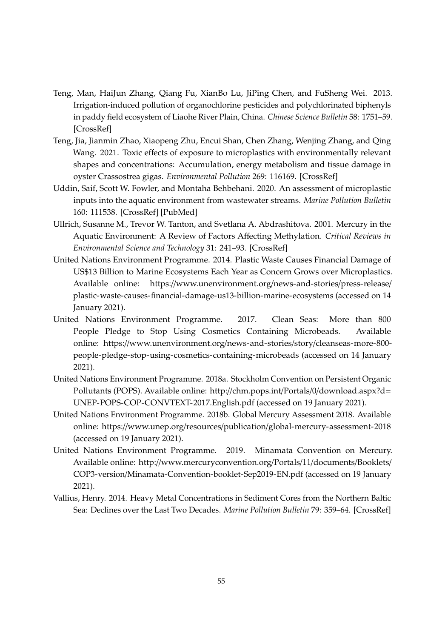- <span id="page-44-5"></span>Teng, Man, HaiJun Zhang, Qiang Fu, XianBo Lu, JiPing Chen, and FuSheng Wei. 2013. Irrigation-induced pollution of organochlorine pesticides and polychlorinated biphenyls in paddy field ecosystem of Liaohe River Plain, China. *Chinese Science Bulletin* 58: 1751–59. [\[CrossRef\]](http://doi.org/10.1007/s11434-013-5815-1)
- <span id="page-44-3"></span>Teng, Jia, Jianmin Zhao, Xiaopeng Zhu, Encui Shan, Chen Zhang, Wenjing Zhang, and Qing Wang. 2021. Toxic effects of exposure to microplastics with environmentally relevant shapes and concentrations: Accumulation, energy metabolism and tissue damage in oyster Crassostrea gigas. *Environmental Pollution* 269: 116169. [\[CrossRef\]](http://doi.org/10.1016/j.envpol.2020.116169)
- <span id="page-44-2"></span>Uddin, Saif, Scott W. Fowler, and Montaha Behbehani. 2020. An assessment of microplastic inputs into the aquatic environment from wastewater streams. *Marine Pollution Bulletin* 160: 111538. [\[CrossRef\]](http://doi.org/10.1016/j.marpolbul.2020.111538) [\[PubMed\]](http://www.ncbi.nlm.nih.gov/pubmed/32891961)
- <span id="page-44-7"></span>Ullrich, Susanne M., Trevor W. Tanton, and Svetlana A. Abdrashitova. 2001. Mercury in the Aquatic Environment: A Review of Factors Affecting Methylation. *Critical Reviews in Environmental Science and Technology* 31: 241–93. [\[CrossRef\]](http://doi.org/10.1080/20016491089226)
- <span id="page-44-0"></span>United Nations Environment Programme. 2014. Plastic Waste Causes Financial Damage of US\$13 Billion to Marine Ecosystems Each Year as Concern Grows over Microplastics. Available online: https://[www.unenvironment.org](https://www.unenvironment.org/news-and-stories/press-release/plastic-waste-causes-financial-damage-us13-billion-marine-ecosystems)/news-and-stories/press-release/ [plastic-waste-causes-financial-damage-us13-billion-marine-ecosystems](https://www.unenvironment.org/news-and-stories/press-release/plastic-waste-causes-financial-damage-us13-billion-marine-ecosystems) (accessed on 14 January 2021).
- <span id="page-44-1"></span>United Nations Environment Programme. 2017. Clean Seas: More than 800 People Pledge to Stop Using Cosmetics Containing Microbeads. Available online: https://[www.unenvironment.org](https://www.unenvironment.org/news-and-stories/story/cleanseas-more-800-people-pledge-stop-using-cosmetics-containing-microbeads)/news-and-stories/story/cleanseas-more-800 [people-pledge-stop-using-cosmetics-containing-microbeads](https://www.unenvironment.org/news-and-stories/story/cleanseas-more-800-people-pledge-stop-using-cosmetics-containing-microbeads) (accessed on 14 January 2021).
- <span id="page-44-4"></span>United Nations Environment Programme. 2018a. Stockholm Convention on Persistent Organic Pollutants (POPS). Available online: http://chm.pops.int/Portals/0/[download.aspx?d](http://chm.pops.int/Portals/0/download.aspx?d=UNEP-POPS-COP-CONVTEXT-2017.English.pdf)= [UNEP-POPS-COP-CONVTEXT-2017.English.pdf](http://chm.pops.int/Portals/0/download.aspx?d=UNEP-POPS-COP-CONVTEXT-2017.English.pdf) (accessed on 19 January 2021).
- <span id="page-44-6"></span>United Nations Environment Programme. 2018b. Global Mercury Assessment 2018. Available online: https://www.unep.org/resources/publication/[global-mercury-assessment-2018](https://www.unep.org/resources/publication/global-mercury-assessment-2018) (accessed on 19 January 2021).
- <span id="page-44-9"></span>United Nations Environment Programme. 2019. Minamata Convention on Mercury. Available online: http://[www.mercuryconvention.org](http://www.mercuryconvention.org/Portals/11/documents/Booklets/COP3-version/Minamata-Convention-booklet-Sep2019-EN.pdf)/Portals/11/documents/Booklets/ COP3-version/[Minamata-Convention-booklet-Sep2019-EN.pdf](http://www.mercuryconvention.org/Portals/11/documents/Booklets/COP3-version/Minamata-Convention-booklet-Sep2019-EN.pdf) (accessed on 19 January 2021).
- <span id="page-44-8"></span>Vallius, Henry. 2014. Heavy Metal Concentrations in Sediment Cores from the Northern Baltic Sea: Declines over the Last Two Decades. *Marine Pollution Bulletin* 79: 359–64. [\[CrossRef\]](http://doi.org/10.1016/j.marpolbul.2013.11.017)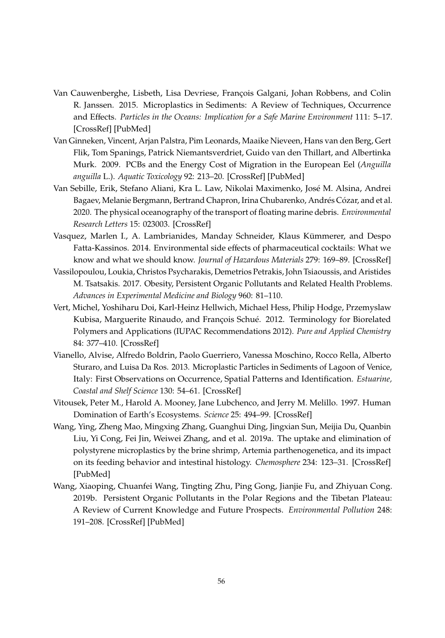- <span id="page-45-0"></span>Van Cauwenberghe, Lisbeth, Lisa Devriese, François Galgani, Johan Robbens, and Colin R. Janssen. 2015. Microplastics in Sediments: A Review of Techniques, Occurrence and Effects. *Particles in the Oceans: Implication for a Safe Marine Environment* 111: 5–17. [\[CrossRef\]](http://doi.org/10.1016/j.marenvres.2015.06.007) [\[PubMed\]](http://www.ncbi.nlm.nih.gov/pubmed/26095706)
- <span id="page-45-7"></span>Van Ginneken, Vincent, Arjan Palstra, Pim Leonards, Maaike Nieveen, Hans van den Berg, Gert Flik, Tom Spanings, Patrick Niemantsverdriet, Guido van den Thillart, and Albertinka Murk. 2009. PCBs and the Energy Cost of Migration in the European Eel (*Anguilla anguilla* L.). *Aquatic Toxicology* 92: 213–20. [\[CrossRef\]](http://doi.org/10.1016/j.aquatox.2009.01.004) [\[PubMed\]](http://www.ncbi.nlm.nih.gov/pubmed/19371957)
- <span id="page-45-3"></span>Van Sebille, Erik, Stefano Aliani, Kra L. Law, Nikolai Maximenko, José M. Alsina, Andrei Bagaev, Melanie Bergmann, Bertrand Chapron, Irina Chubarenko, Andrés Cózar, and et al. 2020. The physical oceanography of the transport of floating marine debris. *Environmental Research Letters* 15: 023003. [\[CrossRef\]](http://doi.org/10.1088/1748-9326/ab6d7d)
- <span id="page-45-9"></span>Vasquez, Marlen I., A. Lambrianides, Manday Schneider, Klaus Kümmerer, and Despo Fatta-Kassinos. 2014. Environmental side effects of pharmaceutical cocktails: What we know and what we should know. *Journal of Hazardous Materials* 279: 169–89. [\[CrossRef\]](http://doi.org/10.1016/j.jhazmat.2014.06.069)
- <span id="page-45-6"></span>Vassilopoulou, Loukia, Christos Psycharakis, Demetrios Petrakis, John Tsiaoussis, and Aristides M. Tsatsakis. 2017. Obesity, Persistent Organic Pollutants and Related Health Problems. *Advances in Experimental Medicine and Biology* 960: 81–110.
- <span id="page-45-1"></span>Vert, Michel, Yoshiharu Doi, Karl-Heinz Hellwich, Michael Hess, Philip Hodge, Przemyslaw Kubisa, Marguerite Rinaudo, and François Schué. 2012. Terminology for Biorelated Polymers and Applications (IUPAC Recommendations 2012). *Pure and Applied Chemistry* 84: 377–410. [\[CrossRef\]](http://doi.org/10.1351/PAC-REC-10-12-04)
- <span id="page-45-2"></span>Vianello, Alvise, Alfredo Boldrin, Paolo Guerriero, Vanessa Moschino, Rocco Rella, Alberto Sturaro, and Luisa Da Ros. 2013. Microplastic Particles in Sediments of Lagoon of Venice, Italy: First Observations on Occurrence, Spatial Patterns and Identification. *Estuarine, Coastal and Shelf Science* 130: 54–61. [\[CrossRef\]](http://doi.org/10.1016/j.ecss.2013.03.022)
- <span id="page-45-5"></span>Vitousek, Peter M., Harold A. Mooney, Jane Lubchenco, and Jerry M. Melillo. 1997. Human Domination of Earth's Ecosystems. *Science* 25: 494–99. [\[CrossRef\]](http://doi.org/10.1126/science.277.5325.494)
- <span id="page-45-4"></span>Wang, Ying, Zheng Mao, Mingxing Zhang, Guanghui Ding, Jingxian Sun, Meijia Du, Quanbin Liu, Yi Cong, Fei Jin, Weiwei Zhang, and et al. 2019a. The uptake and elimination of polystyrene microplastics by the brine shrimp, Artemia parthenogenetica, and its impact on its feeding behavior and intestinal histology. *Chemosphere* 234: 123–31. [\[CrossRef\]](http://doi.org/10.1016/j.chemosphere.2019.05.267) [\[PubMed\]](http://www.ncbi.nlm.nih.gov/pubmed/31207418)
- <span id="page-45-8"></span>Wang, Xiaoping, Chuanfei Wang, Tingting Zhu, Ping Gong, Jianjie Fu, and Zhiyuan Cong. 2019b. Persistent Organic Pollutants in the Polar Regions and the Tibetan Plateau: A Review of Current Knowledge and Future Prospects. *Environmental Pollution* 248: 191–208. [\[CrossRef\]](http://doi.org/10.1016/j.envpol.2019.01.093) [\[PubMed\]](http://www.ncbi.nlm.nih.gov/pubmed/30784838)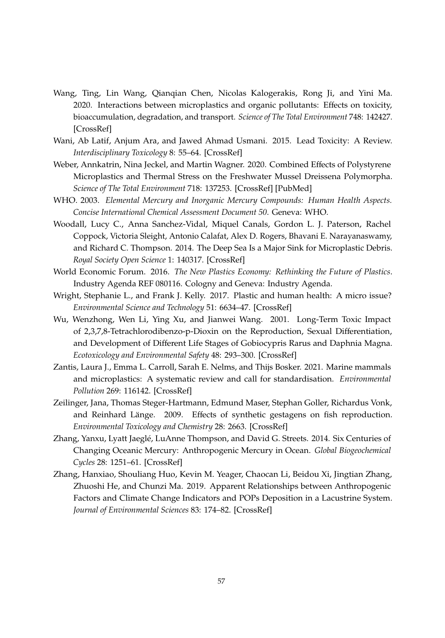- <span id="page-46-4"></span>Wang, Ting, Lin Wang, Qianqian Chen, Nicolas Kalogerakis, Rong Ji, and Yini Ma. 2020. Interactions between microplastics and organic pollutants: Effects on toxicity, bioaccumulation, degradation, and transport. *Science of The Total Environment* 748: 142427. [\[CrossRef\]](http://doi.org/10.1016/j.scitotenv.2020.142427)
- <span id="page-46-9"></span>Wani, Ab Latif, Anjum Ara, and Jawed Ahmad Usmani. 2015. Lead Toxicity: A Review. *Interdisciplinary Toxicology* 8: 55–64. [\[CrossRef\]](http://doi.org/10.1515/intox-2015-0009)
- <span id="page-46-5"></span>Weber, Annkatrin, Nina Jeckel, and Martin Wagner. 2020. Combined Effects of Polystyrene Microplastics and Thermal Stress on the Freshwater Mussel Dreissena Polymorpha. *Science of The Total Environment* 718: 137253. [\[CrossRef\]](http://doi.org/10.1016/j.scitotenv.2020.137253) [\[PubMed\]](http://www.ncbi.nlm.nih.gov/pubmed/32087582)
- <span id="page-46-8"></span>WHO. 2003. *Elemental Mercury and Inorganic Mercury Compounds: Human Health Aspects. Concise International Chemical Assessment Document 50*. Geneva: WHO.
- <span id="page-46-3"></span>Woodall, Lucy C., Anna Sanchez-Vidal, Miquel Canals, Gordon L. J. Paterson, Rachel Coppock, Victoria Sleight, Antonio Calafat, Alex D. Rogers, Bhavani E. Narayanaswamy, and Richard C. Thompson. 2014. The Deep Sea Is a Major Sink for Microplastic Debris. *Royal Society Open Science* 1: 140317. [\[CrossRef\]](http://doi.org/10.1098/rsos.140317)
- <span id="page-46-1"></span>World Economic Forum. 2016. *The New Plastics Economy: Rethinking the Future of Plastics*. Industry Agenda REF 080116. Cologny and Geneva: Industry Agenda.
- <span id="page-46-0"></span>Wright, Stephanie L., and Frank J. Kelly. 2017. Plastic and human health: A micro issue? *Environmental Science and Technology* 51: 6634–47. [\[CrossRef\]](http://doi.org/10.1021/acs.est.7b00423)
- <span id="page-46-6"></span>Wu, Wenzhong, Wen Li, Ying Xu, and Jianwei Wang. 2001. Long-Term Toxic Impact of 2,3,7,8-Tetrachlorodibenzo-p-Dioxin on the Reproduction, Sexual Differentiation, and Development of Different Life Stages of Gobiocypris Rarus and Daphnia Magna. *Ecotoxicology and Environmental Safety* 48: 293–300. [\[CrossRef\]](http://doi.org/10.1006/eesa.2000.2013)
- <span id="page-46-2"></span>Zantis, Laura J., Emma L. Carroll, Sarah E. Nelms, and Thijs Bosker. 2021. Marine mammals and microplastics: A systematic review and call for standardisation. *Environmental Pollution* 269: 116142. [\[CrossRef\]](http://doi.org/10.1016/j.envpol.2020.116142)
- <span id="page-46-11"></span>Zeilinger, Jana, Thomas Steger-Hartmann, Edmund Maser, Stephan Goller, Richardus Vonk, and Reinhard Länge. 2009. Effects of synthetic gestagens on fish reproduction. *Environmental Toxicology and Chemistry* 28: 2663. [\[CrossRef\]](http://doi.org/10.1897/08-485.1)
- <span id="page-46-10"></span>Zhang, Yanxu, Lyatt Jaeglé, LuAnne Thompson, and David G. Streets. 2014. Six Centuries of Changing Oceanic Mercury: Anthropogenic Mercury in Ocean. *Global Biogeochemical Cycles* 28: 1251–61. [\[CrossRef\]](http://doi.org/10.1002/2014GB004939)
- <span id="page-46-7"></span>Zhang, Hanxiao, Shouliang Huo, Kevin M. Yeager, Chaocan Li, Beidou Xi, Jingtian Zhang, Zhuoshi He, and Chunzi Ma. 2019. Apparent Relationships between Anthropogenic Factors and Climate Change Indicators and POPs Deposition in a Lacustrine System. *Journal of Environmental Sciences* 83: 174–82. [\[CrossRef\]](http://doi.org/10.1016/j.jes.2019.03.024)